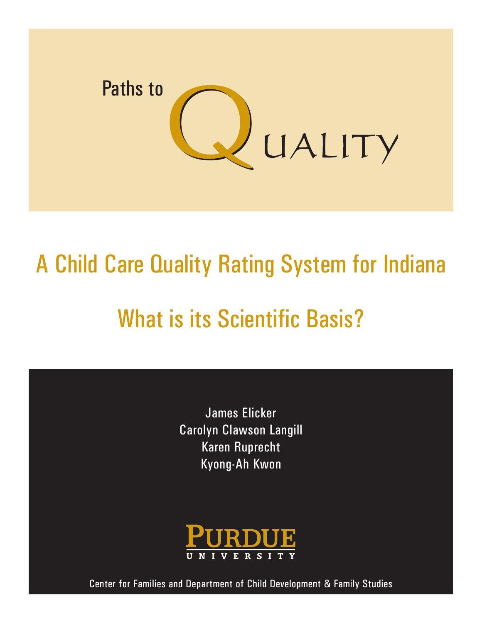

# A Child Care Quality Rating System for Indiana What is its Scientific Basis?

James Elicker Carolyn Clawson Langill Karen Ruprecht Kyong-Ah Kwon



Center for Families and Department of Child Development & Family Studies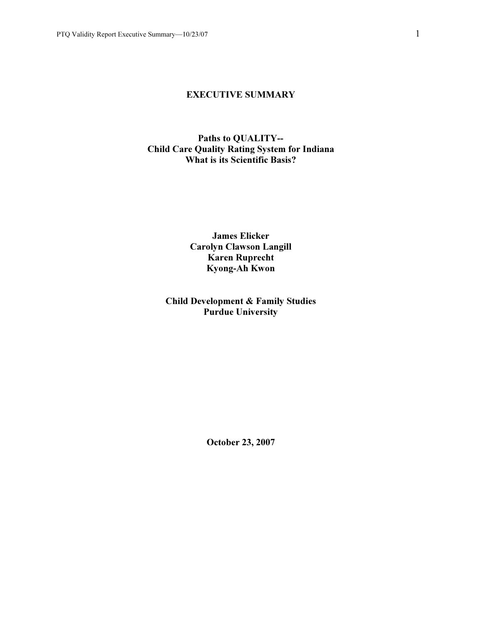#### EXECUTIVE SUMMARY

#### Paths to QUALITY-- Child Care Quality Rating System for Indiana What is its Scientific Basis?

James Elicker Carolyn Clawson Langill Karen Ruprecht Kyong-Ah Kwon

## Child Development & Family Studies Purdue University

October 23, 2007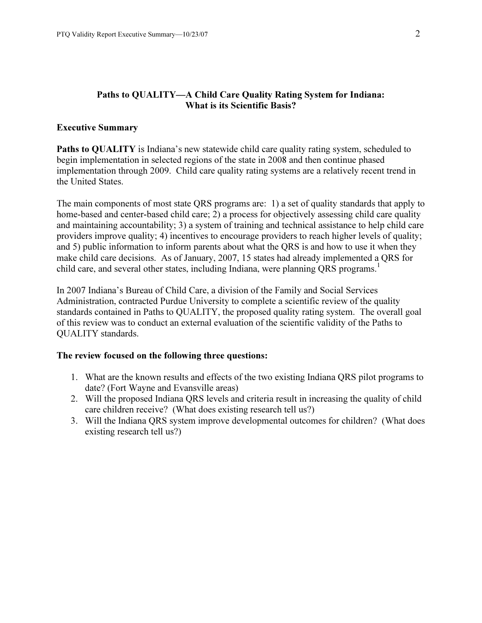#### Paths to QUALITY—A Child Care Quality Rating System for Indiana: What is its Scientific Basis?

#### Executive Summary

Paths to QUALITY is Indiana's new statewide child care quality rating system, scheduled to begin implementation in selected regions of the state in 2008 and then continue phased implementation through 2009. Child care quality rating systems are a relatively recent trend in the United States.

The main components of most state QRS programs are: 1) a set of quality standards that apply to home-based and center-based child care; 2) a process for objectively assessing child care quality and maintaining accountability; 3) a system of training and technical assistance to help child care providers improve quality; 4) incentives to encourage providers to reach higher levels of quality; and 5) public information to inform parents about what the QRS is and how to use it when they make child care decisions. As of January, 2007, 15 states had already implemented a QRS for child care, and several other states, including Indiana, were planning QRS programs.<sup>1</sup>

In 2007 Indiana's Bureau of Child Care, a division of the Family and Social Services Administration, contracted Purdue University to complete a scientific review of the quality standards contained in Paths to QUALITY, the proposed quality rating system. The overall goal of this review was to conduct an external evaluation of the scientific validity of the Paths to QUALITY standards.

#### The review focused on the following three questions:

- 1. What are the known results and effects of the two existing Indiana QRS pilot programs to date? (Fort Wayne and Evansville areas)
- 2. Will the proposed Indiana QRS levels and criteria result in increasing the quality of child care children receive? (What does existing research tell us?)
- 3. Will the Indiana QRS system improve developmental outcomes for children? (What does existing research tell us?)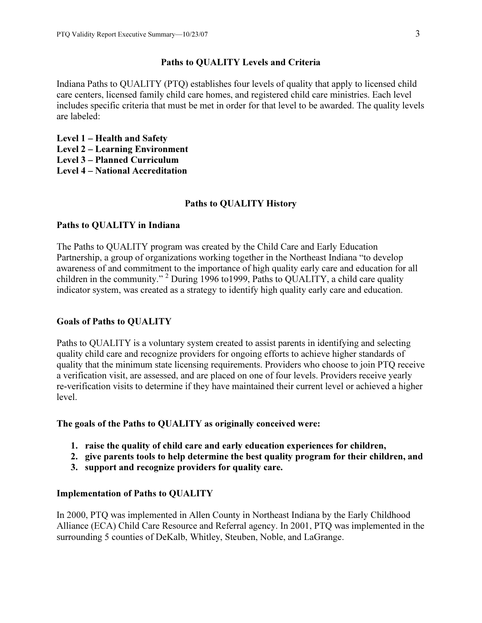#### Paths to QUALITY Levels and Criteria

Indiana Paths to QUALITY (PTQ) establishes four levels of quality that apply to licensed child care centers, licensed family child care homes, and registered child care ministries. Each level includes specific criteria that must be met in order for that level to be awarded. The quality levels are labeled:

Level 1 – Health and Safety Level 2 – Learning Environment Level 3 – Planned Curriculum Level 4 – National Accreditation

#### Paths to QUALITY History

#### Paths to QUALITY in Indiana

The Paths to QUALITY program was created by the Child Care and Early Education Partnership, a group of organizations working together in the Northeast Indiana "to develop awareness of and commitment to the importance of high quality early care and education for all children in the community."<sup>2</sup> During 1996 to 1999, Paths to QUALITY, a child care quality indicator system, was created as a strategy to identify high quality early care and education.

#### Goals of Paths to QUALITY

Paths to QUALITY is a voluntary system created to assist parents in identifying and selecting quality child care and recognize providers for ongoing efforts to achieve higher standards of quality that the minimum state licensing requirements. Providers who choose to join PTQ receive a verification visit, are assessed, and are placed on one of four levels. Providers receive yearly re-verification visits to determine if they have maintained their current level or achieved a higher level.

#### The goals of the Paths to QUALITY as originally conceived were:

- 1. raise the quality of child care and early education experiences for children,
- 2. give parents tools to help determine the best quality program for their children, and
- 3. support and recognize providers for quality care.

#### Implementation of Paths to QUALITY

In 2000, PTQ was implemented in Allen County in Northeast Indiana by the Early Childhood Alliance (ECA) Child Care Resource and Referral agency. In 2001, PTQ was implemented in the surrounding 5 counties of DeKalb, Whitley, Steuben, Noble, and LaGrange.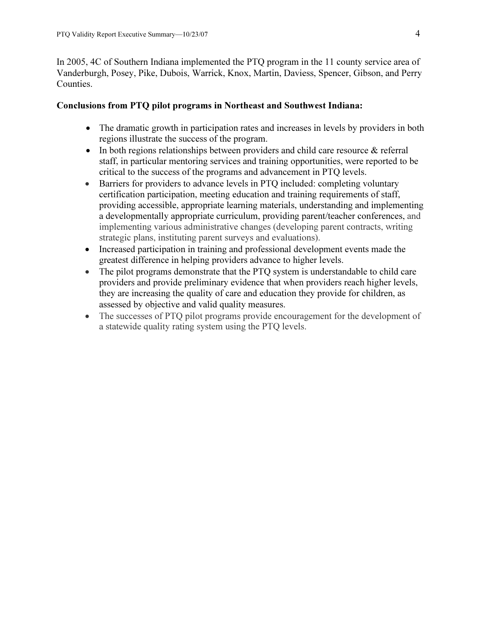In 2005, 4C of Southern Indiana implemented the PTQ program in the 11 county service area of Vanderburgh, Posey, Pike, Dubois, Warrick, Knox, Martin, Daviess, Spencer, Gibson, and Perry Counties.

#### Conclusions from PTQ pilot programs in Northeast and Southwest Indiana:

- The dramatic growth in participation rates and increases in levels by providers in both regions illustrate the success of the program.
- In both regions relationships between providers and child care resource & referral staff, in particular mentoring services and training opportunities, were reported to be critical to the success of the programs and advancement in PTQ levels.
- Barriers for providers to advance levels in PTQ included: completing voluntary certification participation, meeting education and training requirements of staff, providing accessible, appropriate learning materials, understanding and implementing a developmentally appropriate curriculum, providing parent/teacher conferences, and implementing various administrative changes (developing parent contracts, writing strategic plans, instituting parent surveys and evaluations).
- Increased participation in training and professional development events made the greatest difference in helping providers advance to higher levels.
- The pilot programs demonstrate that the PTQ system is understandable to child care providers and provide preliminary evidence that when providers reach higher levels, they are increasing the quality of care and education they provide for children, as assessed by objective and valid quality measures.
- The successes of PTQ pilot programs provide encouragement for the development of a statewide quality rating system using the PTQ levels.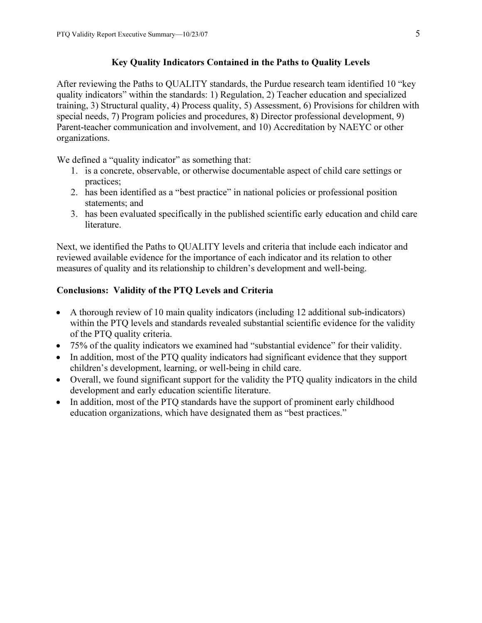## Key Quality Indicators Contained in the Paths to Quality Levels

After reviewing the Paths to QUALITY standards, the Purdue research team identified 10 "key quality indicators" within the standards: 1) Regulation, 2) Teacher education and specialized training, 3) Structural quality, 4) Process quality, 5) Assessment, 6) Provisions for children with special needs, 7) Program policies and procedures, 8) Director professional development, 9) Parent-teacher communication and involvement, and 10) Accreditation by NAEYC or other organizations.

We defined a "quality indicator" as something that:

- 1. is a concrete, observable, or otherwise documentable aspect of child care settings or practices;
- 2. has been identified as a "best practice" in national policies or professional position statements; and
- 3. has been evaluated specifically in the published scientific early education and child care literature.

Next, we identified the Paths to QUALITY levels and criteria that include each indicator and reviewed available evidence for the importance of each indicator and its relation to other measures of quality and its relationship to children's development and well-being.

## Conclusions: Validity of the PTQ Levels and Criteria

- A thorough review of 10 main quality indicators (including 12 additional sub-indicators) within the PTQ levels and standards revealed substantial scientific evidence for the validity of the PTQ quality criteria.
- 75% of the quality indicators we examined had "substantial evidence" for their validity.
- In addition, most of the PTQ quality indicators had significant evidence that they support children's development, learning, or well-being in child care.
- Overall, we found significant support for the validity the PTQ quality indicators in the child development and early education scientific literature.
- • In addition, most of the PTQ standards have the support of prominent early childhood education organizations, which have designated them as "best practices."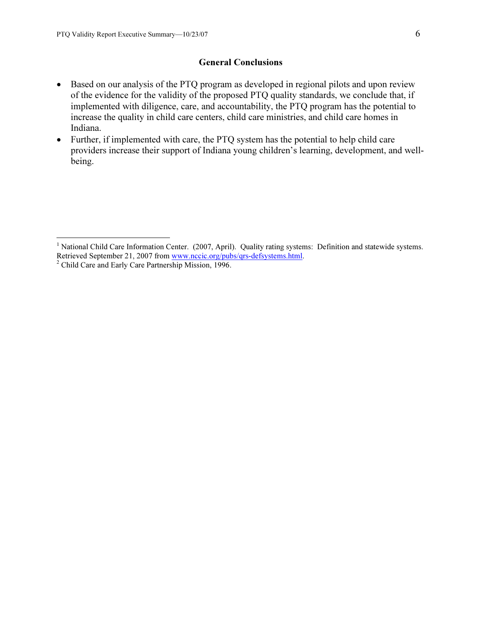#### General Conclusions

- $\bullet$  Based on our analysis of the PTQ program as developed in regional pilots and upon review of the evidence for the validity of the proposed PTQ quality standards, we conclude that, if implemented with diligence, care, and accountability, the PTQ program has the potential to increase the quality in child care centers, child care ministries, and child care homes in Indiana.
- Further, if implemented with care, the PTQ system has the potential to help child care providers increase their support of Indiana young children's learning, development, and wellbeing.

 1 National Child Care Information Center. (2007, April). Quality rating systems: Definition and statewide systems. Retrieved September 21, 2007 from www.nccic.org/pubs/qrs-defsystems.html. <sup>2</sup>

<sup>&</sup>lt;sup>2</sup> Child Care and Early Care Partnership Mission, 1996.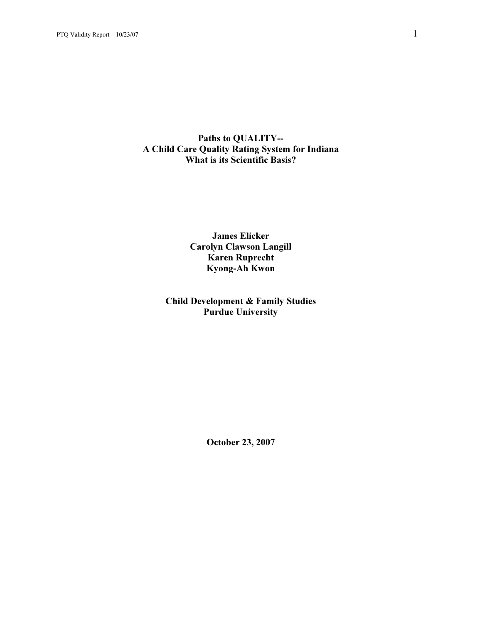#### Paths to QUALITY-- A Child Care Quality Rating System for Indiana What is its Scientific Basis?

James Elicker Carolyn Clawson Langill Karen Ruprecht Kyong-Ah Kwon

## Child Development & Family Studies Purdue University

October 23, 2007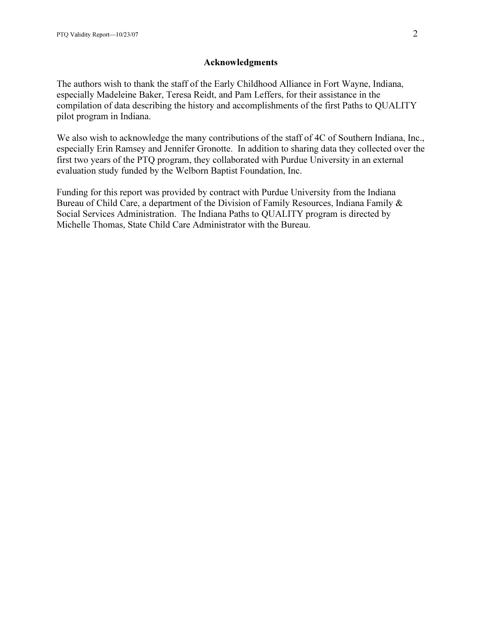#### Acknowledgments

The authors wish to thank the staff of the Early Childhood Alliance in Fort Wayne, Indiana, especially Madeleine Baker, Teresa Reidt, and Pam Leffers, for their assistance in the compilation of data describing the history and accomplishments of the first Paths to QUALITY pilot program in Indiana.

We also wish to acknowledge the many contributions of the staff of 4C of Southern Indiana, Inc., especially Erin Ramsey and Jennifer Gronotte. In addition to sharing data they collected over the first two years of the PTQ program, they collaborated with Purdue University in an external evaluation study funded by the Welborn Baptist Foundation, Inc.

Funding for this report was provided by contract with Purdue University from the Indiana Bureau of Child Care, a department of the Division of Family Resources, Indiana Family & Social Services Administration. The Indiana Paths to QUALITY program is directed by Michelle Thomas, State Child Care Administrator with the Bureau.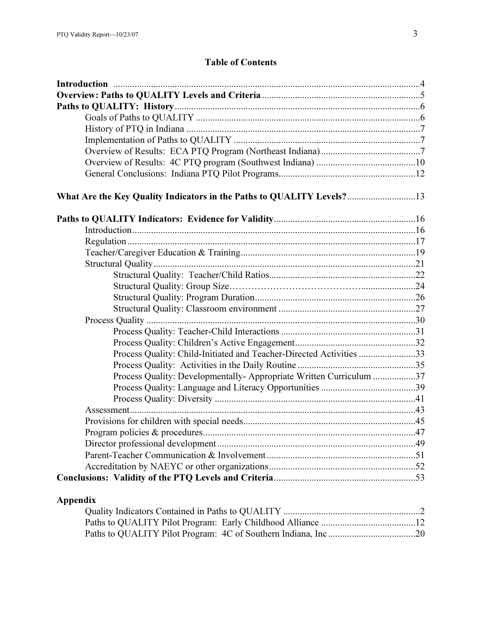## Table of Contents

| What Are the Key Quality Indicators in the Paths to QUALITY Levels?13 |  |
|-----------------------------------------------------------------------|--|
|                                                                       |  |
|                                                                       |  |
|                                                                       |  |
|                                                                       |  |
|                                                                       |  |
|                                                                       |  |
|                                                                       |  |
|                                                                       |  |
|                                                                       |  |
|                                                                       |  |
|                                                                       |  |
|                                                                       |  |
| Process Quality: Child-Initiated and Teacher-Directed Activities 33   |  |
|                                                                       |  |
| Process Quality: Developmentally- Appropriate Written Curriculum 37   |  |
|                                                                       |  |
|                                                                       |  |
|                                                                       |  |
|                                                                       |  |
|                                                                       |  |
|                                                                       |  |
|                                                                       |  |
|                                                                       |  |
|                                                                       |  |
|                                                                       |  |

## Appendix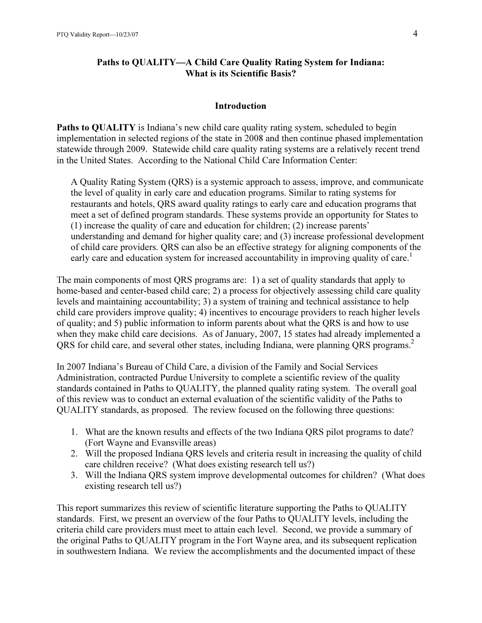#### Paths to QUALITY—A Child Care Quality Rating System for Indiana: What is its Scientific Basis?

#### Introduction

Paths to OUALITY is Indiana's new child care quality rating system, scheduled to begin implementation in selected regions of the state in 2008 and then continue phased implementation statewide through 2009. Statewide child care quality rating systems are a relatively recent trend in the United States. According to the National Child Care Information Center:

A Quality Rating System (QRS) is a systemic approach to assess, improve, and communicate the level of quality in early care and education programs. Similar to rating systems for restaurants and hotels, QRS award quality ratings to early care and education programs that meet a set of defined program standards. These systems provide an opportunity for States to (1) increase the quality of care and education for children; (2) increase parents' understanding and demand for higher quality care; and (3) increase professional development of child care providers. QRS can also be an effective strategy for aligning components of the early care and education system for increased accountability in improving quality of care.<sup>1</sup>

The main components of most QRS programs are: 1) a set of quality standards that apply to home-based and center-based child care; 2) a process for objectively assessing child care quality levels and maintaining accountability; 3) a system of training and technical assistance to help child care providers improve quality; 4) incentives to encourage providers to reach higher levels of quality; and 5) public information to inform parents about what the QRS is and how to use when they make child care decisions. As of January, 2007, 15 states had already implemented a QRS for child care, and several other states, including Indiana, were planning QRS programs.<sup>2</sup>

In 2007 Indiana's Bureau of Child Care, a division of the Family and Social Services Administration, contracted Purdue University to complete a scientific review of the quality standards contained in Paths to QUALITY, the planned quality rating system. The overall goal of this review was to conduct an external evaluation of the scientific validity of the Paths to QUALITY standards, as proposed. The review focused on the following three questions:

- 1. What are the known results and effects of the two Indiana QRS pilot programs to date? (Fort Wayne and Evansville areas)
- 2. Will the proposed Indiana QRS levels and criteria result in increasing the quality of child care children receive? (What does existing research tell us?)
- 3. Will the Indiana QRS system improve developmental outcomes for children? (What does existing research tell us?)

This report summarizes this review of scientific literature supporting the Paths to QUALITY standards. First, we present an overview of the four Paths to QUALITY levels, including the criteria child care providers must meet to attain each level. Second, we provide a summary of the original Paths to QUALITY program in the Fort Wayne area, and its subsequent replication in southwestern Indiana. We review the accomplishments and the documented impact of these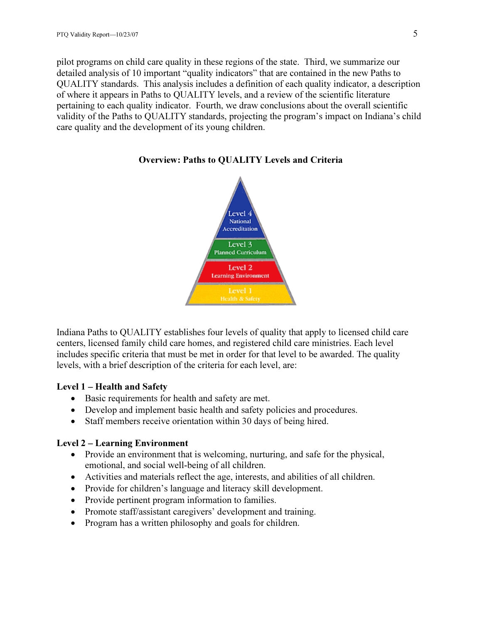pilot programs on child care quality in these regions of the state. Third, we summarize our detailed analysis of 10 important "quality indicators" that are contained in the new Paths to QUALITY standards. This analysis includes a definition of each quality indicator, a description of where it appears in Paths to QUALITY levels, and a review of the scientific literature pertaining to each quality indicator. Fourth, we draw conclusions about the overall scientific validity of the Paths to QUALITY standards, projecting the program's impact on Indiana's child care quality and the development of its young children.



#### Overview: Paths to QUALITY Levels and Criteria

Indiana Paths to QUALITY establishes four levels of quality that apply to licensed child care centers, licensed family child care homes, and registered child care ministries. Each level includes specific criteria that must be met in order for that level to be awarded. The quality levels, with a brief description of the criteria for each level, are:

#### Level 1 – Health and Safety

- Basic requirements for health and safety are met.
- Develop and implement basic health and safety policies and procedures.
- Staff members receive orientation within 30 days of being hired.

#### Level 2 – Learning Environment

- Provide an environment that is welcoming, nurturing, and safe for the physical, emotional, and social well-being of all children.
- Activities and materials reflect the age, interests, and abilities of all children.
- Provide for children's language and literacy skill development.
- Provide pertinent program information to families.
- Promote staff/assistant caregivers' development and training.
- Program has a written philosophy and goals for children.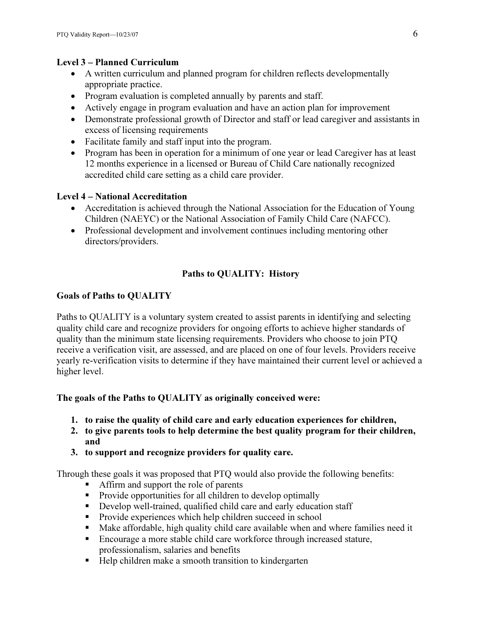## Level 3 – Planned Curriculum

- A written curriculum and planned program for children reflects developmentally appropriate practice.
- Program evaluation is completed annually by parents and staff.
- Actively engage in program evaluation and have an action plan for improvement
- Demonstrate professional growth of Director and staff or lead caregiver and assistants in excess of licensing requirements
- Facilitate family and staff input into the program.
- Program has been in operation for a minimum of one year or lead Caregiver has at least 12 months experience in a licensed or Bureau of Child Care nationally recognized accredited child care setting as a child care provider.

## Level 4 – National Accreditation

- Accreditation is achieved through the National Association for the Education of Young Children (NAEYC) or the National Association of Family Child Care (NAFCC).
- Professional development and involvement continues including mentoring other directors/providers.

## Paths to QUALITY: History

## Goals of Paths to QUALITY

Paths to QUALITY is a voluntary system created to assist parents in identifying and selecting quality child care and recognize providers for ongoing efforts to achieve higher standards of quality than the minimum state licensing requirements. Providers who choose to join PTQ receive a verification visit, are assessed, and are placed on one of four levels. Providers receive yearly re-verification visits to determine if they have maintained their current level or achieved a higher level.

## The goals of the Paths to QUALITY as originally conceived were:

- 1. to raise the quality of child care and early education experiences for children,
- 2. to give parents tools to help determine the best quality program for their children, and
- 3. to support and recognize providers for quality care.

Through these goals it was proposed that PTQ would also provide the following benefits: -

- Affirm and support the role of parents
- Provide opportunities for all children to develop optimally
- Develop well-trained, qualified child care and early education staff
- Provide experiences which help children succeed in school
- Make affordable, high quality child care available when and where families need it
- Encourage a more stable child care workforce through increased stature, professionalism, salaries and benefits
- Help children make a smooth transition to kindergarten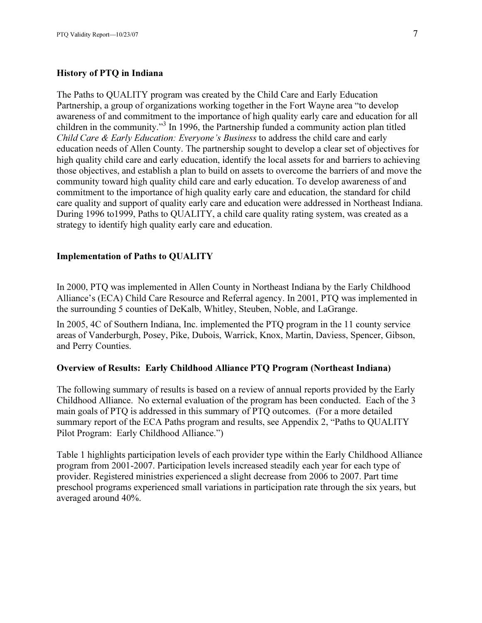#### History of PTQ in Indiana

The Paths to QUALITY program was created by the Child Care and Early Education Partnership, a group of organizations working together in the Fort Wayne area "to develop awareness of and commitment to the importance of high quality early care and education for all children in the community."<sup>3</sup> In 1996, the Partnership funded a community action plan titled Child Care & Early Education: Everyone's Business to address the child care and early education needs of Allen County. The partnership sought to develop a clear set of objectives for high quality child care and early education, identify the local assets for and barriers to achieving those objectives, and establish a plan to build on assets to overcome the barriers of and move the community toward high quality child care and early education. To develop awareness of and commitment to the importance of high quality early care and education, the standard for child care quality and support of quality early care and education were addressed in Northeast Indiana. During 1996 to1999, Paths to QUALITY, a child care quality rating system, was created as a strategy to identify high quality early care and education.

#### Implementation of Paths to QUALITY

In 2000, PTQ was implemented in Allen County in Northeast Indiana by the Early Childhood Alliance's (ECA) Child Care Resource and Referral agency. In 2001, PTQ was implemented in the surrounding 5 counties of DeKalb, Whitley, Steuben, Noble, and LaGrange.

In 2005, 4C of Southern Indiana, Inc. implemented the PTQ program in the 11 county service areas of Vanderburgh, Posey, Pike, Dubois, Warrick, Knox, Martin, Daviess, Spencer, Gibson, and Perry Counties.

#### Overview of Results: Early Childhood Alliance PTQ Program (Northeast Indiana)

The following summary of results is based on a review of annual reports provided by the Early Childhood Alliance. No external evaluation of the program has been conducted. Each of the 3 main goals of PTQ is addressed in this summary of PTQ outcomes. (For a more detailed summary report of the ECA Paths program and results, see Appendix 2, "Paths to QUALITY Pilot Program: Early Childhood Alliance.")

Table 1 highlights participation levels of each provider type within the Early Childhood Alliance program from 2001-2007. Participation levels increased steadily each year for each type of provider. Registered ministries experienced a slight decrease from 2006 to 2007. Part time preschool programs experienced small variations in participation rate through the six years, but averaged around 40%.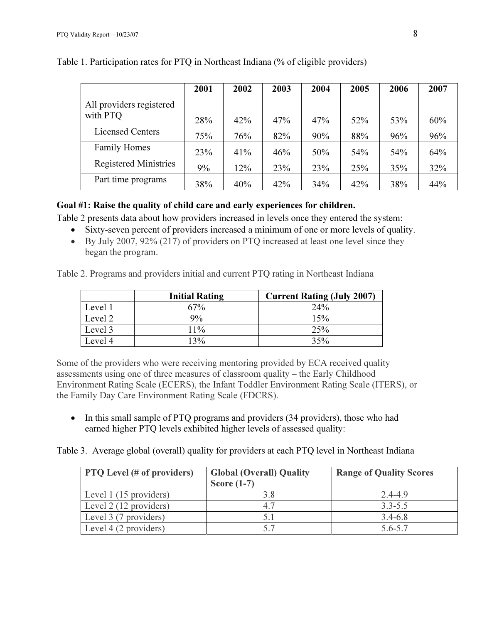|                              | 2001 | 2002 | 2003 | 2004 | 2005 | 2006 | 2007 |
|------------------------------|------|------|------|------|------|------|------|
| All providers registered     |      |      |      |      |      |      |      |
| with PTO                     | 28%  | 42%  | 47%  | 47%  | 52%  | 53%  | 60%  |
| <b>Licensed Centers</b>      | 75%  | 76%  | 82%  | 90%  | 88%  | 96%  | 96%  |
| <b>Family Homes</b>          | 23%  | 41%  | 46%  | 50%  | 54%  | 54%  | 64%  |
| <b>Registered Ministries</b> | 9%   | 12%  | 23%  | 23%  | 25%  | 35%  | 32%  |
| Part time programs           | 38%  | 40%  | 42%  | 34%  | 42%  | 38%  | 44%  |

Table 1. Participation rates for PTQ in Northeast Indiana (% of eligible providers)

## Goal #1: Raise the quality of child care and early experiences for children.

Table 2 presents data about how providers increased in levels once they entered the system:

- Sixty-seven percent of providers increased a minimum of one or more levels of quality.
- By July 2007, 92% (217) of providers on PTQ increased at least one level since they began the program.

Table 2. Programs and providers initial and current PTQ rating in Northeast Indiana

|         | <b>Initial Rating</b> | <b>Current Rating (July 2007)</b> |
|---------|-----------------------|-----------------------------------|
| Level 1 | $7\%$                 | 24%                               |
| Level 2 | 9%                    | 15%                               |
| Level 3 | 11%                   | 25%                               |
| Level 4 | 13%                   | 35%                               |

Some of the providers who were receiving mentoring provided by ECA received quality assessments using one of three measures of classroom quality – the Early Childhood Environment Rating Scale (ECERS), the Infant Toddler Environment Rating Scale (ITERS), or the Family Day Care Environment Rating Scale (FDCRS).

• In this small sample of PTQ programs and providers (34 providers), those who had earned higher PTQ levels exhibited higher levels of assessed quality:

Table 3. Average global (overall) quality for providers at each PTQ level in Northeast Indiana

| <b>PTQ</b> Level (# of providers) | <b>Global (Overall) Quality</b><br>Score $(1-7)$ | <b>Range of Quality Scores</b> |
|-----------------------------------|--------------------------------------------------|--------------------------------|
| Level 1 (15 providers)            | 3.8                                              | $2.4 - 4.9$                    |
| Level 2 (12 providers)            | 4.7                                              | $3.3 - 5.5$                    |
| Level 3 (7 providers)             |                                                  | $3.4 - 6.8$                    |
| Level 4 (2 providers)             |                                                  | $5.6 - 5.7$                    |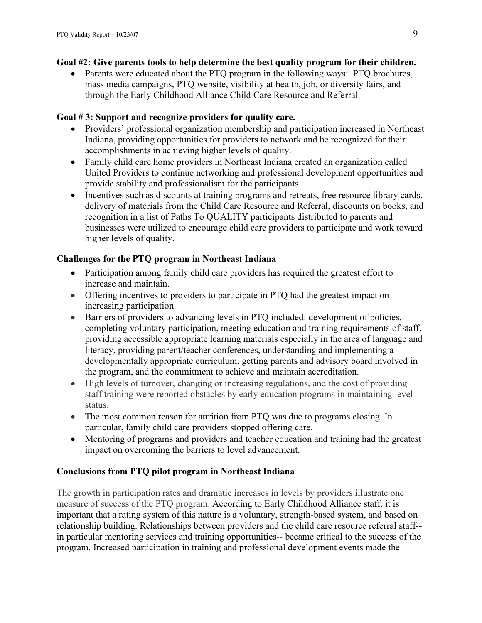## Goal #2: Give parents tools to help determine the best quality program for their children.

• Parents were educated about the PTQ program in the following ways: PTQ brochures, mass media campaigns, PTQ website, visibility at health, job, or diversity fairs, and through the Early Childhood Alliance Child Care Resource and Referral.

## Goal # 3: Support and recognize providers for quality care.

- Providers' professional organization membership and participation increased in Northeast Indiana, providing opportunities for providers to network and be recognized for their accomplishments in achieving higher levels of quality.
- Family child care home providers in Northeast Indiana created an organization called United Providers to continue networking and professional development opportunities and provide stability and professionalism for the participants.
- Incentives such as discounts at training programs and retreats, free resource library cards, delivery of materials from the Child Care Resource and Referral, discounts on books, and recognition in a list of Paths To QUALITY participants distributed to parents and businesses were utilized to encourage child care providers to participate and work toward higher levels of quality.

## Challenges for the PTQ program in Northeast Indiana

- Participation among family child care providers has required the greatest effort to increase and maintain.
- Offering incentives to providers to participate in PTQ had the greatest impact on increasing participation.
- Barriers of providers to advancing levels in PTQ included: development of policies, completing voluntary participation, meeting education and training requirements of staff, providing accessible appropriate learning materials especially in the area of language and literacy, providing parent/teacher conferences, understanding and implementing a developmentally appropriate curriculum, getting parents and advisory board involved in the program, and the commitment to achieve and maintain accreditation.
- High levels of turnover, changing or increasing regulations, and the cost of providing staff training were reported obstacles by early education programs in maintaining level status.
- The most common reason for attrition from PTO was due to programs closing. In particular, family child care providers stopped offering care.
- Mentoring of programs and providers and teacher education and training had the greatest impact on overcoming the barriers to level advancement.

## Conclusions from PTQ pilot program in Northeast Indiana

The growth in participation rates and dramatic increases in levels by providers illustrate one measure of success of the PTQ program. According to Early Childhood Alliance staff, it is important that a rating system of this nature is a voluntary, strength-based system, and based on relationship building. Relationships between providers and the child care resource referral staff- in particular mentoring services and training opportunities-- became critical to the success of the program. Increased participation in training and professional development events made the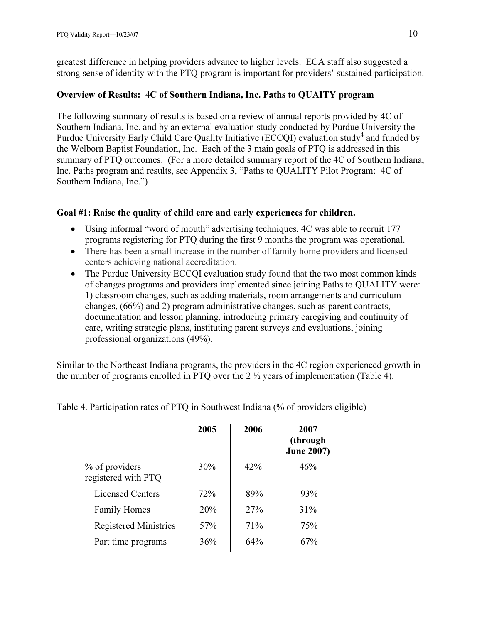greatest difference in helping providers advance to higher levels. ECA staff also suggested a strong sense of identity with the PTQ program is important for providers' sustained participation.

#### Overview of Results: 4C of Southern Indiana, Inc. Paths to QUAITY program

The following summary of results is based on a review of annual reports provided by 4C of Southern Indiana, Inc. and by an external evaluation study conducted by Purdue University the Purdue University Early Child Care Quality Initiative (ECCQI) evaluation study<sup>4</sup> and funded by the Welborn Baptist Foundation, Inc. Each of the 3 main goals of PTQ is addressed in this summary of PTQ outcomes. (For a more detailed summary report of the 4C of Southern Indiana, Inc. Paths program and results, see Appendix 3, "Paths to QUALITY Pilot Program: 4C of Southern Indiana, Inc.")

#### Goal #1: Raise the quality of child care and early experiences for children.

- Using informal "word of mouth" advertising techniques, 4C was able to recruit 177 programs registering for PTQ during the first 9 months the program was operational.
- There has been a small increase in the number of family home providers and licensed centers achieving national accreditation.
- The Purdue University ECCOI evaluation study found that the two most common kinds of changes programs and providers implemented since joining Paths to QUALITY were: 1) classroom changes, such as adding materials, room arrangements and curriculum changes, (66%) and 2) program administrative changes, such as parent contracts, documentation and lesson planning, introducing primary caregiving and continuity of care, writing strategic plans, instituting parent surveys and evaluations, joining professional organizations (49%).

Similar to the Northeast Indiana programs, the providers in the 4C region experienced growth in the number of programs enrolled in PTQ over the 2 ½ years of implementation (Table 4).

|                                       | 2005 | 2006       | 2007<br>(through<br><b>June 2007)</b> |
|---------------------------------------|------|------------|---------------------------------------|
| % of providers<br>registered with PTQ | 30%  | 42%        | 46%                                   |
| <b>Licensed Centers</b>               | 72%  | 89%        | 93%                                   |
| <b>Family Homes</b>                   | 20%  | <b>27%</b> | 31%                                   |
| <b>Registered Ministries</b>          | 57%  | 71%        | 75%                                   |
| Part time programs                    | 36%  | 64%        | 67%                                   |

Table 4. Participation rates of PTQ in Southwest Indiana (% of providers eligible)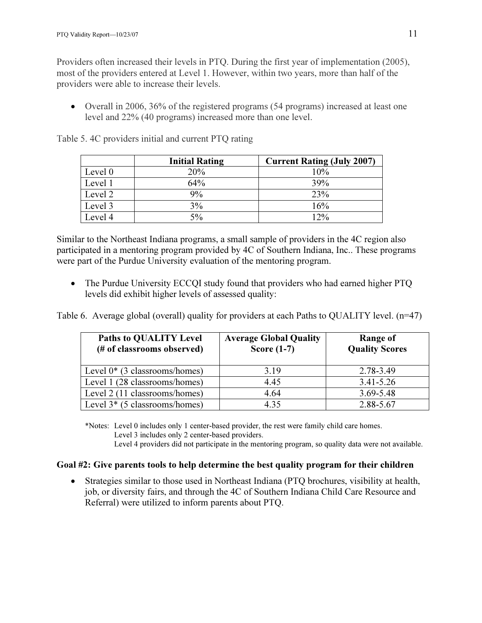Providers often increased their levels in PTQ. During the first year of implementation (2005), most of the providers entered at Level 1. However, within two years, more than half of the providers were able to increase their levels.

• Overall in 2006, 36% of the registered programs (54 programs) increased at least one level and 22% (40 programs) increased more than one level.

|         | <b>Initial Rating</b> | <b>Current Rating (July 2007)</b> |
|---------|-----------------------|-----------------------------------|
| Level 0 | 20%                   | 10%                               |
| Level 1 | 64%                   | 39%                               |
| Level 2 | 9%                    | 23%                               |
| Level 3 | 3%                    | 16%                               |
| Level 4 | 5%                    | 12%                               |

Table 5. 4C providers initial and current PTQ rating

Similar to the Northeast Indiana programs, a small sample of providers in the 4C region also participated in a mentoring program provided by 4C of Southern Indiana, Inc.. These programs were part of the Purdue University evaluation of the mentoring program.

• The Purdue University ECCOI study found that providers who had earned higher PTO levels did exhibit higher levels of assessed quality:

Table 6. Average global (overall) quality for providers at each Paths to QUALITY level. (n=47)

| <b>Paths to QUALITY Level</b><br>(# of classrooms observed) | <b>Average Global Quality</b><br>Score $(1-7)$ | Range of<br><b>Quality Scores</b> |
|-------------------------------------------------------------|------------------------------------------------|-----------------------------------|
| Level $0^*$ (3 classrooms/homes)                            | 3.19                                           | 2.78-3.49                         |
| Level 1 (28 classrooms/homes)                               | 4.45                                           | $3.41 - 5.26$                     |
| Level 2 (11 classrooms/homes)                               | 4.64                                           | $3.69 - 5.48$                     |
| Level $3*(5 \text{ classrooms/homes})$                      | 4.35                                           | 2.88-5.67                         |

\*Notes: Level 0 includes only 1 center-based provider, the rest were family child care homes. Level 3 includes only 2 center-based providers. Level 4 providers did not participate in the mentoring program, so quality data were not available.

#### Goal #2: Give parents tools to help determine the best quality program for their children

• Strategies similar to those used in Northeast Indiana (PTQ brochures, visibility at health, job, or diversity fairs, and through the 4C of Southern Indiana Child Care Resource and Referral) were utilized to inform parents about PTQ.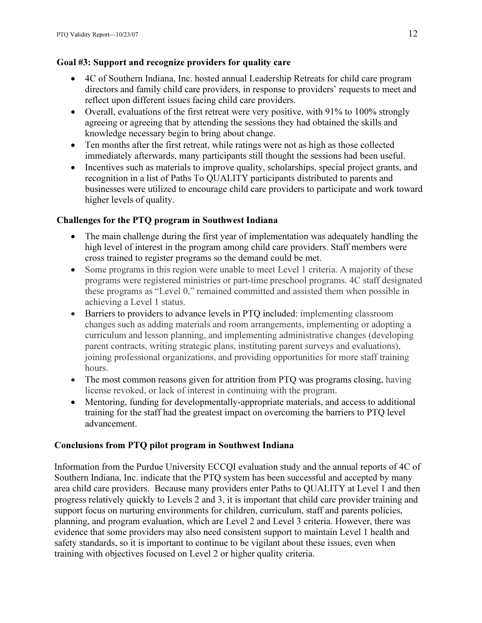## Goal #3: Support and recognize providers for quality care

- 4C of Southern Indiana, Inc. hosted annual Leadership Retreats for child care program directors and family child care providers, in response to providers' requests to meet and reflect upon different issues facing child care providers.
- Overall, evaluations of the first retreat were very positive, with 91% to 100% strongly agreeing or agreeing that by attending the sessions they had obtained the skills and knowledge necessary begin to bring about change.
- Ten months after the first retreat, while ratings were not as high as those collected immediately afterwards, many participants still thought the sessions had been useful.
- Incentives such as materials to improve quality, scholarships, special project grants, and recognition in a list of Paths To QUALITY participants distributed to parents and businesses were utilized to encourage child care providers to participate and work toward higher levels of quality.

## Challenges for the PTQ program in Southwest Indiana

- The main challenge during the first year of implementation was adequately handling the high level of interest in the program among child care providers. Staff members were cross trained to register programs so the demand could be met.
- Some programs in this region were unable to meet Level 1 criteria. A majority of these programs were registered ministries or part-time preschool programs. 4C staff designated these programs as "Level 0," remained committed and assisted them when possible in achieving a Level 1 status.
- Barriers to providers to advance levels in PTQ included: implementing classroom changes such as adding materials and room arrangements, implementing or adopting a curriculum and lesson planning, and implementing administrative changes (developing parent contracts, writing strategic plans, instituting parent surveys and evaluations), joining professional organizations, and providing opportunities for more staff training hours.
- The most common reasons given for attrition from PTQ was programs closing, having license revoked, or lack of interest in continuing with the program.
- Mentoring, funding for developmentally-appropriate materials, and access to additional training for the staff had the greatest impact on overcoming the barriers to PTQ level advancement.

## Conclusions from PTQ pilot program in Southwest Indiana

Information from the Purdue University ECCQI evaluation study and the annual reports of 4C of Southern Indiana, Inc. indicate that the PTQ system has been successful and accepted by many area child care providers. Because many providers enter Paths to QUALITY at Level 1 and then progress relatively quickly to Levels 2 and 3, it is important that child care provider training and support focus on nurturing environments for children, curriculum, staff and parents policies, planning, and program evaluation, which are Level 2 and Level 3 criteria. However, there was evidence that some providers may also need consistent support to maintain Level 1 health and safety standards, so it is important to continue to be vigilant about these issues, even when training with objectives focused on Level 2 or higher quality criteria.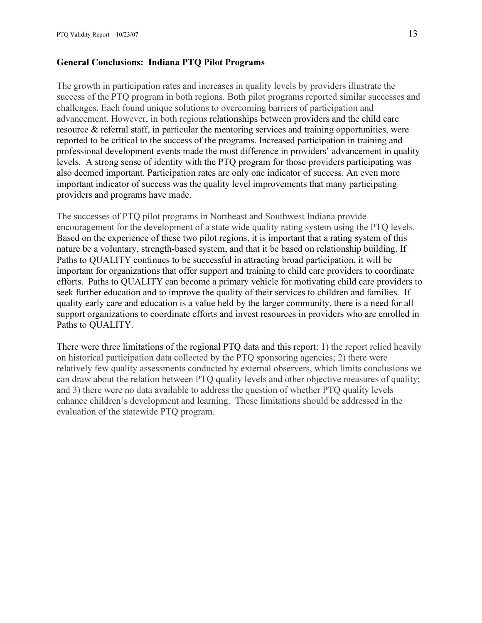#### General Conclusions: Indiana PTQ Pilot Programs

The growth in participation rates and increases in quality levels by providers illustrate the success of the PTQ program in both regions. Both pilot programs reported similar successes and challenges. Each found unique solutions to overcoming barriers of participation and advancement. However, in both regions relationships between providers and the child care resource & referral staff, in particular the mentoring services and training opportunities, were reported to be critical to the success of the programs. Increased participation in training and professional development events made the most difference in providers' advancement in quality levels. A strong sense of identity with the PTQ program for those providers participating was also deemed important. Participation rates are only one indicator of success. An even more important indicator of success was the quality level improvements that many participating providers and programs have made.

The successes of PTQ pilot programs in Northeast and Southwest Indiana provide encouragement for the development of a state wide quality rating system using the PTQ levels. Based on the experience of these two pilot regions, it is important that a rating system of this nature be a voluntary, strength-based system, and that it be based on relationship building. If Paths to QUALITY continues to be successful in attracting broad participation, it will be important for organizations that offer support and training to child care providers to coordinate efforts. Paths to QUALITY can become a primary vehicle for motivating child care providers to seek further education and to improve the quality of their services to children and families. If quality early care and education is a value held by the larger community, there is a need for all support organizations to coordinate efforts and invest resources in providers who are enrolled in Paths to QUALITY.

There were three limitations of the regional PTQ data and this report: 1) the report relied heavily on historical participation data collected by the PTQ sponsoring agencies; 2) there were relatively few quality assessments conducted by external observers, which limits conclusions we can draw about the relation between PTQ quality levels and other objective measures of quality; and 3) there were no data available to address the question of whether PTQ quality levels enhance children's development and learning. These limitations should be addressed in the evaluation of the statewide PTQ program.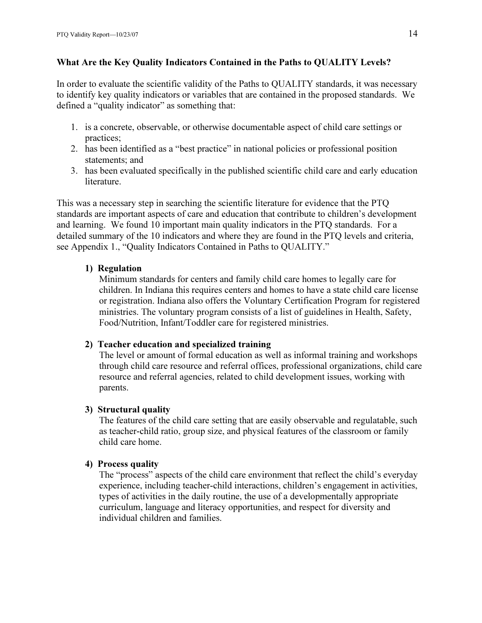#### What Are the Key Quality Indicators Contained in the Paths to QUALITY Levels?

In order to evaluate the scientific validity of the Paths to QUALITY standards, it was necessary to identify key quality indicators or variables that are contained in the proposed standards. We defined a "quality indicator" as something that:

- 1. is a concrete, observable, or otherwise documentable aspect of child care settings or practices;
- 2. has been identified as a "best practice" in national policies or professional position statements; and
- 3. has been evaluated specifically in the published scientific child care and early education literature.

This was a necessary step in searching the scientific literature for evidence that the PTQ standards are important aspects of care and education that contribute to children's development and learning. We found 10 important main quality indicators in the PTQ standards. For a detailed summary of the 10 indicators and where they are found in the PTQ levels and criteria, see Appendix 1., "Quality Indicators Contained in Paths to QUALITY."

#### 1) Regulation

Minimum standards for centers and family child care homes to legally care for children. In Indiana this requires centers and homes to have a state child care license or registration. Indiana also offers the Voluntary Certification Program for registered ministries. The voluntary program consists of a list of guidelines in Health, Safety, Food/Nutrition, Infant/Toddler care for registered ministries.

#### 2) Teacher education and specialized training

The level or amount of formal education as well as informal training and workshops through child care resource and referral offices, professional organizations, child care resource and referral agencies, related to child development issues, working with parents.

#### 3) Structural quality

The features of the child care setting that are easily observable and regulatable, such as teacher-child ratio, group size, and physical features of the classroom or family child care home.

#### 4) Process quality

The "process" aspects of the child care environment that reflect the child's everyday experience, including teacher-child interactions, children's engagement in activities, types of activities in the daily routine, the use of a developmentally appropriate curriculum, language and literacy opportunities, and respect for diversity and individual children and families.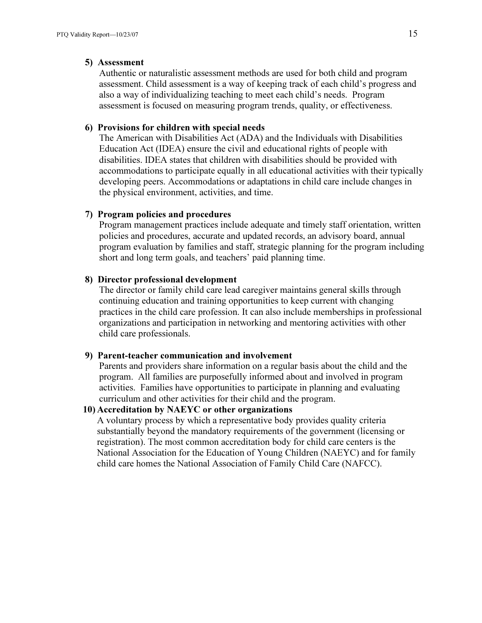#### 5) Assessment

Authentic or naturalistic assessment methods are used for both child and program assessment. Child assessment is a way of keeping track of each child's progress and also a way of individualizing teaching to meet each child's needs. Program assessment is focused on measuring program trends, quality, or effectiveness.

#### 6) Provisions for children with special needs

The American with Disabilities Act (ADA) and the Individuals with Disabilities Education Act (IDEA) ensure the civil and educational rights of people with disabilities. IDEA states that children with disabilities should be provided with accommodations to participate equally in all educational activities with their typically developing peers. Accommodations or adaptations in child care include changes in the physical environment, activities, and time.

#### 7) Program policies and procedures

Program management practices include adequate and timely staff orientation, written policies and procedures, accurate and updated records, an advisory board, annual program evaluation by families and staff, strategic planning for the program including short and long term goals, and teachers' paid planning time.

#### 8) Director professional development

The director or family child care lead caregiver maintains general skills through continuing education and training opportunities to keep current with changing practices in the child care profession. It can also include memberships in professional organizations and participation in networking and mentoring activities with other child care professionals.

#### 9) Parent-teacher communication and involvement

Parents and providers share information on a regular basis about the child and the program. All families are purposefully informed about and involved in program activities. Families have opportunities to participate in planning and evaluating curriculum and other activities for their child and the program.

#### 10) Accreditation by NAEYC or other organizations

A voluntary process by which a representative body provides quality criteria substantially beyond the mandatory requirements of the government (licensing or registration). The most common accreditation body for child care centers is the National Association for the Education of Young Children (NAEYC) and for family child care homes the National Association of Family Child Care (NAFCC).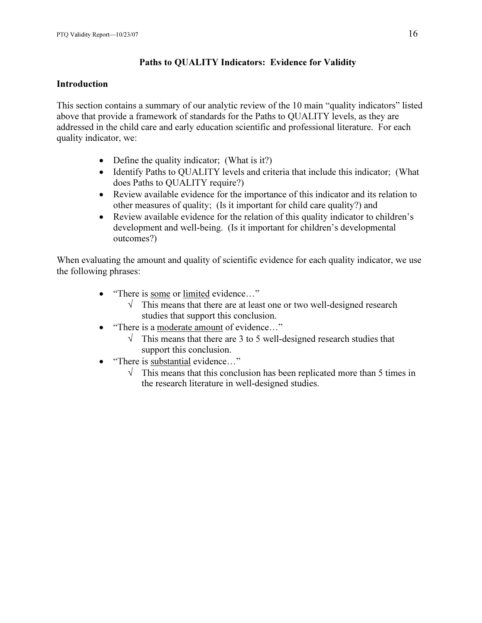## Paths to QUALITY Indicators: Evidence for Validity

## Introduction

This section contains a summary of our analytic review of the 10 main "quality indicators" listed above that provide a framework of standards for the Paths to QUALITY levels, as they are addressed in the child care and early education scientific and professional literature. For each quality indicator, we:

- Define the quality indicator; (What is it?)
- Identify Paths to QUALITY levels and criteria that include this indicator; (What does Paths to QUALITY require?)
- Review available evidence for the importance of this indicator and its relation to other measures of quality; (Is it important for child care quality?) and
- Review available evidence for the relation of this quality indicator to children's development and well-being. (Is it important for children's developmental outcomes?)

When evaluating the amount and quality of scientific evidence for each quality indicator, we use the following phrases:

- "There is some or limited evidence..."
	- $\sqrt{\phantom{a}}$  This means that there are at least one or two well-designed research studies that support this conclusion.
- "There is a moderate amount of evidence..."
	- $\sqrt{\phantom{a}}$  This means that there are 3 to 5 well-designed research studies that support this conclusion.
- "There is substantial evidence..."
	- $\sqrt{\phantom{a}}$  This means that this conclusion has been replicated more than 5 times in the research literature in well-designed studies.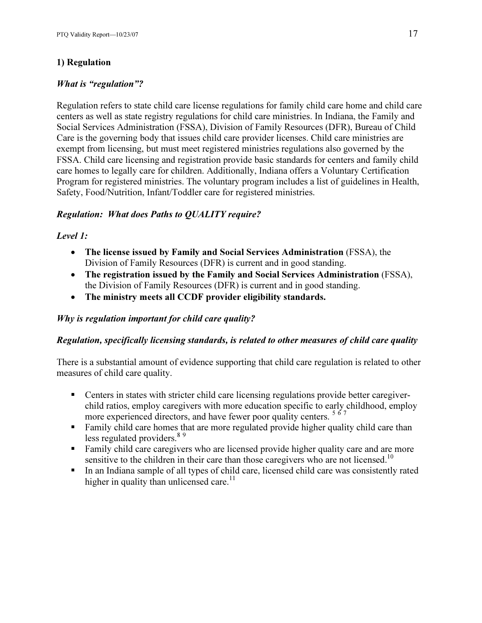## 1) Regulation

## What is "regulation"?

Regulation refers to state child care license regulations for family child care home and child care centers as well as state registry regulations for child care ministries. In Indiana, the Family and Social Services Administration (FSSA), Division of Family Resources (DFR), Bureau of Child Care is the governing body that issues child care provider licenses. Child care ministries are exempt from licensing, but must meet registered ministries regulations also governed by the FSSA. Child care licensing and registration provide basic standards for centers and family child care homes to legally care for children. Additionally, Indiana offers a Voluntary Certification Program for registered ministries. The voluntary program includes a list of guidelines in Health, Safety, Food/Nutrition, Infant/Toddler care for registered ministries.

## Regulation: What does Paths to QUALITY require?

#### Level 1:

- The license issued by Family and Social Services Administration (FSSA), the Division of Family Resources (DFR) is current and in good standing.
- The registration issued by the Family and Social Services Administration (FSSA), the Division of Family Resources (DFR) is current and in good standing.
- The ministry meets all CCDF provider eligibility standards.

#### Why is regulation important for child care quality?

#### Regulation, specifically licensing standards, is related to other measures of child care quality

There is a substantial amount of evidence supporting that child care regulation is related to other measures of child care quality.

- **Centers in states with stricter child care licensing regulations provide better caregiver**child ratios, employ caregivers with more education specific to early childhood, employ more experienced directors, and have fewer poor quality centers.<sup>567</sup>
- **Family child care homes that are more regulated provide higher quality child care than** less regulated providers.<sup>89</sup>
- **Family child care caregivers who are licensed provide higher quality care and are more** sensitive to the children in their care than those caregivers who are not licensed.<sup>10</sup>
- In an Indiana sample of all types of child care, licensed child care was consistently rated higher in quality than unlicensed care.<sup>11</sup>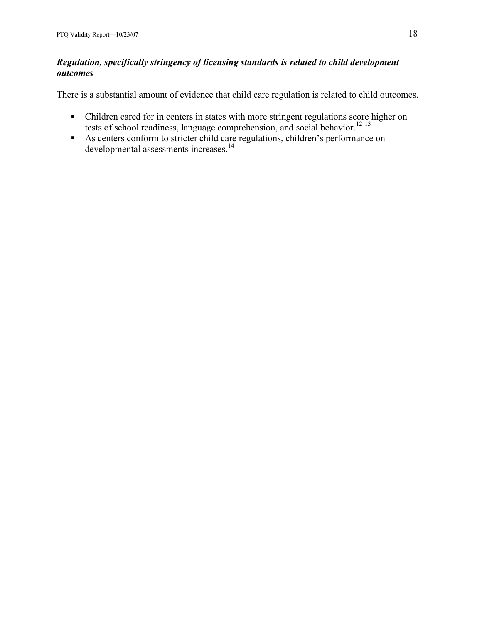## Regulation, specifically stringency of licensing standards is related to child development outcomes

There is a substantial amount of evidence that child care regulation is related to child outcomes.

- Children cared for in centers in states with more stringent regulations score higher on tests of school readiness, language comprehension, and social behavior.<sup>12 13</sup>
- As centers conform to stricter child care regulations, children's performance on developmental assessments increases.<sup>14</sup>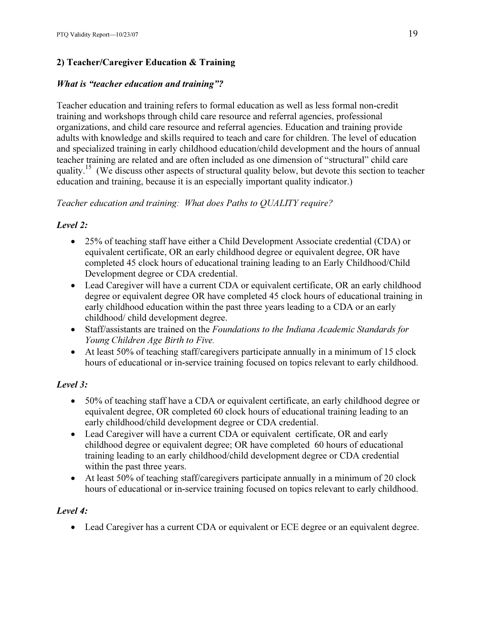## 2) Teacher/Caregiver Education & Training

## What is "teacher education and training"?

Teacher education and training refers to formal education as well as less formal non-credit training and workshops through child care resource and referral agencies, professional organizations, and child care resource and referral agencies. Education and training provide adults with knowledge and skills required to teach and care for children. The level of education and specialized training in early childhood education/child development and the hours of annual teacher training are related and are often included as one dimension of "structural" child care quality.<sup>15</sup> (We discuss other aspects of structural quality below, but devote this section to teacher education and training, because it is an especially important quality indicator.)

## Teacher education and training: What does Paths to QUALITY require?

## Level 2:

- 25% of teaching staff have either a Child Development Associate credential (CDA) or equivalent certificate, OR an early childhood degree or equivalent degree, OR have completed 45 clock hours of educational training leading to an Early Childhood/Child Development degree or CDA credential.
- Lead Caregiver will have a current CDA or equivalent certificate, OR an early childhood degree or equivalent degree OR have completed 45 clock hours of educational training in early childhood education within the past three years leading to a CDA or an early childhood/ child development degree.
- Staff/assistants are trained on the Foundations to the Indiana Academic Standards for Young Children Age Birth to Five.
- At least 50% of teaching staff/caregivers participate annually in a minimum of 15 clock hours of educational or in-service training focused on topics relevant to early childhood.

## Level 3:

- 50% of teaching staff have a CDA or equivalent certificate, an early childhood degree or equivalent degree, OR completed 60 clock hours of educational training leading to an early childhood/child development degree or CDA credential.
- Lead Caregiver will have a current CDA or equivalent certificate, OR and early childhood degree or equivalent degree; OR have completed 60 hours of educational training leading to an early childhood/child development degree or CDA credential within the past three years.
- At least 50% of teaching staff/caregivers participate annually in a minimum of 20 clock hours of educational or in-service training focused on topics relevant to early childhood.

## Level 4:

• Lead Caregiver has a current CDA or equivalent or ECE degree or an equivalent degree.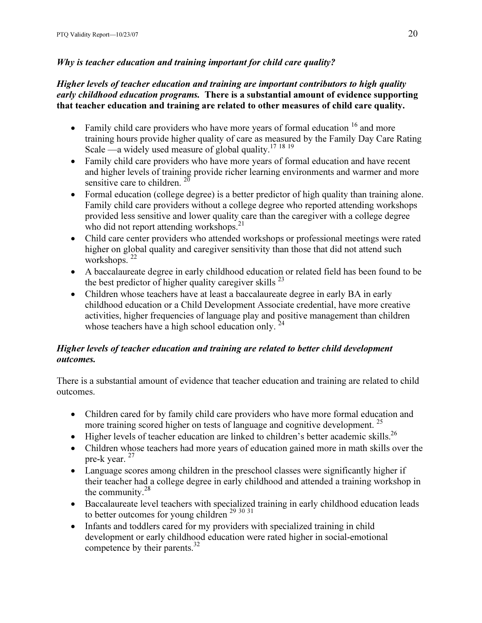## Why is teacher education and training important for child care quality?

#### Higher levels of teacher education and training are important contributors to high quality early childhood education programs. There is a substantial amount of evidence supporting that teacher education and training are related to other measures of child care quality.

- Family child care providers who have more years of formal education  $16$  and more training hours provide higher quality of care as measured by the Family Day Care Rating Scale —a widely used measure of global quality.<sup>17 18 19</sup>
- Family child care providers who have more years of formal education and have recent and higher levels of training provide richer learning environments and warmer and more sensitive care to children.  $2^{\circ}$
- Formal education (college degree) is a better predictor of high quality than training alone. Family child care providers without a college degree who reported attending workshops provided less sensitive and lower quality care than the caregiver with a college degree who did not report attending workshops.<sup>21</sup>
- Child care center providers who attended workshops or professional meetings were rated higher on global quality and caregiver sensitivity than those that did not attend such workshops.<sup>22</sup>
- A baccalaureate degree in early childhood education or related field has been found to be the best predictor of higher quality caregiver skills  $^{23}$
- Children whose teachers have at least a baccalaureate degree in early BA in early childhood education or a Child Development Associate credential, have more creative activities, higher frequencies of language play and positive management than children whose teachers have a high school education only.  $24$

## Higher levels of teacher education and training are related to better child development outcomes.

There is a substantial amount of evidence that teacher education and training are related to child outcomes.

- Children cared for by family child care providers who have more formal education and more training scored higher on tests of language and cognitive development.<sup>25</sup>
- Higher levels of teacher education are linked to children's better academic skills.<sup>26</sup>
- Children whose teachers had more years of education gained more in math skills over the pre-k year.  $27$
- Language scores among children in the preschool classes were significantly higher if their teacher had a college degree in early childhood and attended a training workshop in the community.<sup>28</sup>
- Baccalaureate level teachers with specialized training in early childhood education leads to better outcomes for young children  $29\frac{30\frac{31}{2}}{29\frac{30}{2}}$
- Infants and toddlers cared for my providers with specialized training in child development or early childhood education were rated higher in social-emotional competence by their parents. $^{32}$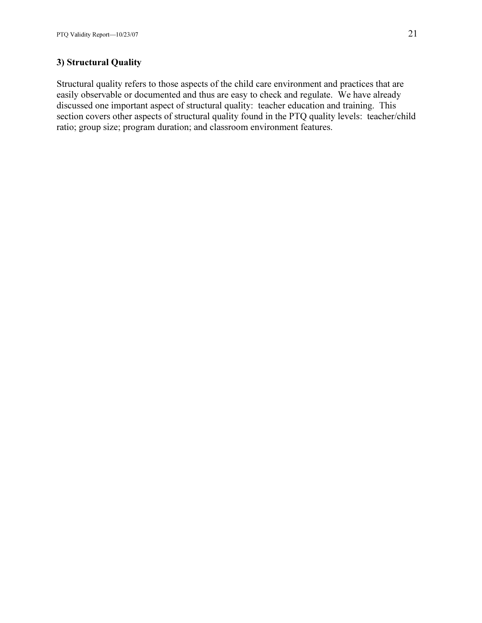## 3) Structural Quality

Structural quality refers to those aspects of the child care environment and practices that are easily observable or documented and thus are easy to check and regulate. We have already discussed one important aspect of structural quality: teacher education and training. This section covers other aspects of structural quality found in the PTQ quality levels: teacher/child ratio; group size; program duration; and classroom environment features.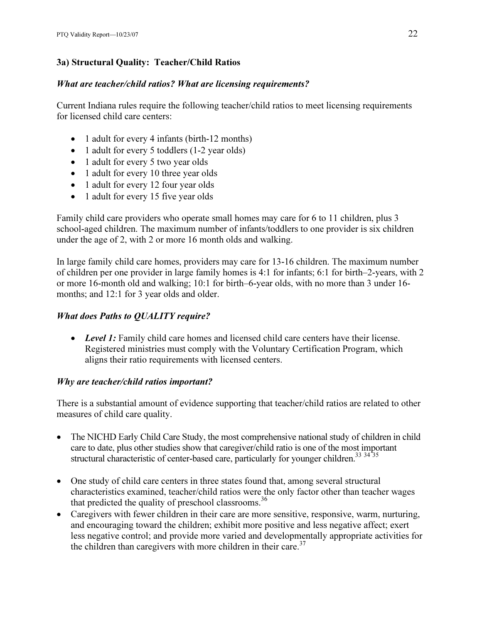## 3a) Structural Quality: Teacher/Child Ratios

## What are teacher/child ratios? What are licensing requirements?

Current Indiana rules require the following teacher/child ratios to meet licensing requirements for licensed child care centers:

- 1 adult for every 4 infants (birth-12 months)
- 1 adult for every 5 toddlers (1-2 year olds)
- 1 adult for every 5 two year olds
- 1 adult for every 10 three year olds
- 1 adult for every 12 four year olds
- 1 adult for every 15 five year olds

Family child care providers who operate small homes may care for 6 to 11 children, plus 3 school-aged children. The maximum number of infants/toddlers to one provider is six children under the age of 2, with 2 or more 16 month olds and walking.

In large family child care homes, providers may care for 13-16 children. The maximum number of children per one provider in large family homes is 4:1 for infants; 6:1 for birth–2-years, with 2 or more 16-month old and walking; 10:1 for birth–6-year olds, with no more than 3 under 16 months; and 12:1 for 3 year olds and older.

## What does Paths to QUALITY require?

• Level 1: Family child care homes and licensed child care centers have their license. Registered ministries must comply with the Voluntary Certification Program, which aligns their ratio requirements with licensed centers.

## Why are teacher/child ratios important?

There is a substantial amount of evidence supporting that teacher/child ratios are related to other measures of child care quality.

- The NICHD Early Child Care Study, the most comprehensive national study of children in child care to date, plus other studies show that caregiver/child ratio is one of the most important structural characteristic of center-based care, particularly for younger children.<sup>33 34</sup><sup>35</sup>
- One study of child care centers in three states found that, among several structural characteristics examined, teacher/child ratios were the only factor other than teacher wages that predicted the quality of preschool classrooms.<sup>36</sup>
- Caregivers with fewer children in their care are more sensitive, responsive, warm, nurturing, and encouraging toward the children; exhibit more positive and less negative affect; exert less negative control; and provide more varied and developmentally appropriate activities for the children than caregivers with more children in their care. $37$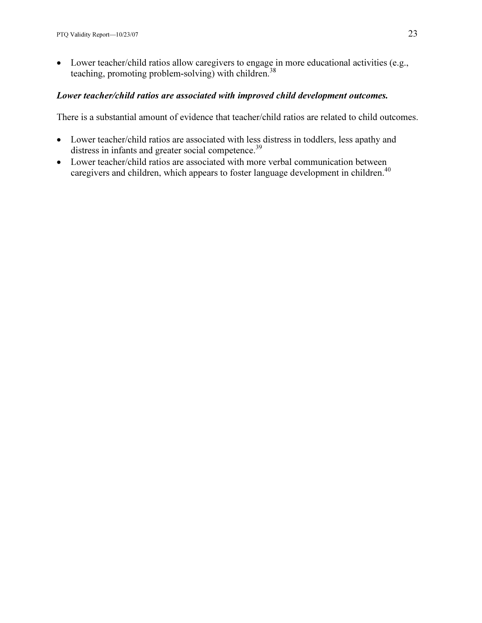• Lower teacher/child ratios allow caregivers to engage in more educational activities (e.g., teaching, promoting problem-solving) with children.<sup>38</sup>

#### Lower teacher/child ratios are associated with improved child development outcomes.

There is a substantial amount of evidence that teacher/child ratios are related to child outcomes.

- Lower teacher/child ratios are associated with less distress in toddlers, less apathy and distress in infants and greater social competence.<sup>39</sup>
- Lower teacher/child ratios are associated with more verbal communication between caregivers and children, which appears to foster language development in children.<sup>40</sup>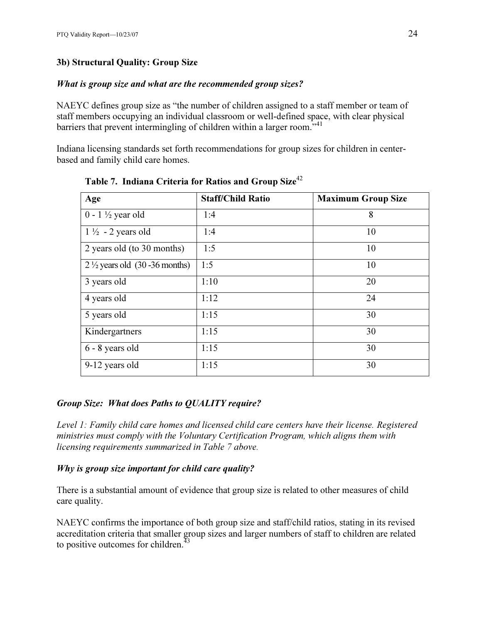## 3b) Structural Quality: Group Size

## What is group size and what are the recommended group sizes?

NAEYC defines group size as "the number of children assigned to a staff member or team of staff members occupying an individual classroom or well-defined space, with clear physical barriers that prevent intermingling of children within a larger room.<sup>"41</sup>

Indiana licensing standards set forth recommendations for group sizes for children in centerbased and family child care homes.

| Age                                      | <b>Staff/Child Ratio</b> | <b>Maximum Group Size</b> |
|------------------------------------------|--------------------------|---------------------------|
| $0 - 1 \frac{1}{2}$ year old             | 1:4                      | 8                         |
| $1\frac{1}{2}$ - 2 years old             | 1:4                      | 10                        |
| 2 years old (to 30 months)               | 1:5                      | 10                        |
| $2\frac{1}{2}$ years old (30 -36 months) | 1:5                      | 10                        |
| 3 years old                              | 1:10                     | 20                        |
| 4 years old                              | 1:12                     | 24                        |
| 5 years old                              | 1:15                     | 30                        |
| Kindergartners                           | 1:15                     | 30                        |
| 6 - 8 years old                          | 1:15                     | 30                        |
| 9-12 years old                           | 1:15                     | 30                        |

Table 7. Indiana Criteria for Ratios and Group Size<sup>42</sup>

## Group Size: What does Paths to QUALITY require?

Level 1: Family child care homes and licensed child care centers have their license. Registered ministries must comply with the Voluntary Certification Program, which aligns them with licensing requirements summarized in Table 7 above.

## Why is group size important for child care quality?

There is a substantial amount of evidence that group size is related to other measures of child care quality.

NAEYC confirms the importance of both group size and staff/child ratios, stating in its revised accreditation criteria that smaller group sizes and larger numbers of staff to children are related to positive outcomes for children.<sup>43</sup>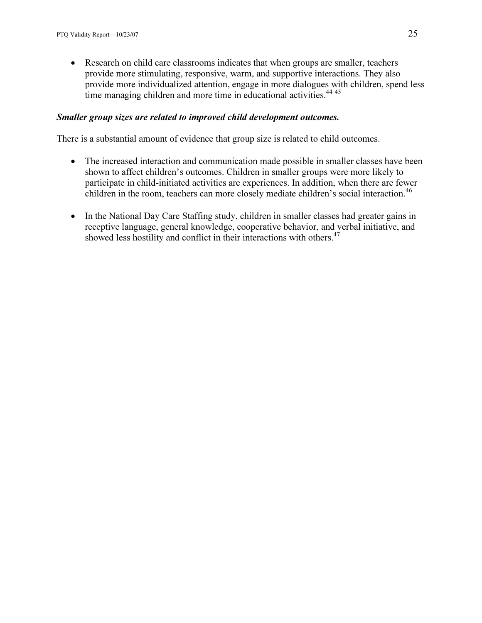• Research on child care classrooms indicates that when groups are smaller, teachers provide more stimulating, responsive, warm, and supportive interactions. They also provide more individualized attention, engage in more dialogues with children, spend less time managing children and more time in educational activities.  $44\frac{45}{2}$ 

#### Smaller group sizes are related to improved child development outcomes.

There is a substantial amount of evidence that group size is related to child outcomes.

- The increased interaction and communication made possible in smaller classes have been shown to affect children's outcomes. Children in smaller groups were more likely to participate in child-initiated activities are experiences. In addition, when there are fewer children in the room, teachers can more closely mediate children's social interaction.<sup>46</sup>
- In the National Day Care Staffing study, children in smaller classes had greater gains in receptive language, general knowledge, cooperative behavior, and verbal initiative, and showed less hostility and conflict in their interactions with others.<sup>47</sup>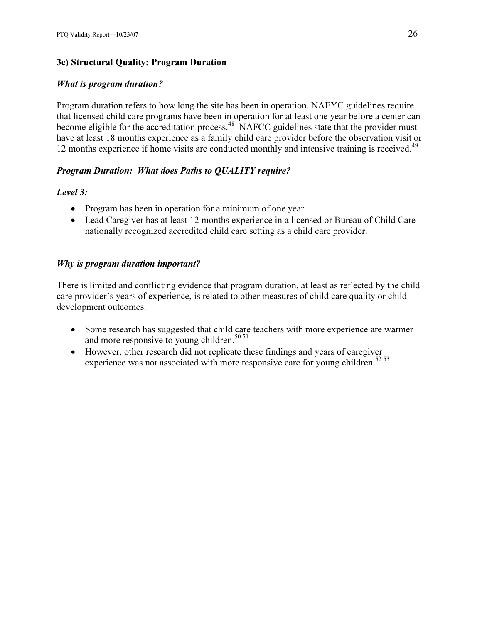## 3c) Structural Quality: Program Duration

## What is program duration?

Program duration refers to how long the site has been in operation. NAEYC guidelines require that licensed child care programs have been in operation for at least one year before a center can become eligible for the accreditation process.<sup>48</sup> NAFCC guidelines state that the provider must have at least 18 months experience as a family child care provider before the observation visit or 12 months experience if home visits are conducted monthly and intensive training is received.<sup>49</sup>

## Program Duration: What does Paths to QUALITY require?

## Level 3:

- Program has been in operation for a minimum of one year.
- Lead Caregiver has at least 12 months experience in a licensed or Bureau of Child Care nationally recognized accredited child care setting as a child care provider.

## Why is program duration important?

There is limited and conflicting evidence that program duration, at least as reflected by the child care provider's years of experience, is related to other measures of child care quality or child development outcomes.

- Some research has suggested that child care teachers with more experience are warmer and more responsive to young children.<sup>50 51</sup>
- However, other research did not replicate these findings and years of caregiver experience was not associated with more responsive care for young children.<sup>52 53</sup>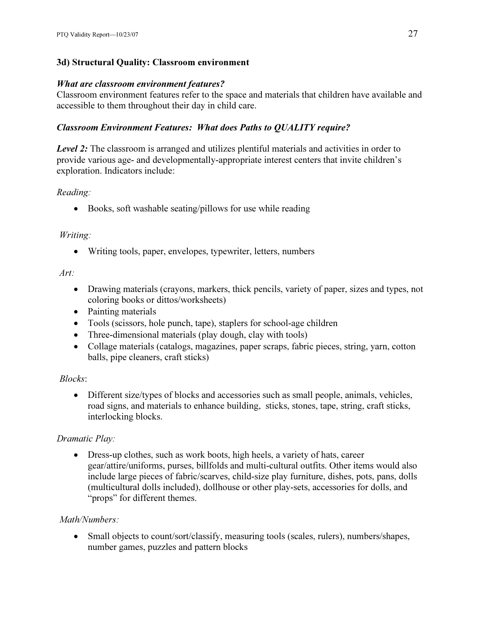## 3d) Structural Quality: Classroom environment

#### What are classroom environment features?

Classroom environment features refer to the space and materials that children have available and accessible to them throughout their day in child care.

#### Classroom Environment Features: What does Paths to QUALITY require?

Level 2: The classroom is arranged and utilizes plentiful materials and activities in order to provide various age- and developmentally-appropriate interest centers that invite children's exploration. Indicators include:

#### Reading:

• Books, soft washable seating/pillows for use while reading

#### Writing:

• Writing tools, paper, envelopes, typewriter, letters, numbers

#### Art:

- Drawing materials (crayons, markers, thick pencils, variety of paper, sizes and types, not coloring books or dittos/worksheets)
- Painting materials
- Tools (scissors, hole punch, tape), staplers for school-age children
- Three-dimensional materials (play dough, clay with tools)
- Collage materials (catalogs, magazines, paper scraps, fabric pieces, string, yarn, cotton balls, pipe cleaners, craft sticks)

#### Blocks:

• Different size/types of blocks and accessories such as small people, animals, vehicles, road signs, and materials to enhance building, sticks, stones, tape, string, craft sticks, interlocking blocks.

#### Dramatic Play:

• Dress-up clothes, such as work boots, high heels, a variety of hats, career gear/attire/uniforms, purses, billfolds and multi-cultural outfits. Other items would also include large pieces of fabric/scarves, child-size play furniture, dishes, pots, pans, dolls (multicultural dolls included), dollhouse or other play-sets, accessories for dolls, and "props" for different themes.

#### Math/Numbers:

• Small objects to count/sort/classify, measuring tools (scales, rulers), numbers/shapes, number games, puzzles and pattern blocks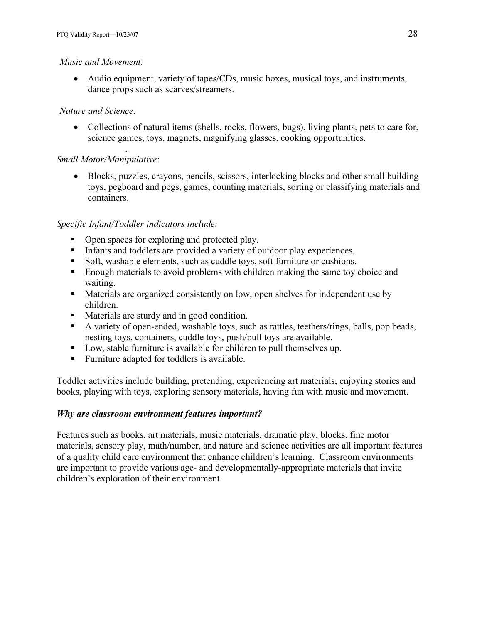#### Music and Movement:

• Audio equipment, variety of tapes/CDs, music boxes, musical toys, and instruments, dance props such as scarves/streamers.

#### Nature and Science:

• Collections of natural items (shells, rocks, flowers, bugs), living plants, pets to care for, science games, toys, magnets, magnifying glasses, cooking opportunities.

#### . Small Motor/Manipulative:

• Blocks, puzzles, crayons, pencils, scissors, interlocking blocks and other small building toys, pegboard and pegs, games, counting materials, sorting or classifying materials and containers.

#### Specific Infant/Toddler indicators include: -

- Open spaces for exploring and protected play.
- Infants and toddlers are provided a variety of outdoor play experiences.
- Soft, washable elements, such as cuddle toys, soft furniture or cushions.
- **Enough materials to avoid problems with children making the same toy choice and** waiting.
- **Materials are organized consistently on low, open shelves for independent use by** children.
- Materials are sturdy and in good condition.
- A variety of open-ended, washable toys, such as rattles, teethers/rings, balls, pop beads, nesting toys, containers, cuddle toys, push/pull toys are available.
- Low, stable furniture is available for children to pull themselves up.
- Furniture adapted for toddlers is available.

Toddler activities include building, pretending, experiencing art materials, enjoying stories and books, playing with toys, exploring sensory materials, having fun with music and movement.

## Why are classroom environment features important?

Features such as books, art materials, music materials, dramatic play, blocks, fine motor materials, sensory play, math/number, and nature and science activities are all important features of a quality child care environment that enhance children's learning. Classroom environments are important to provide various age- and developmentally-appropriate materials that invite children's exploration of their environment.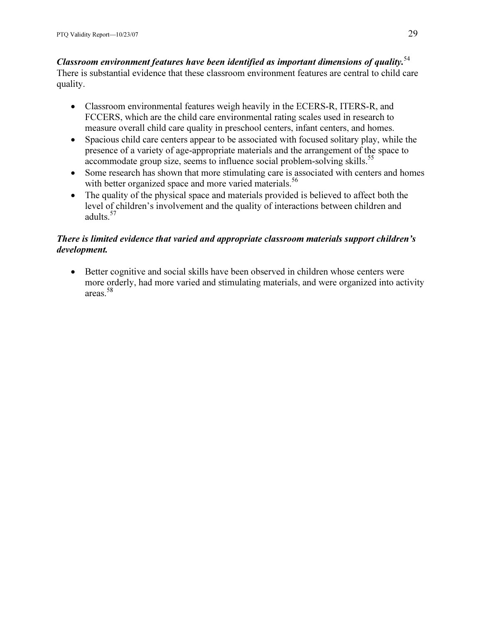### Classroom environment features have been identified as important dimensions of quality.<sup>54</sup> There is substantial evidence that these classroom environment features are central to child care quality.

- Classroom environmental features weigh heavily in the ECERS-R, ITERS-R, and FCCERS, which are the child care environmental rating scales used in research to measure overall child care quality in preschool centers, infant centers, and homes.
- Spacious child care centers appear to be associated with focused solitary play, while the presence of a variety of age-appropriate materials and the arrangement of the space to accommodate group size, seems to influence social problem-solving skills.<sup>55</sup>
- Some research has shown that more stimulating care is associated with centers and homes with better organized space and more varied materials.<sup>56</sup>
- The quality of the physical space and materials provided is believed to affect both the level of children's involvement and the quality of interactions between children and adults.<sup>57</sup>

# There is limited evidence that varied and appropriate classroom materials support children's development.

• Better cognitive and social skills have been observed in children whose centers were more orderly, had more varied and stimulating materials, and were organized into activity areas.<sup>58</sup>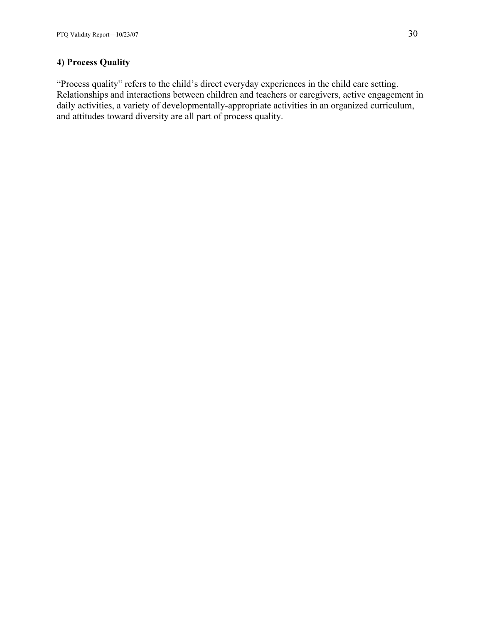# 4) Process Quality

"Process quality" refers to the child's direct everyday experiences in the child care setting. Relationships and interactions between children and teachers or caregivers, active engagement in daily activities, a variety of developmentally-appropriate activities in an organized curriculum, and attitudes toward diversity are all part of process quality.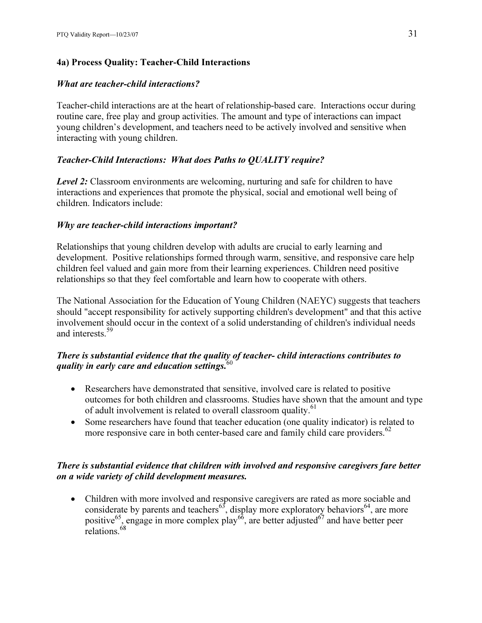# 4a) Process Quality: Teacher-Child Interactions

### What are teacher-child interactions?

Teacher-child interactions are at the heart of relationship-based care. Interactions occur during routine care, free play and group activities. The amount and type of interactions can impact young children's development, and teachers need to be actively involved and sensitive when interacting with young children.

# Teacher-Child Interactions: What does Paths to QUALITY require?

Level 2: Classroom environments are welcoming, nurturing and safe for children to have interactions and experiences that promote the physical, social and emotional well being of children. Indicators include:

### Why are teacher-child interactions important?

Relationships that young children develop with adults are crucial to early learning and development. Positive relationships formed through warm, sensitive, and responsive care help children feel valued and gain more from their learning experiences. Children need positive relationships so that they feel comfortable and learn how to cooperate with others.

The National Association for the Education of Young Children (NAEYC) suggests that teachers should "accept responsibility for actively supporting children's development" and that this active involvement should occur in the context of a solid understanding of children's individual needs and interests <sup>59</sup>

# There is substantial evidence that the quality of teacher- child interactions contributes to quality in early care and education settings.  $60$

- Researchers have demonstrated that sensitive, involved care is related to positive outcomes for both children and classrooms. Studies have shown that the amount and type of adult involvement is related to overall classroom quality.<sup>61</sup>
- Some researchers have found that teacher education (one quality indicator) is related to more responsive care in both center-based care and family child care providers.<sup>62</sup>

# There is substantial evidence that children with involved and responsive caregivers fare better on a wide variety of child development measures.

• Children with more involved and responsive caregivers are rated as more sociable and considerate by parents and teachers<sup>63</sup>, display more exploratory behaviors<sup>64</sup>, are more positive<sup>65</sup>, engage in more complex play<sup>66</sup>, are better adjusted<sup>67</sup> and have better peer relations.<sup>68</sup>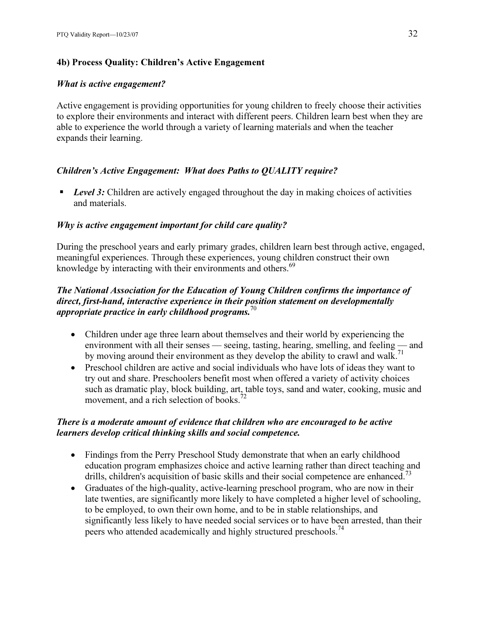### 4b) Process Quality: Children's Active Engagement

### What is active engagement?

Active engagement is providing opportunities for young children to freely choose their activities to explore their environments and interact with different peers. Children learn best when they are able to experience the world through a variety of learning materials and when the teacher expands their learning.

### Children's Active Engagement: What does Paths to QUALITY require?

**Level 3:** Children are actively engaged throughout the day in making choices of activities and materials.

### Why is active engagement important for child care quality?

During the preschool years and early primary grades, children learn best through active, engaged, meaningful experiences. Through these experiences, young children construct their own knowledge by interacting with their environments and others.<sup>69</sup>

### The National Association for the Education of Young Children confirms the importance of direct, first-hand, interactive experience in their position statement on developmentally appropriate practice in early childhood programs.<sup>70</sup>

- Children under age three learn about themselves and their world by experiencing the environment with all their senses — seeing, tasting, hearing, smelling, and feeling — and by moving around their environment as they develop the ability to crawl and walk.<sup>71</sup>
- Preschool children are active and social individuals who have lots of ideas they want to try out and share. Preschoolers benefit most when offered a variety of activity choices such as dramatic play, block building, art, table toys, sand and water, cooking, music and movement, and a rich selection of books.<sup>72</sup>

### There is a moderate amount of evidence that children who are encouraged to be active learners develop critical thinking skills and social competence.

- Findings from the Perry Preschool Study demonstrate that when an early childhood education program emphasizes choice and active learning rather than direct teaching and drills, children's acquisition of basic skills and their social competence are enhanced.<sup>73</sup>
- Graduates of the high-quality, active-learning preschool program, who are now in their late twenties, are significantly more likely to have completed a higher level of schooling, to be employed, to own their own home, and to be in stable relationships, and significantly less likely to have needed social services or to have been arrested, than their peers who attended academically and highly structured preschools.<sup>74</sup>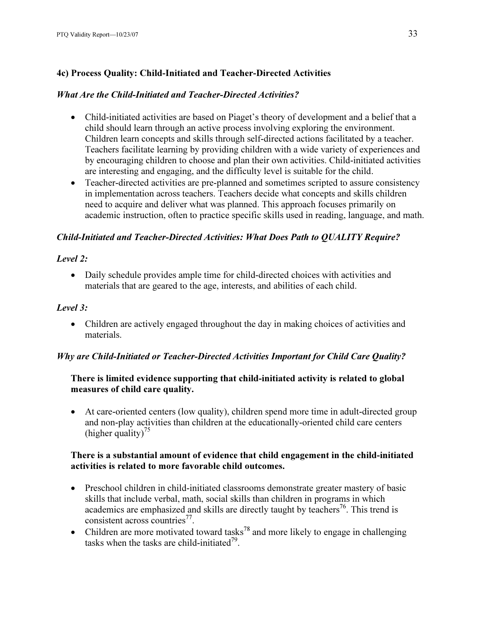# 4c) Process Quality: Child-Initiated and Teacher-Directed Activities

### What Are the Child-Initiated and Teacher-Directed Activities?

- Child-initiated activities are based on Piaget's theory of development and a belief that a child should learn through an active process involving exploring the environment. Children learn concepts and skills through self-directed actions facilitated by a teacher. Teachers facilitate learning by providing children with a wide variety of experiences and by encouraging children to choose and plan their own activities. Child-initiated activities are interesting and engaging, and the difficulty level is suitable for the child.
- Teacher-directed activities are pre-planned and sometimes scripted to assure consistency in implementation across teachers. Teachers decide what concepts and skills children need to acquire and deliver what was planned. This approach focuses primarily on academic instruction, often to practice specific skills used in reading, language, and math.

### Child-Initiated and Teacher-Directed Activities: What Does Path to QUALITY Require?

### Level 2:

• Daily schedule provides ample time for child-directed choices with activities and materials that are geared to the age, interests, and abilities of each child.

### Level 3:

• Children are actively engaged throughout the day in making choices of activities and materials.

# Why are Child-Initiated or Teacher-Directed Activities Important for Child Care Quality?

# There is limited evidence supporting that child-initiated activity is related to global measures of child care quality.

• At care-oriented centers (low quality), children spend more time in adult-directed group and non-play activities than children at the educationally-oriented child care centers (higher quality)<sup>75</sup>

### There is a substantial amount of evidence that child engagement in the child-initiated activities is related to more favorable child outcomes.

- Preschool children in child-initiated classrooms demonstrate greater mastery of basic skills that include verbal, math, social skills than children in programs in which academics are emphasized and skills are directly taught by teachers<sup>76</sup>. This trend is consistent across countries<sup>77</sup>.
- Children are more motivated toward tasks<sup>78</sup> and more likely to engage in challenging tasks when the tasks are child-initiated<sup>79</sup>.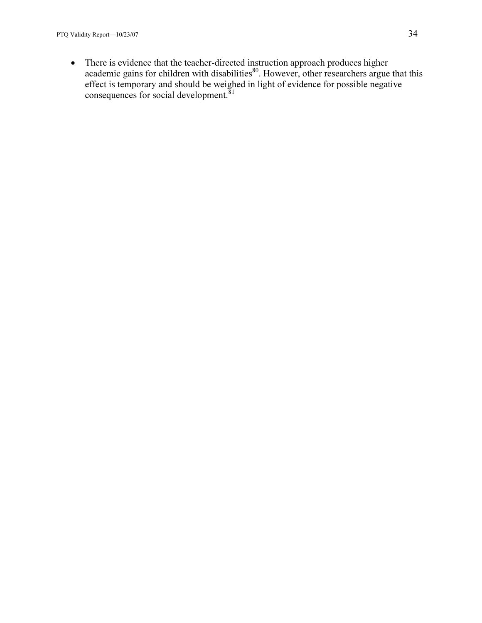• There is evidence that the teacher-directed instruction approach produces higher academic gains for children with disabilities $80$ . However, other researchers argue that this effect is temporary and should be weighed in light of evidence for possible negative consequences for social development.<sup>81</sup>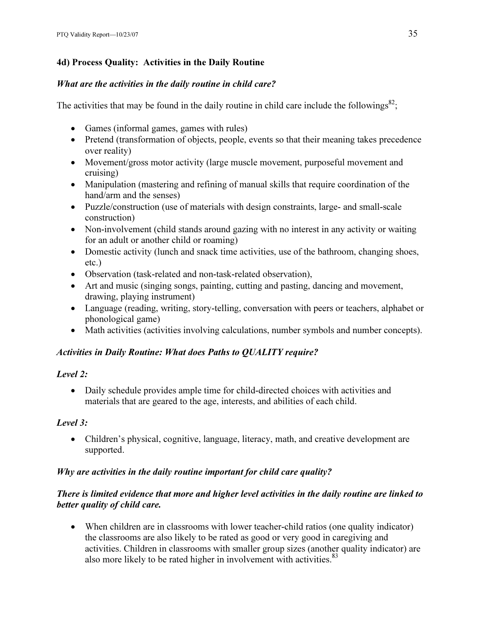# 4d) Process Quality: Activities in the Daily Routine

### What are the activities in the daily routine in child care?

The activities that may be found in the daily routine in child care include the followings<sup>82</sup>;

- Games (informal games, games with rules)
- Pretend (transformation of objects, people, events so that their meaning takes precedence over reality)
- Movement/gross motor activity (large muscle movement, purposeful movement and cruising)
- Manipulation (mastering and refining of manual skills that require coordination of the hand/arm and the senses)
- Puzzle/construction (use of materials with design constraints, large- and small-scale construction)
- Non-involvement (child stands around gazing with no interest in any activity or waiting for an adult or another child or roaming)
- Domestic activity (lunch and snack time activities, use of the bathroom, changing shoes, etc.)
- Observation (task-related and non-task-related observation),
- Art and music (singing songs, painting, cutting and pasting, dancing and movement, drawing, playing instrument)
- Language (reading, writing, story-telling, conversation with peers or teachers, alphabet or phonological game)
- Math activities (activities involving calculations, number symbols and number concepts).

# Activities in Daily Routine: What does Paths to QUALITY require?

# Level 2:

• Daily schedule provides ample time for child-directed choices with activities and materials that are geared to the age, interests, and abilities of each child.

# Level 3:

• Children's physical, cognitive, language, literacy, math, and creative development are supported.

# Why are activities in the daily routine important for child care quality?

# There is limited evidence that more and higher level activities in the daily routine are linked to better quality of child care.

• When children are in classrooms with lower teacher-child ratios (one quality indicator) the classrooms are also likely to be rated as good or very good in caregiving and activities. Children in classrooms with smaller group sizes (another quality indicator) are also more likely to be rated higher in involvement with activities.<sup>83</sup>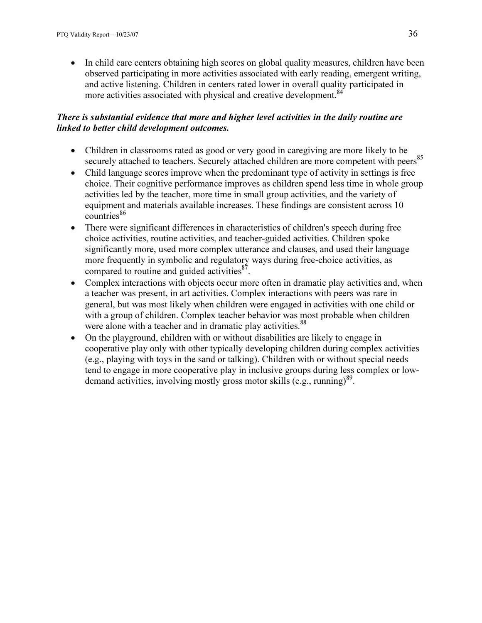• In child care centers obtaining high scores on global quality measures, children have been observed participating in more activities associated with early reading, emergent writing, and active listening. Children in centers rated lower in overall quality participated in more activities associated with physical and creative development.<sup>84</sup>

### There is substantial evidence that more and higher level activities in the daily routine are linked to better child development outcomes.

- Children in classrooms rated as good or very good in caregiving are more likely to be securely attached to teachers. Securely attached children are more competent with peers<sup>85</sup>
- Child language scores improve when the predominant type of activity in settings is free choice. Their cognitive performance improves as children spend less time in whole group activities led by the teacher, more time in small group activities, and the variety of equipment and materials available increases. These findings are consistent across 10  $countries<sup>86</sup>$
- There were significant differences in characteristics of children's speech during free choice activities, routine activities, and teacher-guided activities. Children spoke significantly more, used more complex utterance and clauses, and used their language more frequently in symbolic and regulatory ways during free-choice activities, as compared to routine and guided activities $87$ .
- Complex interactions with objects occur more often in dramatic play activities and, when a teacher was present, in art activities. Complex interactions with peers was rare in general, but was most likely when children were engaged in activities with one child or with a group of children. Complex teacher behavior was most probable when children were alone with a teacher and in dramatic play activities.<sup>88</sup>
- On the playground, children with or without disabilities are likely to engage in cooperative play only with other typically developing children during complex activities (e.g., playing with toys in the sand or talking). Children with or without special needs tend to engage in more cooperative play in inclusive groups during less complex or lowdemand activities, involving mostly gross motor skills (e.g., running)<sup>89</sup>.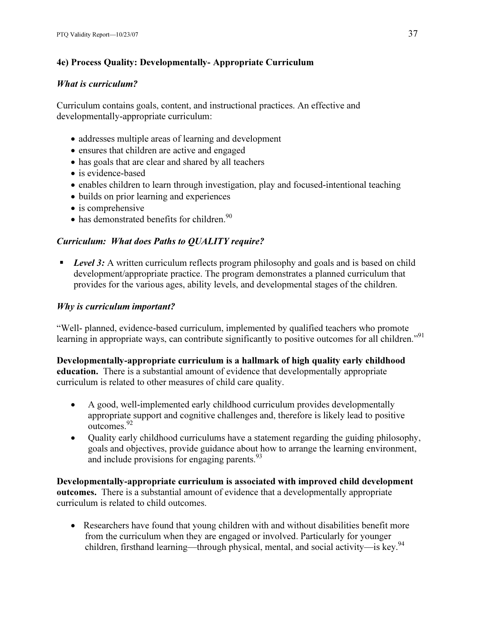# 4e) Process Quality: Developmentally- Appropriate Curriculum

# What is curriculum?

Curriculum contains goals, content, and instructional practices. An effective and developmentally-appropriate curriculum:

- addresses multiple areas of learning and development
- ensures that children are active and engaged
- has goals that are clear and shared by all teachers
- is evidence-based
- enables children to learn through investigation, play and focused-intentional teaching
- builds on prior learning and experiences
- is comprehensive
- $\bullet$  has demonstrated benefits for children.  $90$

# Curriculum: What does Paths to QUALITY require?

**Level 3:** A written curriculum reflects program philosophy and goals and is based on child development/appropriate practice. The program demonstrates a planned curriculum that provides for the various ages, ability levels, and developmental stages of the children.

# Why is curriculum important?

"Well- planned, evidence-based curriculum, implemented by qualified teachers who promote learning in appropriate ways, can contribute significantly to positive outcomes for all children."<sup>91</sup>

# Developmentally-appropriate curriculum is a hallmark of high quality early childhood

education. There is a substantial amount of evidence that developmentally appropriate curriculum is related to other measures of child care quality.

- A good, well-implemented early childhood curriculum provides developmentally appropriate support and cognitive challenges and, therefore is likely lead to positive outcomes.<sup>92</sup>
- Quality early childhood curriculums have a statement regarding the guiding philosophy, goals and objectives, provide guidance about how to arrange the learning environment, and include provisions for engaging parents. $93$

Developmentally-appropriate curriculum is associated with improved child development outcomes. There is a substantial amount of evidence that a developmentally appropriate curriculum is related to child outcomes.

• Researchers have found that young children with and without disabilities benefit more from the curriculum when they are engaged or involved. Particularly for younger children, firsthand learning—through physical, mental, and social activity—is key.<sup>94</sup>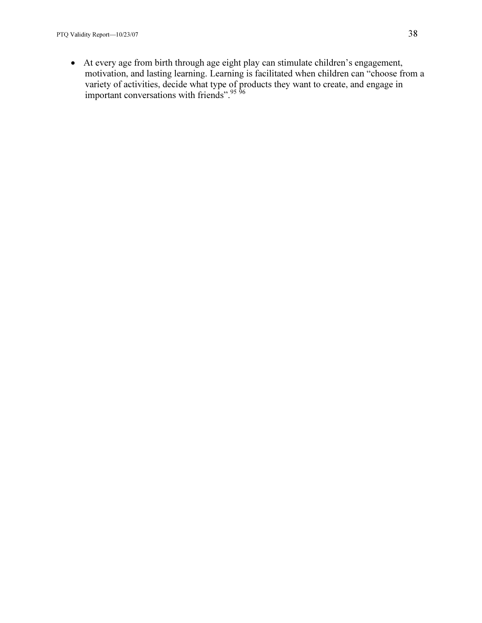• At every age from birth through age eight play can stimulate children's engagement, motivation, and lasting learning. Learning is facilitated when children can "choose from a variety of activities, decide what type of products they want to create, and engage in important conversations with friends".<sup>95 96</sup>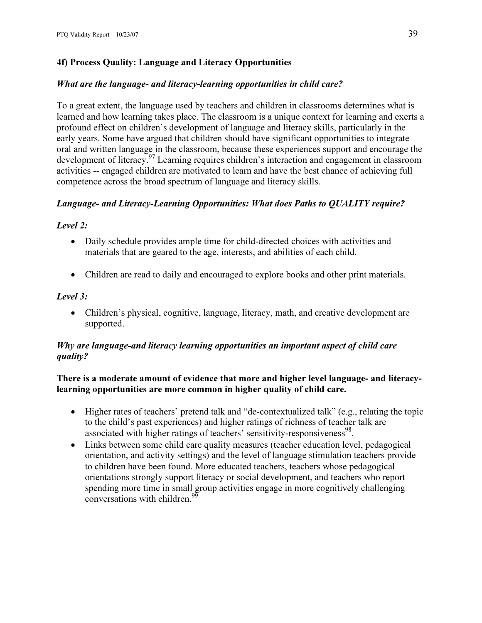# 4f) Process Quality: Language and Literacy Opportunities

# What are the language- and literacy-learning opportunities in child care?

To a great extent, the language used by teachers and children in classrooms determines what is learned and how learning takes place. The classroom is a unique context for learning and exerts a profound effect on children's development of language and literacy skills, particularly in the early years. Some have argued that children should have significant opportunities to integrate oral and written language in the classroom, because these experiences support and encourage the development of literacy.<sup>97</sup> Learning requires children's interaction and engagement in classroom activities -- engaged children are motivated to learn and have the best chance of achieving full competence across the broad spectrum of language and literacy skills.

# Language- and Literacy-Learning Opportunities: What does Paths to QUALITY require?

# Level 2:

- Daily schedule provides ample time for child-directed choices with activities and materials that are geared to the age, interests, and abilities of each child.
- Children are read to daily and encouraged to explore books and other print materials.

# Level 3:

• Children's physical, cognitive, language, literacy, math, and creative development are supported.

# Why are language-and literacy learning opportunities an important aspect of child care quality?

# There is a moderate amount of evidence that more and higher level language- and literacylearning opportunities are more common in higher quality of child care.

- Higher rates of teachers' pretend talk and "de-contextualized talk" (e.g., relating the topic to the child's past experiences) and higher ratings of richness of teacher talk are associated with higher ratings of teachers' sensitivity-responsiveness<sup>98</sup>.
- Links between some child care quality measures (teacher education level, pedagogical orientation, and activity settings) and the level of language stimulation teachers provide to children have been found. More educated teachers, teachers whose pedagogical orientations strongly support literacy or social development, and teachers who report spending more time in small group activities engage in more cognitively challenging conversations with children.<sup>9</sup>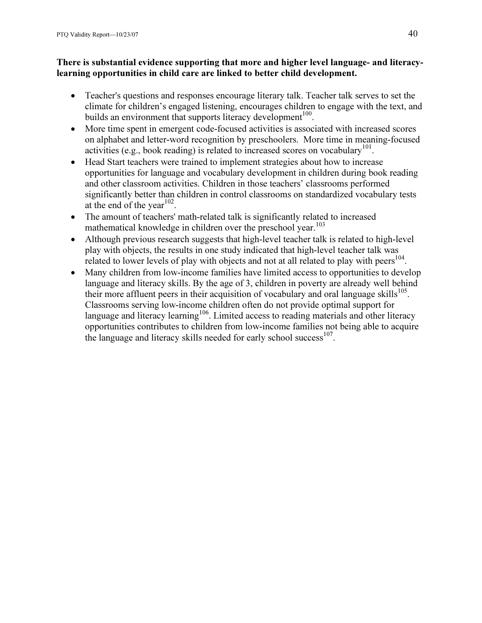### There is substantial evidence supporting that more and higher level language- and literacylearning opportunities in child care are linked to better child development.

- Teacher's questions and responses encourage literary talk. Teacher talk serves to set the climate for children's engaged listening, encourages children to engage with the text, and builds an environment that supports literacy development<sup>100</sup>.
- More time spent in emergent code-focused activities is associated with increased scores on alphabet and letter-word recognition by preschoolers. More time in meaning-focused activities (e.g., book reading) is related to increased scores on vocabulary<sup>101</sup>.
- Head Start teachers were trained to implement strategies about how to increase opportunities for language and vocabulary development in children during book reading and other classroom activities. Children in those teachers' classrooms performed significantly better than children in control classrooms on standardized vocabulary tests at the end of the year<sup>102</sup>.
- The amount of teachers' math-related talk is significantly related to increased mathematical knowledge in children over the preschool year.<sup>103</sup>
- Although previous research suggests that high-level teacher talk is related to high-level play with objects, the results in one study indicated that high-level teacher talk was related to lower levels of play with objects and not at all related to play with peers<sup>104</sup>.
- Many children from low-income families have limited access to opportunities to develop language and literacy skills. By the age of 3, children in poverty are already well behind their more affluent peers in their acquisition of vocabulary and oral language skills<sup>105</sup>. Classrooms serving low-income children often do not provide optimal support for language and literacy learning<sup>106</sup>. Limited access to reading materials and other literacy opportunities contributes to children from low-income families not being able to acquire the language and literacy skills needed for early school success<sup>107</sup>.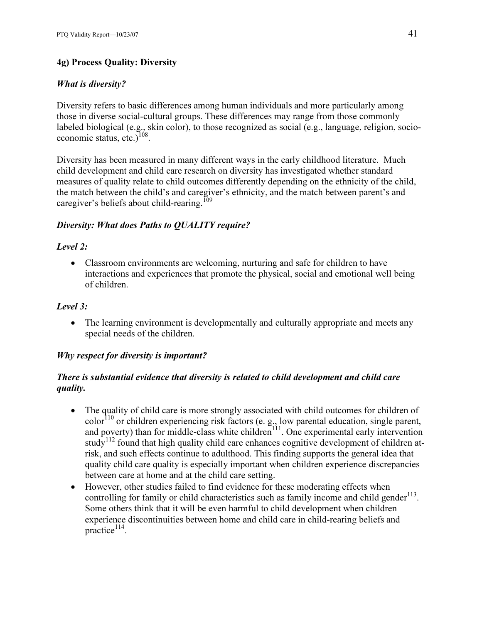# 4g) Process Quality: Diversity

# What is diversity?

Diversity refers to basic differences among human individuals and more particularly among those in diverse social-cultural groups. These differences may range from those commonly labeled biological (e.g., skin color), to those recognized as social (e.g., language, religion, socioeconomic status, etc.) $108$ .

Diversity has been measured in many different ways in the early childhood literature. Much child development and child care research on diversity has investigated whether standard measures of quality relate to child outcomes differently depending on the ethnicity of the child, the match between the child's and caregiver's ethnicity, and the match between parent's and caregiver's beliefs about child-rearing.<sup>109</sup>

### Diversity: What does Paths to QUALITY require?

### Level 2:

• Classroom environments are welcoming, nurturing and safe for children to have interactions and experiences that promote the physical, social and emotional well being of children.

### Level 3:

• The learning environment is developmentally and culturally appropriate and meets any special needs of the children.

### Why respect for diversity is important?

# There is substantial evidence that diversity is related to child development and child care quality.

- The quality of child care is more strongly associated with child outcomes for children of  $\cot^{-110}$  or children experiencing risk factors (e. g., low parental education, single parent, and poverty) than for middle-class white children<sup>111</sup>. One experimental early intervention study<sup>112</sup> found that high quality child care enhances cognitive development of children atrisk, and such effects continue to adulthood. This finding supports the general idea that quality child care quality is especially important when children experience discrepancies between care at home and at the child care setting.
- However, other studies failed to find evidence for these moderating effects when controlling for family or child characteristics such as family income and child gender $^{113}$ . Some others think that it will be even harmful to child development when children experience discontinuities between home and child care in child-rearing beliefs and  $practive$ <sup>114</sup>.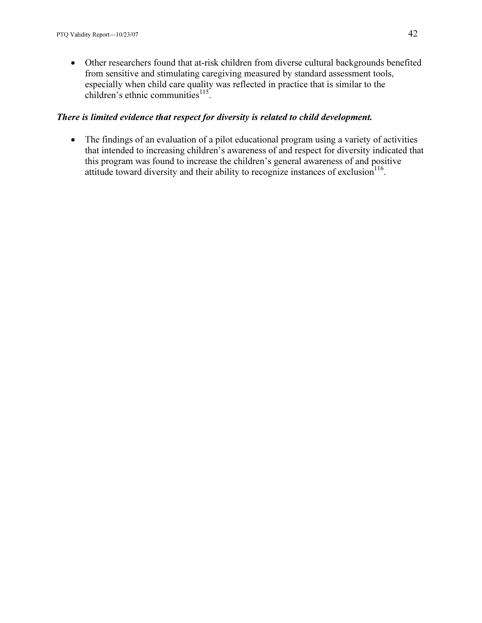• Other researchers found that at-risk children from diverse cultural backgrounds benefited from sensitive and stimulating caregiving measured by standard assessment tools, especially when child care quality was reflected in practice that is similar to the children's ethnic communities $^{115}$ .

### There is limited evidence that respect for diversity is related to child development.

• The findings of an evaluation of a pilot educational program using a variety of activities that intended to increasing children's awareness of and respect for diversity indicated that this program was found to increase the children's general awareness of and positive attitude toward diversity and their ability to recognize instances of exclusion<sup>116</sup>.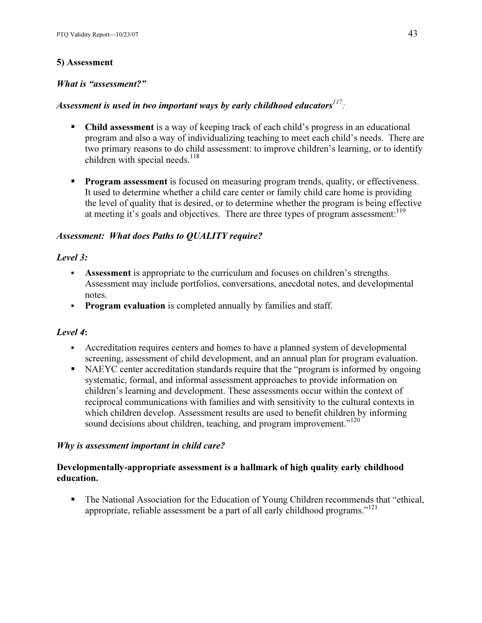### 5) Assessment

### What is "assessment?"

# Assessment is used in two important ways by early childhood educators $^{117}$ :

- Child assessment is a way of keeping track of each child's progress in an educational program and also a way of individualizing teaching to meet each child's needs. There are two primary reasons to do child assessment: to improve children's learning, or to identify children with special needs.<sup>118</sup>
- **Program assessment** is focused on measuring program trends, quality, or effectiveness. It used to determine whether a child care center or family child care home is providing the level of quality that is desired, or to determine whether the program is being effective at meeting it's goals and objectives. There are three types of program assessment:<sup>119</sup>

### Assessment: What does Paths to QUALITY require?

### Level 3:

- **Assessment** is appropriate to the curriculum and focuses on children's strengths. Assessment may include portfolios, conversations, anecdotal notes, and developmental notes.
- INCES.<br>**Program evaluation** is completed annually by families and staff.

### Level 4:

- Accreditation requires centers and homes to have a planned system of developmental screening, assessment of child development, and an annual plan for program evaluation.
- NAEYC center accreditation standards require that the "program is informed by ongoing systematic, formal, and informal assessment approaches to provide information on children's learning and development. These assessments occur within the context of reciprocal communications with families and with sensitivity to the cultural contexts in which children develop. Assessment results are used to benefit children by informing sound decisions about children, teaching, and program improvement."<sup>120</sup>

### Why is assessment important in child care?

### Developmentally-appropriate assessment is a hallmark of high quality early childhood education.

 The National Association for the Education of Young Children recommends that "ethical, appropriate, reliable assessment be a part of all early childhood programs."<sup>121</sup>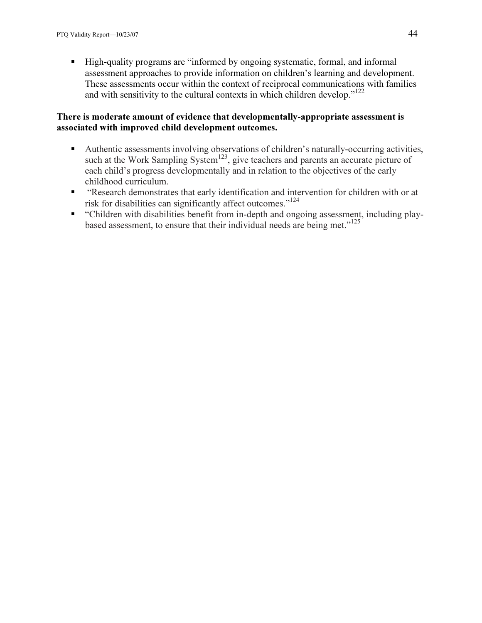High-quality programs are "informed by ongoing systematic, formal, and informal assessment approaches to provide information on children's learning and development. These assessments occur within the context of reciprocal communications with families and with sensitivity to the cultural contexts in which children develop."<sup>122</sup>

### There is moderate amount of evidence that developmentally-appropriate assessment is associated with improved child development outcomes.

- Authentic assessments involving observations of children's naturally-occurring activities, such at the Work Sampling System<sup>123</sup>, give teachers and parents an accurate picture of each child's progress developmentally and in relation to the objectives of the early childhood curriculum.
- "Research demonstrates that early identification and intervention for children with or at risk for disabilities can significantly affect outcomes."<sup>124</sup>
- "Children with disabilities benefit from in-depth and ongoing assessment, including playbased assessment, to ensure that their individual needs are being met."<sup>125</sup>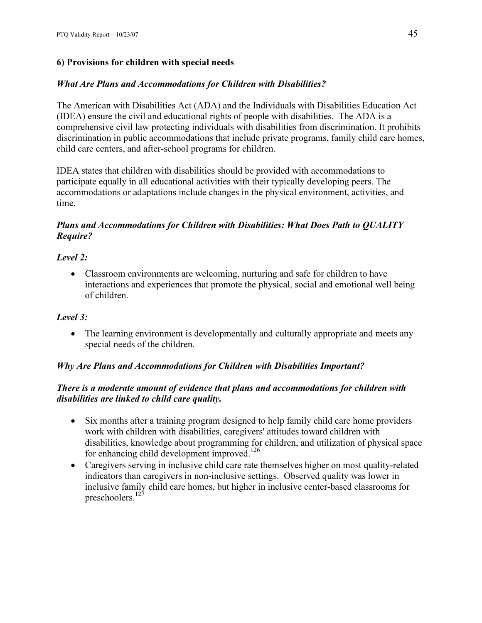# 6) Provisions for children with special needs

# What Are Plans and Accommodations for Children with Disabilities?

The American with Disabilities Act (ADA) and the Individuals with Disabilities Education Act (IDEA) ensure the civil and educational rights of people with disabilities. The ADA is a comprehensive civil law protecting individuals with disabilities from discrimination. It prohibits discrimination in public accommodations that include private programs, family child care homes, child care centers, and after-school programs for children.

IDEA states that children with disabilities should be provided with accommodations to participate equally in all educational activities with their typically developing peers. The accommodations or adaptations include changes in the physical environment, activities, and time.

### Plans and Accommodations for Children with Disabilities: What Does Path to QUALITY Require?

# Level 2:

• Classroom environments are welcoming, nurturing and safe for children to have interactions and experiences that promote the physical, social and emotional well being of children.

# Level 3:

• The learning environment is developmentally and culturally appropriate and meets any special needs of the children.

# Why Are Plans and Accommodations for Children with Disabilities Important?

# There is a moderate amount of evidence that plans and accommodations for children with disabilities are linked to child care quality.

- Six months after a training program designed to help family child care home providers work with children with disabilities, caregivers' attitudes toward children with disabilities, knowledge about programming for children, and utilization of physical space for enhancing child development improved.<sup>126</sup>
- Caregivers serving in inclusive child care rate themselves higher on most quality-related indicators than caregivers in non-inclusive settings. Observed quality was lower in inclusive family child care homes, but higher in inclusive center-based classrooms for preschoolers.<sup>127</sup>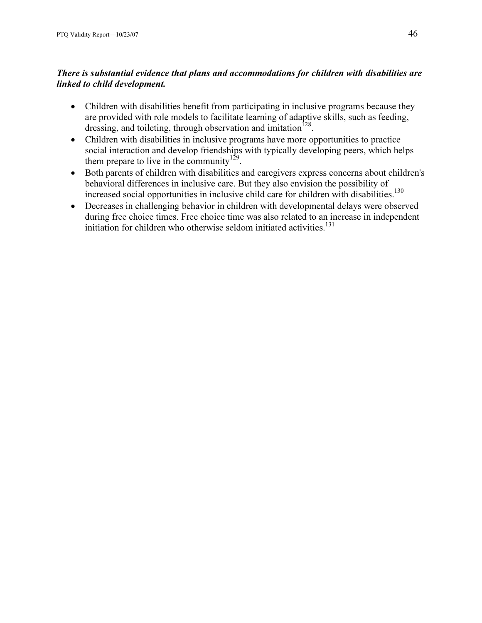# There is substantial evidence that plans and accommodations for children with disabilities are linked to child development.

- Children with disabilities benefit from participating in inclusive programs because they are provided with role models to facilitate learning of adaptive skills, such as feeding, dressing, and toileting, through observation and imitation<sup>128</sup>.
- Children with disabilities in inclusive programs have more opportunities to practice social interaction and develop friendships with typically developing peers, which helps them prepare to live in the community<sup>129</sup>.
- Both parents of children with disabilities and caregivers express concerns about children's behavioral differences in inclusive care. But they also envision the possibility of increased social opportunities in inclusive child care for children with disabilities.<sup>130</sup>
- Decreases in challenging behavior in children with developmental delays were observed during free choice times. Free choice time was also related to an increase in independent initiation for children who otherwise seldom initiated activities.<sup>131</sup>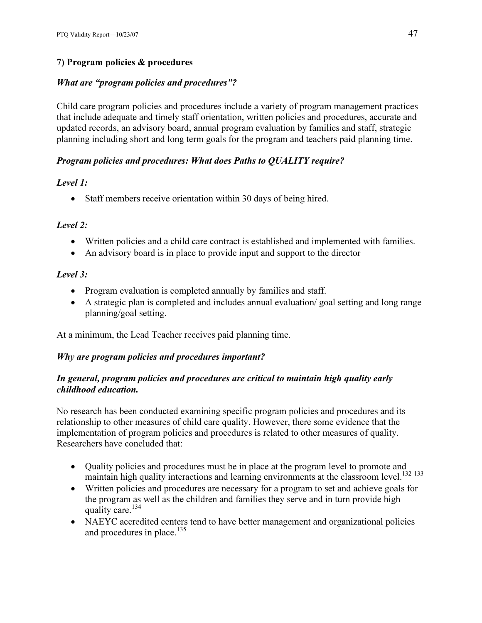# 7) Program policies & procedures

### What are "program policies and procedures"?

Child care program policies and procedures include a variety of program management practices that include adequate and timely staff orientation, written policies and procedures, accurate and updated records, an advisory board, annual program evaluation by families and staff, strategic planning including short and long term goals for the program and teachers paid planning time.

### Program policies and procedures: What does Paths to QUALITY require?

### Level 1:

• Staff members receive orientation within 30 days of being hired.

### Level 2:

- Written policies and a child care contract is established and implemented with families.
- An advisory board is in place to provide input and support to the director

# Level 3:

- Program evaluation is completed annually by families and staff.
- A strategic plan is completed and includes annual evaluation/ goal setting and long range planning/goal setting.

At a minimum, the Lead Teacher receives paid planning time.

# Why are program policies and procedures important?

### In general, program policies and procedures are critical to maintain high quality early childhood education.

No research has been conducted examining specific program policies and procedures and its relationship to other measures of child care quality. However, there some evidence that the implementation of program policies and procedures is related to other measures of quality. Researchers have concluded that:

- Quality policies and procedures must be in place at the program level to promote and maintain high quality interactions and learning environments at the classroom level.<sup>132 133</sup>
- Written policies and procedures are necessary for a program to set and achieve goals for the program as well as the children and families they serve and in turn provide high quality care.<sup>134</sup>
- NAEYC accredited centers tend to have better management and organizational policies and procedures in place.<sup>135</sup>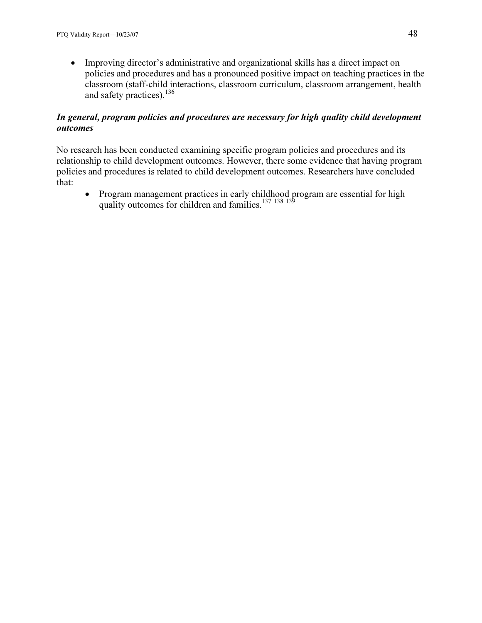• Improving director's administrative and organizational skills has a direct impact on policies and procedures and has a pronounced positive impact on teaching practices in the classroom (staff-child interactions, classroom curriculum, classroom arrangement, health and safety practices).  $^{136}$ 

# In general, program policies and procedures are necessary for high quality child development outcomes

No research has been conducted examining specific program policies and procedures and its relationship to child development outcomes. However, there some evidence that having program policies and procedures is related to child development outcomes. Researchers have concluded that:

• Program management practices in early childhood program are essential for high quality outcomes for children and families. $^{137}$   $^{138}$   $^{139}$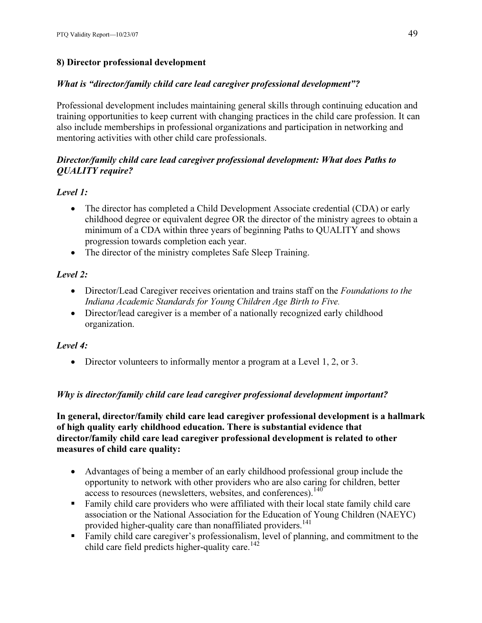# 8) Director professional development

# What is "director/family child care lead caregiver professional development"?

Professional development includes maintaining general skills through continuing education and training opportunities to keep current with changing practices in the child care profession. It can also include memberships in professional organizations and participation in networking and mentoring activities with other child care professionals.

# Director/family child care lead caregiver professional development: What does Paths to QUALITY require?

# Level 1:

- The director has completed a Child Development Associate credential (CDA) or early childhood degree or equivalent degree OR the director of the ministry agrees to obtain a minimum of a CDA within three years of beginning Paths to QUALITY and shows progression towards completion each year.
- The director of the ministry completes Safe Sleep Training.

# Level 2:

- Director/Lead Caregiver receives orientation and trains staff on the *Foundations to the* Indiana Academic Standards for Young Children Age Birth to Five.
- Director/lead caregiver is a member of a nationally recognized early childhood organization.

# Level 4:

• Director volunteers to informally mentor a program at a Level 1, 2, or 3.

# Why is director/family child care lead caregiver professional development important?

In general, director/family child care lead caregiver professional development is a hallmark of high quality early childhood education. There is substantial evidence that director/family child care lead caregiver professional development is related to other measures of child care quality:

- Advantages of being a member of an early childhood professional group include the opportunity to network with other providers who are also caring for children, better access to resources (newsletters, websites, and conferences).<sup>140</sup>
- Family child care providers who were affiliated with their local state family child care association or the National Association for the Education of Young Children (NAEYC) provided higher-quality care than nonaffiliated providers.<sup>141</sup>
- Family child care caregiver's professionalism, level of planning, and commitment to the child care field predicts higher-quality care.<sup>142</sup>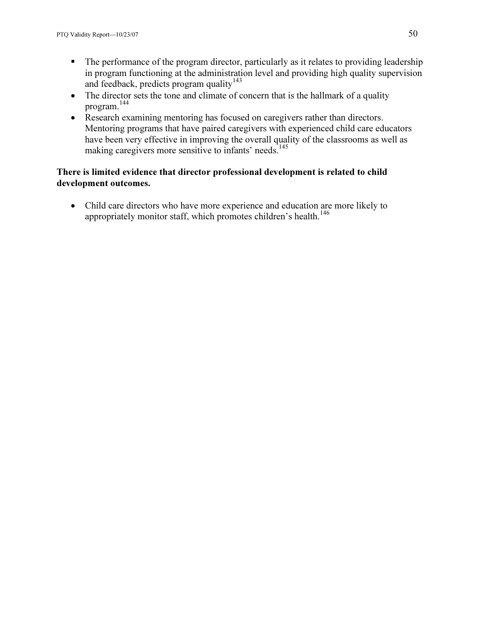- The performance of the program director, particularly as it relates to providing leadership in program functioning at the administration level and providing high quality supervision and feedback, predicts program quality<sup>143</sup>
- The director sets the tone and climate of concern that is the hallmark of a quality program.<sup>144</sup>
- Research examining mentoring has focused on caregivers rather than directors. Mentoring programs that have paired caregivers with experienced child care educators have been very effective in improving the overall quality of the classrooms as well as making caregivers more sensitive to infants' needs.<sup>145</sup>

### There is limited evidence that director professional development is related to child development outcomes.

• Child care directors who have more experience and education are more likely to appropriately monitor staff, which promotes children's health.<sup>146</sup>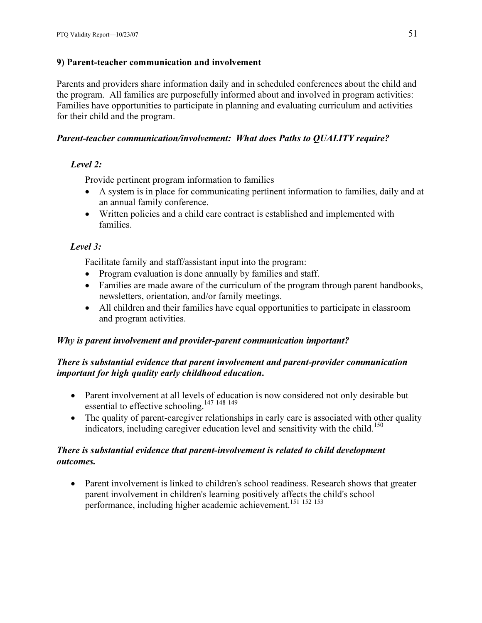### 9) Parent-teacher communication and involvement

Parents and providers share information daily and in scheduled conferences about the child and the program. All families are purposefully informed about and involved in program activities: Families have opportunities to participate in planning and evaluating curriculum and activities for their child and the program.

### Parent-teacher communication/involvement: What does Paths to QUALITY require?

# Level 2:

Provide pertinent program information to families

- A system is in place for communicating pertinent information to families, daily and at an annual family conference.
- Written policies and a child care contract is established and implemented with families.

# Level 3:

Facilitate family and staff/assistant input into the program:

- Program evaluation is done annually by families and staff.
- Families are made aware of the curriculum of the program through parent handbooks, newsletters, orientation, and/or family meetings.
- All children and their families have equal opportunities to participate in classroom and program activities.

# Why is parent involvement and provider-parent communication important?

### There is substantial evidence that parent involvement and parent-provider communication important for high quality early childhood education.

- Parent involvement at all levels of education is now considered not only desirable but essential to effective schooling.<sup>147 148 149</sup>
- The quality of parent-caregiver relationships in early care is associated with other quality indicators, including caregiver education level and sensitivity with the child.<sup>150</sup>

### There is substantial evidence that parent-involvement is related to child development outcomes.

• Parent involvement is linked to children's school readiness. Research shows that greater parent involvement in children's learning positively affects the child's school performance, including higher academic achievement.<sup>151</sup> <sup>152</sup> <sup>153</sup>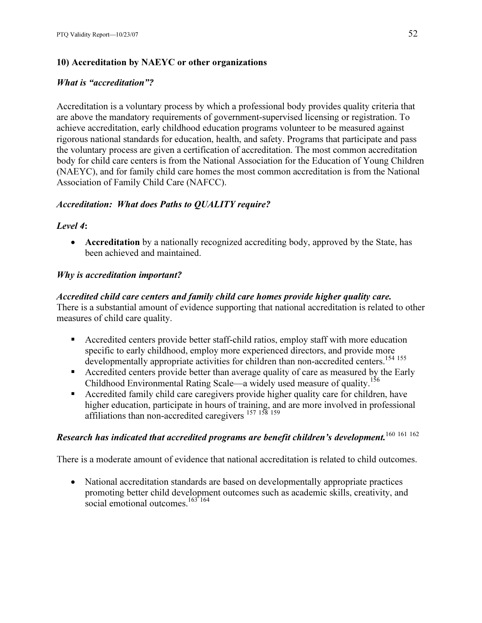# 10) Accreditation by NAEYC or other organizations

# What is "accreditation"?

Accreditation is a voluntary process by which a professional body provides quality criteria that are above the mandatory requirements of government-supervised licensing or registration. To achieve accreditation, early childhood education programs volunteer to be measured against rigorous national standards for education, health, and safety. Programs that participate and pass the voluntary process are given a certification of accreditation. The most common accreditation body for child care centers is from the National Association for the Education of Young Children (NAEYC), and for family child care homes the most common accreditation is from the National Association of Family Child Care (NAFCC).

# Accreditation: What does Paths to QUALITY require?

# Level 4:

• Accreditation by a nationally recognized accrediting body, approved by the State, has been achieved and maintained.

# Why is accreditation important?

# Accredited child care centers and family child care homes provide higher quality care.

There is a substantial amount of evidence supporting that national accreditation is related to other measures of child care quality.

- Accredited centers provide better staff-child ratios, employ staff with more education specific to early childhood, employ more experienced directors, and provide more developmentally appropriate activities for children than non-accredited centers.<sup>154 155</sup>
- **Accredited centers provide better than average quality of care as measured by the Early** Childhood Environmental Rating Scale—a widely used measure of quality.<sup>156</sup>
- **Accredited family child care caregivers provide higher quality care for children, have** higher education, participate in hours of training, and are more involved in professional affiliations than non-accredited caregivers <sup>157 158</sup><sup>159</sup>

# Research has indicated that accredited programs are benefit children's development.  $160 \ 161 \ 162$

There is a moderate amount of evidence that national accreditation is related to child outcomes.

• National accreditation standards are based on developmentally appropriate practices promoting better child development outcomes such as academic skills, creativity, and social emotional outcomes. $163 \times 164$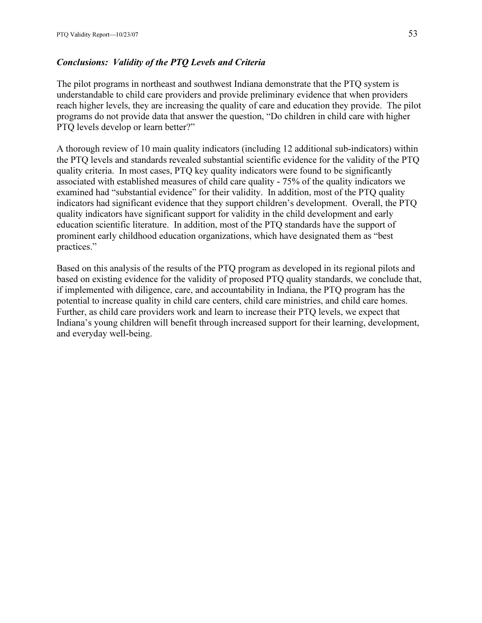### Conclusions: Validity of the PTQ Levels and Criteria

The pilot programs in northeast and southwest Indiana demonstrate that the PTQ system is understandable to child care providers and provide preliminary evidence that when providers reach higher levels, they are increasing the quality of care and education they provide. The pilot programs do not provide data that answer the question, "Do children in child care with higher PTQ levels develop or learn better?"

A thorough review of 10 main quality indicators (including 12 additional sub-indicators) within the PTQ levels and standards revealed substantial scientific evidence for the validity of the PTQ quality criteria. In most cases, PTQ key quality indicators were found to be significantly associated with established measures of child care quality - 75% of the quality indicators we examined had "substantial evidence" for their validity. In addition, most of the PTQ quality indicators had significant evidence that they support children's development. Overall, the PTQ quality indicators have significant support for validity in the child development and early education scientific literature. In addition, most of the PTQ standards have the support of prominent early childhood education organizations, which have designated them as "best practices."

Based on this analysis of the results of the PTQ program as developed in its regional pilots and based on existing evidence for the validity of proposed PTQ quality standards, we conclude that, if implemented with diligence, care, and accountability in Indiana, the PTQ program has the potential to increase quality in child care centers, child care ministries, and child care homes. Further, as child care providers work and learn to increase their PTQ levels, we expect that Indiana's young children will benefit through increased support for their learning, development, and everyday well-being.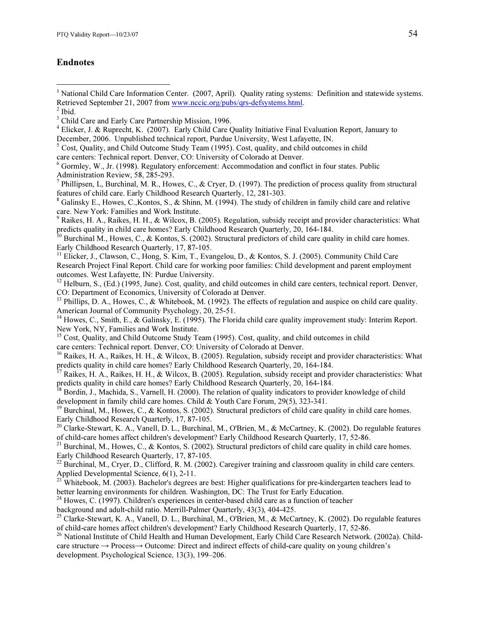### Endnotes

<sup>1</sup> National Child Care Information Center. (2007, April). Quality rating systems: Definition and statewide systems. Retrieved September 21, 2007 from www.nccic.org/pubs/qrs-defsystems.html. <sup>2</sup>

<u>.</u>

- 4 Elicker, J. & Ruprecht, K. (2007). Early Child Care Quality Initiative Final Evaluation Report, January to December, 2006. Unpublished technical report, Purdue University, West Lafayette, IN.
- <sup>5</sup> Cost, Quality, and Child Outcome Study Team (1995). Cost, quality, and child outcomes in child care centers: Technical report. Denver, CO: University of Colorado at Denver.
- <sup>6</sup> Gormley, W., Jr. (1998). Regulatory enforcement: Accommodation and conflict in four states. Public Administration Review, 58, 285-293.
- <sup>7</sup> Phillipsen, L, Burchinal, M. R., Howes, C., & Cryer, D. (1997). The prediction of process quality from structural features of child care. Early Childhood Research Quarterly, 12, 281-303.
- <sup>8</sup> Galinsky E., Howes, C., Kontos, S., & Shinn, M. (1994). The study of children in family child care and relative
- care. New York: Families and Work Institute.<br><sup>9</sup> Raikes, H. A., Raikes, H. H., & Wilcox, B. (2005). Regulation, subsidy receipt and provider characteristics: What predicts quality in child care homes? Early Childhood Research Quarterly, 20, 164-184.
- <sup>10</sup> Burchinal M., Howes, C., & Kontos, S. (2002). Structural predictors of child care quality in child care homes. Early Childhood Research Quarterly, 17, 87-105.
- $11$  Elicker, J., Clawson, C., Hong, S. Kim, T., Evangelou, D., & Kontos, S. J. (2005). Community Child Care Research Project Final Report. Child care for working poor families: Child development and parent employment outcomes. West Lafayette, IN: Purdue University.
- <sup>12</sup> Helburn, S., (Ed.) (1995, June). Cost, quality, and child outcomes in child care centers, technical report. Denver, CO: Department of Economics, University of Colorado at Denver.
- <sup>13</sup> Phillips, D. A., Howes, C., & Whitebook, M. (1992). The effects of regulation and auspice on child care quality. American Journal of Community Psychology, 20, 25-51.
- <sup>14</sup> Howes, C., Smith, E., & Galinsky, E. (1995). The Florida child care quality improvement study: Interim Report. New York, NY, Families and Work Institute.
- <sup>15</sup> Cost, Quality, and Child Outcome Study Team (1995). Cost, quality, and child outcomes in child

care centers: Technical report. Denver, CO: University of Colorado at Denver.

- <sup>16</sup> Raikes, H. A., Raikes, H. H., & Wilcox, B. (2005). Regulation, subsidy receipt and provider characteristics: What predicts quality in child care homes? Early Childhood Research Quarterly, 20, 164-184.
- <sup>17</sup> Raikes, H. A., Raikes, H. H., & Wilcox, B. (2005). Regulation, subsidy receipt and provider characteristics: What predicts quality in child care homes? Early Childhood Research Quarterly, 20, 164-184.
- <sup>18</sup> Bordin, J., Machida, S., Varnell, H. (2000). The relation of quality indicators to provider knowledge of child development in family child care homes. Child & Youth Care Forum, 29(5), 323-341.
- $19$  Burchinal, M., Howes, C., & Kontos, S. (2002). Structural predictors of child care quality in child care homes. Early Childhood Research Quarterly, 17, 87-105.
- <sup>20</sup> Clarke-Stewart, K. A., Vanell, D. L., Burchinal, M., O'Brien, M., & McCartney, K. (2002). Do regulable features of child-care homes affect children's development? Early Childhood Research Quarterly, 17, 52-86.
- <sup>21</sup> Burchinal, M., Howes, C., & Kontos, S. (2002). Structural predictors of child care quality in child care homes. Early Childhood Research Quarterly, 17, 87-105.
- <sup>22</sup> Burchinal, M., Cryer, D., Clifford, R. M. (2002). Caregiver training and classroom quality in child care centers.
- Applied Developmental Science, 6(1), 2-11.<br><sup>23</sup> Whitebook, M. (2003). Bachelor's degrees are best: Higher qualifications for pre-kindergarten teachers lead to better learning environments for children. Washington, DC: The Trust for Early Education.
- $24$  Howes, C. (1997). Children's experiences in center-based child care as a function of teacher
- background and adult-child ratio. Merrill-Palmer Quarterly, 43(3), 404-425.
- <sup>25</sup> Clarke-Stewart, K. A., Vanell, D. L., Burchinal, M., O'Brien, M., & McCartney, K. (2002). Do regulable features of child-care homes affect children's development? Early Childhood Research Quarterly, 17, 52-86.<br><sup>26</sup> National Institute of Child Health and Human Development, Early Child Care Research Network. (2002a). Child-
- care structure → Process→ Outcome: Direct and indirect effects of child-care quality on young children's development. Psychological Science, 13(3), 199–206.

 $^{\rm 2}$  Ibid.

<sup>&</sup>lt;sup>3</sup> Child Care and Early Care Partnership Mission, 1996.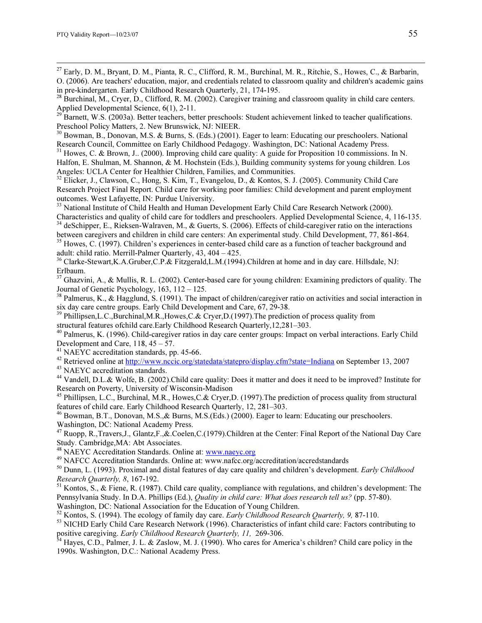<sup>27</sup> Early, D. M., Bryant, D. M., Pianta, R. C., Clifford, R. M., Burchinal, M. R., Ritchie, S., Howes, C., & Barbarin, O. (2006). Are teachers' education, major, and credentials related to classroom quality and children's academic gains in pre-kindergarten. Early Childhood Research Quarterly, 21, 174-195.

<sup>11</sup> Barnett, W.S. (2003a). Better teachers, better preschools: Student achievement linked to teacher qualifications. Preschool Policy Matters, 2. New Brunswick, NJ: NIEER.

<sup>30</sup> Bowman, B., Donovan, M.S. & Burns, S. (Eds.) (2001). Eager to learn: Educating our preschoolers. National Research Council, Committee on Early Childhood Pedagogy. Washington, DC: National Academy Press.

<sup>31</sup> Howes, C. & Brown, J.. (2000). Improving child care quality: A guide for Proposition 10 commissions. In N. Halfon, E. Shulman, M. Shannon, & M. Hochstein (Eds.), Building community systems for young children. Los Angeles: UCLA Center for Healthier Children, Families, and Communities.

<sup>32</sup> Elicker, J., Clawson, C., Hong, S. Kim, T., Evangelou, D., & Kontos, S. J. (2005). Community Child Care Research Project Final Report. Child care for working poor families: Child development and parent employment outcomes. West Lafayette, IN: Purdue University.

<sup>33</sup> National Institute of Child Health and Human Development Early Child Care Research Network (2000). Characteristics and quality of child care for toddlers and preschoolers. Applied Developmental Science, 4, 116-135. <sup>34</sup> deSchipper, E., Rieksen-Walraven, M., & Guerts, S. (2006). Effects of child-caregiver ratio on the interactions

between caregivers and children in child care centers: An experimental study. Child Development, 77, 861-864. <sup>35</sup> Howes, C. (1997). Children's experiences in center-based child care as a function of teacher background and

adult: child ratio. Merrill-Palmer Quarterly, 43, 404 – 425.

<sup>36</sup> Clarke-Stewart,K.A.Gruber,C.P.& Fitzgerald,L.M.(1994).Children at home and in day care. Hillsdale, NJ: Erlbaum.

<sup>37</sup> Ghazvini, A., & Mullis, R. L. (2002). Center-based care for young children: Examining predictors of quality. The Journal of Genetic Psychology, 163, 112 – 125.

<sup>38</sup> Palmerus, K., & Hagglund, S. (1991). The impact of children/caregiver ratio on activities and social interaction in six day care centre groups. Early Child Development and Care, 67, 29-38.

<sup>39</sup> Phillipsen, L.C., Burchinal, M.R., Howes, C.& Cryer, D.(1997). The prediction of process quality from structural features ofchild care.Early Childhood Research Quarterly,12,281–303.

<sup>40</sup> Palmerus, K. (1996). Child-caregiver ratios in day care center groups: Impact on verbal interactions. Early Child Development and Care,  $118, 45 - 57$ .

<sup>41</sup> NAEYC accreditation standards, pp. 45-66.

<sup>42</sup> Retrieved online at http://www.nccic.org/statedata/statepro/display.cfm?state=Indiana on September 13, 2007 <sup>43</sup> NAEYC accreditation standards.

<sup>44</sup> Vandell, D.L.& Wolfe, B. (2002).Child care quality: Does it matter and does it need to be improved? Institute for Research on Poverty, University of Wisconsin-Madison

<sup>45</sup> Phillipsen, L.C., Burchinal, M.R., Howes,C.& Cryer,D. (1997).The prediction of process quality from structural features of child care. Early Childhood Research Quarterly, 12, 281–303.

<sup>46</sup> Bowman, B.T., Donovan, M.S.,& Burns, M.S.(Eds.) (2000). Eager to learn: Educating our preschoolers. Washington, DC: National Academy Press.

<sup>47</sup> Ruopp, R.,Travers,J., Glantz,F.,&.Coelen,C.(1979).Children at the Center: Final Report of the National Day Care Study. Cambridge, MA: Abt Associates.<br><sup>48</sup> NAEYC Accreditation Standards. Online at: www.naeyc.org

 $49$  NAFCC Accreditation Standards. Online at: www.nafcc.org/accreditation/accredstandards

 $50$  Dunn, L. (1993). Proximal and distal features of day care quality and children's development. *Early Childhood* Research Quarterly, 8, 167-192.

<sup>51</sup> Kontos, S., & Fiene, R. (1987). Child care quality, compliance with regulations, and children's development: The Pennsylvania Study. In D.A. Phillips (Ed.), Quality in child care: What does research tell us? (pp. 57-80).

Washington, DC: National Association for the Education of Young Children.<br><sup>52</sup> Kontos, S. (1994). The ecology of family day care. *Early Childhood Research Quarterly, 9, 87-110*.

<sup>53</sup> NICHD Early Child Care Research Network (1996). Characteristics of infant child care: Factors contributing to positive caregiving. Early Childhood Research Quarterly, 11, 269-306.<br><sup>54</sup> Hayes, C.D., Palmer, J. L. & Zaslow, M. J. (1990). Who cares for America's children? Child care policy in the

1990s. Washington, D.C.: National Academy Press.

<sup>&</sup>lt;sup>28</sup> Burchinal, M., Cryer, D., Clifford, R. M. (2002). Caregiver training and classroom quality in child care centers. Applied Developmental Science,  $6(1)$ , 2-11.<br>
<sup>29</sup> Barnatt, W.S. (2000).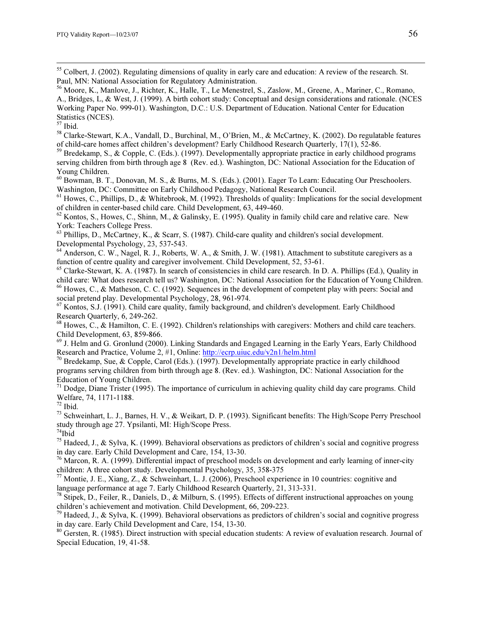<sup>55</sup> Colbert, J. (2002). Regulating dimensions of quality in early care and education: A review of the research. St. Paul, MN: National Association for Regulatory Administration.

<sup>58</sup> Clarke-Stewart, K.A., Vandall, D., Burchinal, M., O'Brien, M., & McCartney, K. (2002). Do regulatable features of child-care homes affect children's development? Early Childhood Research Quarterly, 17(1), 52-86.<br><sup>59</sup> Bredekamp, S., & Copple, C. (Eds.). (1997). Developmentally appropriate practice in early childhood programs

serving children from birth through age 8 (Rev. ed.). Washington, DC: National Association for the Education of Young Children.

<sup>60</sup> Bowman, B. T., Donovan, M. S., & Burns, M. S. (Eds.). (2001). Eager To Learn: Educating Our Preschoolers. Washington, DC: Committee on Early Childhood Pedagogy, National Research Council.

<sup>61</sup> Howes, C., Phillips, D., & Whitebrook, M. (1992). Thresholds of quality: Implications for the social development of children in center-based child care. Child Development, 63, 449-460.

 $62$  Kontos, S., Howes, C., Shinn, M., & Galinsky, E. (1995). Quality in family child care and relative care. New York: Teachers College Press.

<sup>63</sup> Phillips, D., McCartney, K., & Scarr, S. (1987). Child-care quality and children's social development. Developmental Psychology, 23, 537-543.

<sup>64</sup> Anderson, C. W., Nagel, R. J., Roberts, W. A., & Smith, J. W. (1981). Attachment to substitute caregivers as a function of centre quality and caregiver involvement. Child Development, 52, 53-61.

 $<sup>65</sup>$  Clarke-Stewart, K. A. (1987). In search of consistencies in child care research. In D. A. Phillips (Ed.), Quality in</sup> child care: What does research tell us? Washington, DC: National Association for the Education of Young Children. <sup>66</sup> Howes, C., & Matheson, C. C. (1992). Sequences in the development of competent play with peers: Social and

social pretend play. Developmental Psychology, 28, 961-974.

<sup>67</sup> Kontos, S.J. (1991). Child care quality, family background, and children's development. Early Childhood Research Quarterly, 6, 249-262.

<sup>68</sup> Howes, C., & Hamilton, C. E. (1992). Children's relationships with caregivers: Mothers and child care teachers. Child Development, 63, 859-866.

<sup>69</sup> J. Helm and G. Gronlund (2000). Linking Standards and Engaged Learning in the Early Years, Early Childhood Research and Practice, Volume 2, #1, Online: http://ecrp.uiuc.edu/v2n1/helm.html

<sup>70</sup> Bredekamp, Sue, & Copple, Carol (Eds.). (1997). Developmentally appropriate practice in early childhood programs serving children from birth through age 8. (Rev. ed.). Washington, DC: National Association for the Education of Young Children.

 $71$  Dodge, Diane Trister (1995). The importance of curriculum in achieving quality child day care programs. Child Welfare, 74, 1171-1188.

 $72$  Ibid.

<sup>73</sup> Schweinhart, L. J., Barnes, H. V., & Weikart, D. P. (1993). Significant benefits: The High/Scope Perry Preschool study through age 27. Ypsilanti, MI: High/Scope Press.

 $74$ Ibid

<sup>75</sup> Hadeed, J., & Sylva, K. (1999). Behavioral observations as predictors of children's social and cognitive progress in day care. Early Child Development and Care, 154, 13-30.

 $^{76}$  Marcon, R. A. (1999). Differential impact of preschool models on development and early learning of inner-city children: A three cohort study. Developmental Psychology, 35, 358-375

<sup>77</sup> Montie, J. E., Xiang, Z., & Schweinhart, L. J. (2006), Preschool experience in 10 countries: cognitive and language performance at age 7. Early Childhood Research Quarterly, 21, 313-331.

<sup>78</sup> Stipek, D., Feiler, R., Daniels, D., & Milburn, S. (1995). Effects of different instructional approaches on young children's achievement and motivation. Child Development, 66, 209-223.

 $79$  Hadeed, J., & Sylva, K. (1999). Behavioral observations as predictors of children's social and cognitive progress in day care. Early Child Development and Care, 154, 13-30.

 $80$  Gersten, R. (1985). Direct instruction with special education students: A review of evaluation research. Journal of Special Education, 19, 41-58.

<sup>56</sup> Moore, K., Manlove, J., Richter, K., Halle, T., Le Menestrel, S., Zaslow, M., Greene, A., Mariner, C., Romano, A., Bridges, L, & West, J. (1999). A birth cohort study: Conceptual and design considerations and rationale. (NCES Working Paper No. 999-01). Washington, D.C.: U.S. Department of Education. National Center for Education Statistics (NCES).

<sup>57</sup> Ibid.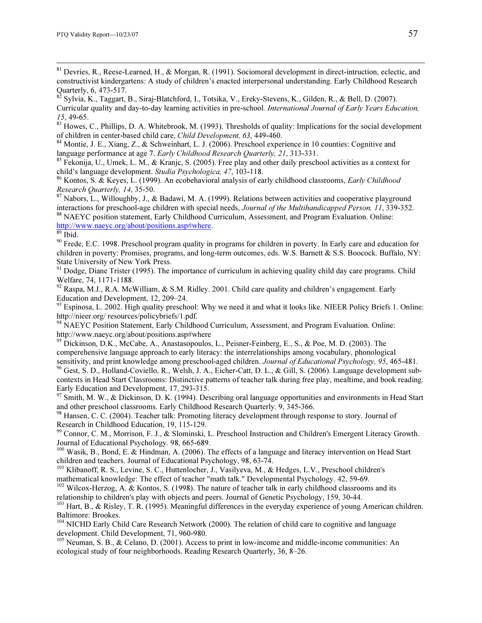<sup>81</sup> Devries, R., Reese-Learned, H., & Morgan, R. (1991). Sociomoral development in direct-intruction, eclectic, and constructivist kindergartens: A study of children's enacted interpersonal understanding. Early Childhood Research Quarterly, 6, 473-517.<br><sup>82</sup> Sylvia, K., Taggart, B., Siraj-Blatchford, I., Totsika, V., Ereky-Stevens, K., Gilden, R., & Bell, D. (2007).

Curricular quality and day-to-day learning activities in pre-school. International Journal of Early Years Education, 15, 49-65.<br><sup>83</sup> Howes, C., Phillips, D. A. Whitebrook, M. (1993). Thresholds of quality: Implications for the social development

of children in center-based child care, *Child Development*, 63, 449-460.<br><sup>84</sup> Montie, J. E., Xiang, Z., & Schweinhart, L. J. (2006). Preschool experience in 10 counties: Cognitive and language performance at age 7. *Early* 

<sup>85</sup> Fekonija, U., Umek, L. M., & Kranjc, S. (2005). Free play and other daily preschool activities as a context for child's language development. *Studia Psychologica*, 47, 103-118.

<sup>86</sup> Kontos, S. & Keyes, L. (1999). An ecobehavioral analysis of early childhood classrooms, *Early Childhood Research Quarterly, 14*, 35-50.

<sup>87</sup> Nabors, L., Willoughby, J., & Badawi, M. A. (1999). Relations between activities and cooperative playground interactions for preschool-age children with special needs, *Journal of the Multihandicapped Person*, 11, 33

<sup>88</sup> NAEYC position statement, Early Childhood Curriculum, Assessment, and Program Evaluation. Online: http://www.naeyc.org/about/positions.asp#where. <sup>89</sup> Ibid.

 $90$  Frede, E.C. 1998. Preschool program quality in programs for children in poverty. In Early care and education for children in poverty: Promises, programs, and long-term outcomes, eds. W.S. Barnett & S.S. Boocock. Buffalo, NY: State University of New York Press.

 $91$  Dodge, Diane Trister (1995). The importance of curriculum in achieving quality child day care programs. Child Welfare, 74, 1171-1188.

 $92$  Raspa, M.J., R.A. McWilliam, & S.M. Ridley. 2001. Child care quality and children's engagement. Early Education and Development, 12, 209–24.

 $93$  Espinosa, L. 2002. High quality preschool: Why we need it and what it looks like. NIEER Policy Briefs 1. Online: http://nieer.org/ resources/policybriefs/1.pdf.

<sup>94</sup> NAEYC Position Statement, Early Childhood Curriculum, Assessment, and Program Evaluation. Online: http://www.naeyc.org/about/positions.asp#where

<sup>95</sup> Dickinson, D.K., McCabe, A., Anastasopoulos, L., Peisner-Feinberg, E., S., & Poe, M. D. (2003). The comperehensive language approach to early literacy: the interrelationships among vocabulary, phonological

sensitivity, and print knowledge among preschool-aged children. Journal of Educational Psychology, 95, 465-481.<br><sup>96</sup> Gest, S. D., Holland-Coviello, R., Welsh, J. A., Eicher-Catt, D. L., & Gill, S. (2006). Language developm contexts in Head Start Classrooms: Distinctive patterns of teacher talk during free play, mealtime, and book reading. Early Education and Development, 17, 293-315.

 $97$  Smith, M. W., & Dickinson, D. K. (1994). Describing oral language opportunities and environments in Head Start and other preschool classrooms. Early Childhood Research Quarterly. 9, 345-366.

98 Hansen, C. C. (2004). Teacher talk: Promoting literacy development through response to story. Journal of Research in Childhood Education, 19, 115-129.

<sup>99</sup> Connor, C. M., Morrison, F. J., & Slominski, L. Preschool Instruction and Children's Emergent Literacy Growth. Journal of Educational Psychology. 98, 665-689.

<sup>100</sup> Wasik, B., Bond, E. & Hindman, A. (2006). The effects of a language and literacy intervention on Head Start children and teachers. Journal of Educational Psychology, 98, 63-74.

<sup>101</sup> Klibanoff, R. S., Levine, S. C., Huttenlocher, J., Vasilyeva, M., & Hedges, L.V., Preschool children's mathematical knowledge: The effect of teacher "math talk." Developmental Psychology. 42, 59-69.

<sup>102</sup> Wilcox-Herzog, A. & Kontos, S. (1998). The nature of teacher talk in early childhood classrooms and its relationship to children's play with objects and peers. Journal of Genetic Psychology, 159, 30-44.

<sup>103</sup> Hart, B., & Risley, T. R. (1995). Meaningful differences in the everyday experience of young American children. Baltimore: Brookes.

<sup>104</sup> NICHD Early Child Care Research Network (2000). The relation of child care to cognitive and language development. Child Development, 71, 960-980.

<sup>105</sup> Neuman, S. B., & Celano, D. (2001). Access to print in low-income and middle-income communities: An ecological study of four neighborhoods. Reading Research Quarterly, 36, 8–26.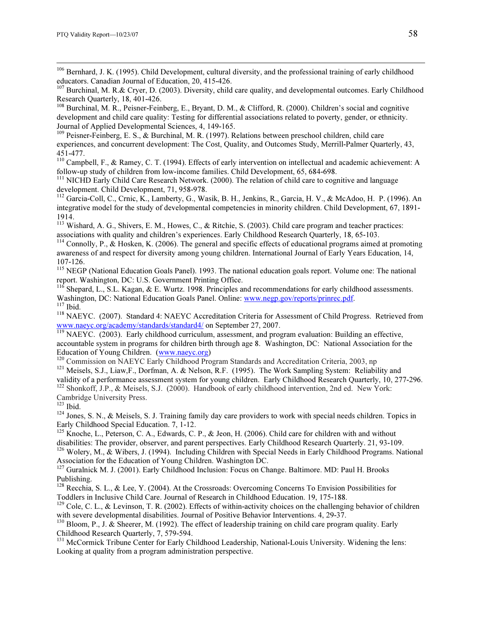<sup>106</sup> Bernhard, J. K. (1995). Child Development, cultural diversity, and the professional training of early childhood educators. Canadian Journal of Education, 20, 415-426.

 $107$  Burchinal, M. R. & Cryer, D. (2003). Diversity, child care quality, and developmental outcomes. Early Childhood Research Quarterly, 18, 401-426.

<sup>108</sup> Burchinal, M. R., Peisner-Feinberg, E., Bryant, D. M., & Clifford, R. (2000). Children's social and cognitive development and child care quality: Testing for differential associations related to poverty, gender, or ethnicity. Journal of Applied Developmental Sciences, 4, 149-165.

<sup>109</sup> Peisner-Feinberg, E. S., & Burchinal, M. R. (1997). Relations between preschool children, child care experiences, and concurrent development: The Cost, Quality, and Outcomes Study, Merrill-Palmer Quarterly, 43, 451-477.

<sup>110</sup> Campbell, F., & Ramey, C. T. (1994). Effects of early intervention on intellectual and academic achievement: A follow-up study of children from low-income families. Child Development, 65, 684-698.

<sup>111</sup> NICHD Early Child Care Research Network. (2000). The relation of child care to cognitive and language development. Child Development, 71, 958-978.

<sup>112</sup> Garcia-Coll, C., Crnic, K., Lamberty, G., Wasik, B. H., Jenkins, R., Garcia, H. V., & McAdoo, H. P. (1996). An integrative model for the study of developmental competencies in minority children. Child Development, 67, 1891- 1914.

<sup>113</sup> Wishard, A. G., Shivers, E. M., Howes, C., & Ritchie, S. (2003). Child care program and teacher practices: associations with quality and children's experiences. Early Childhood Research Quarterly, 18, 65-103.

 $114$  Connolly, P., & Hosken, K. (2006). The general and specific effects of educational programs aimed at promoting awareness of and respect for diversity among young children. International Journal of Early Years Education, 14, 107-126.

<sup>115</sup> NEGP (National Education Goals Panel). 1993. The national education goals report. Volume one: The national report. Washington, DC: U.S. Government Printing Office.

 $116$  Shepard, L., S.L. Kagan, & E. Wurtz. 1998. Principles and recommendations for early childhood assessments.

Washington, DC: National Education Goals Panel. Online: www.negp.gov/reports/prinrec.pdf.<br>
<sup>117</sup> Ibid.<br>
<sup>118</sup> NAEYC. (2007). Standard 4: NAEYC Accreditation Criteria for Assessment of Child Progress. Retrieved from<br>
www.na

 $\frac{119}{119}$  NAEYC. (2003). Early childhood curriculum, assessment, and program evaluation: Building an effective, accountable system in programs for children birth through age 8. Washington, DC: National Association for the Education of Young Children. (www.naeyc.org)

<sup>120</sup> Commission on NAEYC Early Childhood Program Standards and Accreditation Criteria, 2003, np<br><sup>121</sup> Meisels, S.J., Liaw,F., Dorfman, A. & Nelson, R.F. (1995). The Work Sampling System: Reliability and

validity of a performance assessment system for young children. Early Childhood Research Quarterly, 10, 277-296. <sup>122</sup> Shonkoff, J.P., & Meisels, S.J. (2000). Handbook of early childhood intervention, 2nd ed. New York: Cambridge University Press.<br><sup>123</sup> Ibid.

 $124$  Jones, S. N., & Meisels, S. J. Training family day care providers to work with special needs children. Topics in Early Childhood Special Education. 7, 1-12.

<sup>125</sup> Knoche, L., Peterson, C. A., Edwards, C. P., & Jeon, H. (2006). Child care for children with and without disabilities: The provider, observer, and parent perspectives. Early Childhood Research Quarterly. 21, 93-109.

<sup>126</sup> Wolery, M., & Wibers, J. (1994). Including Children with Special Needs in Early Childhood Programs. National Association for the Education of Young Children. Washington DC.

<sup>127</sup> Guralnick M. J. (2001). Early Childhood Inclusion: Focus on Change. Baltimore. MD: Paul H. Brooks Publishing.

<sup>128</sup> Recchia, S. L., & Lee, Y. (2004). At the Crossroads: Overcoming Concerns To Envision Possibilities for Toddlers in Inclusive Child Care. Journal of Research in Childhood Education. 19, 175-188.

<sup>129</sup> Cole, C. L., & Levinson, T. R. (2002). Effects of within-activity choices on the challenging behavior of children with severe developmental disabilities. Journal of Positive Behavior Interventions. 4, 29-37.

<sup>130</sup> Bloom, P., J. & Sheerer, M. (1992). The effect of leadership training on child care program quality. Early Childhood Research Quarterly, 7, 579-594.

<sup>131</sup> McCormick Tribune Center for Early Childhood Leadership, National-Louis University. Widening the lens: Looking at quality from a program administration perspective.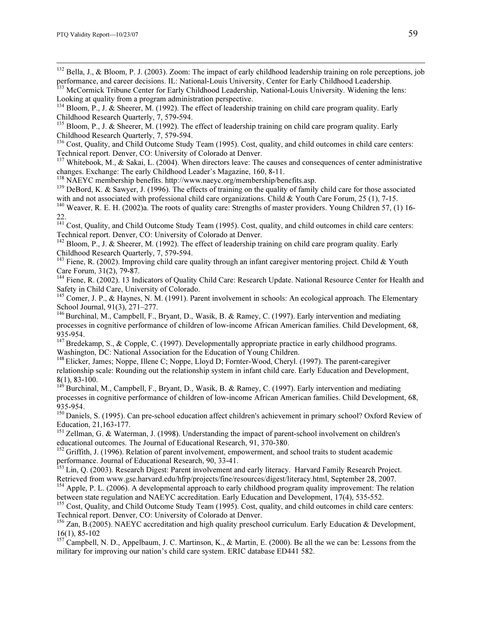<sup>132</sup> Bella, J., & Bloom, P. J. (2003). Zoom: The impact of early childhood leadership training on role perceptions, job performance, and career decisions. IL: National-Louis University, Center for Early Childhood Leadership.

<sup>133</sup> McCormick Tribune Center for Early Childhood Leadership, National-Louis University. Widening the lens: Looking at quality from a program administration perspective.

 $135$  Bloom, P., J. & Sheerer, M. (1992). The effect of leadership training on child care program quality. Early Childhood Research Quarterly, 7, 579-594.

<sup>136</sup> Cost, Quality, and Child Outcome Study Team (1995). Cost, quality, and child outcomes in child care centers: Technical report. Denver, CO: University of Colorado at Denver.

<sup>137</sup> Whitebook, M., & Sakai, L. (2004). When directors leave: The causes and consequences of center administrative changes. Exchange: The early Childhood Leader's Magazine, 160, 8-11.<br><sup>138</sup> NAEYC membership benefits. http://www.naeyc.org/membership/benefits.asp.

<sup>139</sup> DeBord, K. & Sawyer, J. (1996). The effects of training on the quality of family child care for those associated with and not associated with professional child care organizations. Child & Youth Care Forum, 25 (1), 7-15.

<sup>140</sup> Weaver, R. E. H. (2002)a. The roots of quality care: Strengths of master providers. Young Children 57, (1) 16-22.

<sup>141</sup> Cost, Quality, and Child Outcome Study Team (1995). Cost, quality, and child outcomes in child care centers: Technical report. Denver, CO: University of Colorado at Denver.

<sup>142</sup> Bloom, P., J. & Sheerer, M. (1992). The effect of leadership training on child care program quality. Early Childhood Research Quarterly, 7, 579-594.

<sup>143</sup> Fiene, R. (2002). Improving child care quality through an infant caregiver mentoring project. Child & Youth Care Forum, 31(2), 79-87.

<sup>144</sup> Fiene, R. (2002). 13 Indicators of Quality Child Care: Research Update. National Resource Center for Health and Safety in Child Care, University of Colorado.

<sup>145</sup> Comer, J. P., & Haynes, N. M. (1991). Parent involvement in schools: An ecological approach. The Elementary School Journal, 91(3), 271–277.

<sup>146</sup> Burchinal, M., Campbell, F., Bryant, D., Wasik, B. & Ramey, C. (1997). Early intervention and mediating processes in cognitive performance of children of low-income African American families. Child Development, 68, 935-954.

<sup>147</sup> Bredekamp, S., & Copple, C. (1997). Developmentally appropriate practice in early childhood programs. Washington, DC: National Association for the Education of Young Children.

<sup>148</sup> Elicker, James; Noppe, Illene C; Noppe, Lloyd D; Fornter-Wood, Cheryl. (1997). The parent-caregiver relationship scale: Rounding out the relationship system in infant child care. Early Education and Development, 8(1), 83-100.

 $149$  Burchinal, M., Campbell, F., Bryant, D., Wasik, B. & Ramey, C. (1997). Early intervention and mediating processes in cognitive performance of children of low-income African American families. Child Development, 68, 935-954.

<sup>150</sup> Daniels, S. (1995). Can pre-school education affect children's achievement in primary school? Oxford Review of Education, 21,163-177.

<sup>151</sup> Zellman, G. & Waterman, J. (1998). Understanding the impact of parent-school involvement on children's educational outcomes. The Journal of Educational Research, 91, 370-380.

<sup>152</sup> Griffith, J. (1996). Relation of parent involvement, empowerment, and school traits to student academic performance. Journal of Educational Research, 90, 33-41.

<sup>153</sup> Lin, Q. (2003). Research Digest: Parent involvement and early literacy. Harvard Family Research Project. Retrieved from www.gse.harvard.edu/hfrp/projects/fine/resources/digest/literacy.html, September 28, 2007.

<sup>154</sup> Apple, P. L. (2006). A developmental approach to early childhood program quality improvement: The relation between state regulation and NAEYC accreditation. Early Education and Development, 17(4), 535-552.

<sup>155</sup> Cost, Quality, and Child Outcome Study Team (1995). Cost, quality, and child outcomes in child care centers: Technical report. Denver, CO: University of Colorado at Denver.

<sup>156</sup> Zan, B.(2005). NAEYC accreditation and high quality preschool curriculum. Early Education & Development, 16(1), 85-102

<sup>157</sup> Campbell, N. D., Appelbaum, J. C. Martinson, K., & Martin, E. (2000). Be all the we can be: Lessons from the military for improving our nation's child care system. ERIC database ED441 582.

<sup>&</sup>lt;sup>134</sup> Bloom, P., J. & Sheerer, M. (1992). The effect of leadership training on child care program quality. Early Childhood Research Quarterly, 7, 579-594.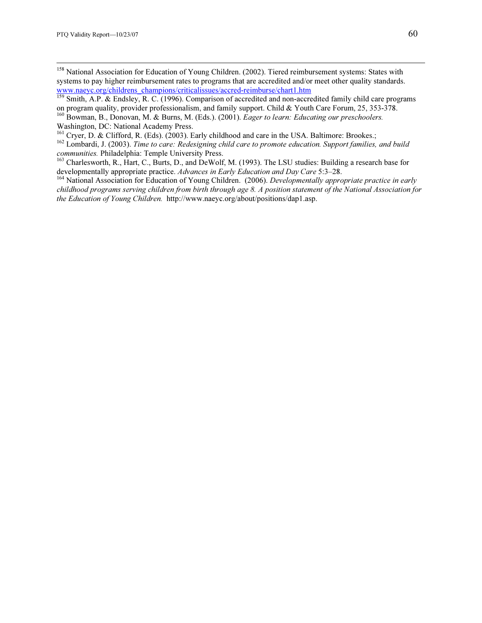<sup>158</sup> National Association for Education of Young Children. (2002). Tiered reimbursement systems: States with systems to pay higher reimbursement rates to programs that are accredited and/or meet other quality standards.

- www.naeyc.org/childrens\_champions/criticalissues/accred-reimburse/chart1.htm<br>
<sup>159</sup> Smith, A.P. & Endsley, R. C. (1996). Comparison of accredited and non-accredited family child care programs<br>
on program quality, provider
- <sup>160</sup> Bowman, B., Donovan, M. & Burns, M. (Eds.). (2001). *Eager to learn: Educating our preschoolers*. Washington, DC: National Academy Press.<br><sup>161</sup> Cryer, D. & Clifford, R. (Eds). (2003). Early childhood and care in the USA. Baltimore: Brookes.;
- 
- $162$  Lombardi, J. (2003). Time to care: Redesigning child care to promote education. Support families, and build communities. Philadelphia: Temple University Press.<br><sup>163</sup> Charlesworth, R., Hart, C., Burts, D., and DeWolf, M. (1993). The LSU studies: Building a research base for
- developmentally appropriate practice. Advances in Early Education and Day Care 5:3–28.<br><sup>164</sup> National Association for Education of Young Children. (2006). Developmentally appropriate practice in early
- childhood programs serving children from birth through age 8. A position statement of the National Association for the Education of Young Children. http://www.naeyc.org/about/positions/dap1.asp.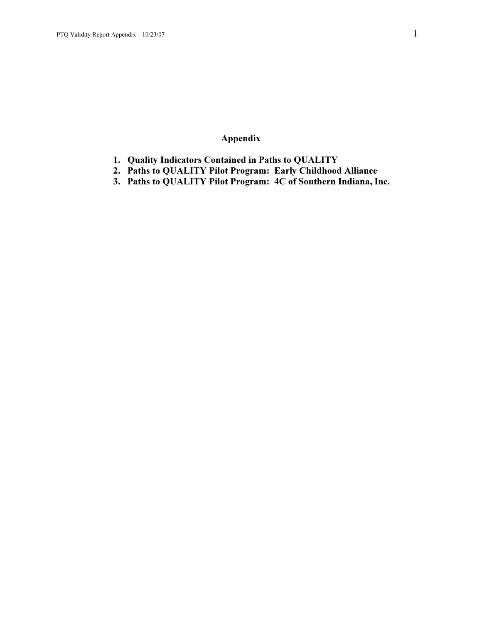# Appendix

- 1. Quality Indicators Contained in Paths to QUALITY
- 2. Paths to QUALITY Pilot Program: Early Childhood Alliance
- 3. Paths to QUALITY Pilot Program: 4C of Southern Indiana, Inc.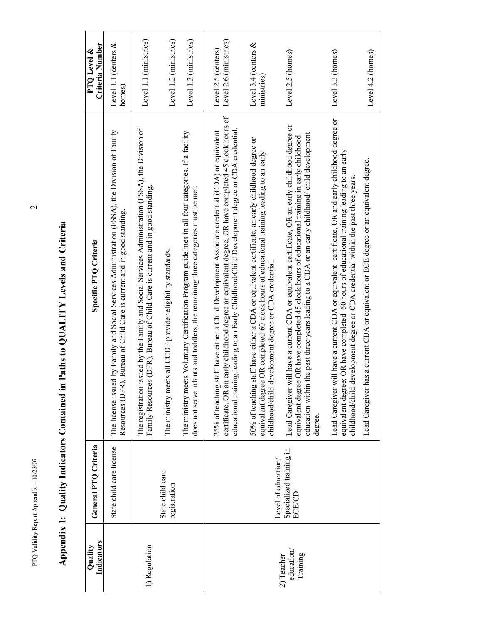| Indicators<br>Quality               | General PTO Criteria              | Specific PTQ Criteria                                                                                                                                                                                                                                                                                            | Criteria Number<br>PTQ Level &                |
|-------------------------------------|-----------------------------------|------------------------------------------------------------------------------------------------------------------------------------------------------------------------------------------------------------------------------------------------------------------------------------------------------------------|-----------------------------------------------|
|                                     | State child care license          | The license issued by Family and Social Services Administration (FSSA), the Division of Family<br>Resources (DFR), Bureau of Child Care is current and in good standing.                                                                                                                                         | Level 1.1 (centers &<br>homes)                |
| 1) Regulation                       |                                   | issued by the Family and Social Services Administration (FSSA), the Division of<br>Family Resources (DFR), Bureau of Child Care is current and in good standing.<br>The registration                                                                                                                             | Level 1.1 (ministries)                        |
|                                     | State child care<br>registration  | ets all CCDF provider eligibility standards.<br>The ministry me                                                                                                                                                                                                                                                  | Level 1.2 (ministries)                        |
|                                     |                                   | bets Voluntary Certification Program guidelines in all four categories. If a facility<br>does not serve infants and toddlers, the remaining three categories must be met.<br>The ministry me                                                                                                                     | Level 1.3 (ministries)                        |
|                                     |                                   | certificate, OR an early childhood degree or equivalent degree, OR have completed 45 clock hours of<br>educational training leading to an Early Childhood/Child Development degree or CDA credential.<br>staff have either a Child Development Associate credential (CDA) or equivalent<br>25% of teaching       | Level 2.6 (ministries)<br>Level 2.5 (centers) |
|                                     | Level of education/               | staff have either a CDA or equivalent certificate, an early childhood degree or<br>ee OR completed 60 clock hours of educational training leading to an early<br>development degree or CDA credential<br>50% of teaching<br>equivalent degre<br>childhood/child                                                  | Level 3.4 (centers &<br>ministries)           |
| education<br>Training<br>2) Teacher | Specialized training in<br>ECE/CD | Lead Caregiver will have a current CDA or equivalent certificate, OR an early childhood degree or<br>education within the past three years leading to a CDA or an early childhood/ child development<br>equivalent degree OR have completed 45 clock hours of educational training in early childhood<br>degree. | Level 2.5 (homes)                             |
|                                     |                                   | Lead Caregiver will have a current CDA or equivalent certificate, OR and early childhood degree or<br>equivalent degree; OR have completed 60 hours of educational training leading to an early<br>development degree or CDA credential within the past three years.<br>childhood/child                          | Level 3.3 (homes)                             |
|                                     |                                   | has a current CDA or equivalent or ECE degree or an equivalent degree.<br>Lead Caregiver                                                                                                                                                                                                                         | Level 4.2 (homes)                             |

# Appendix 1: Quality Indicators Contained in Paths to QUALITY Levels and Criteria Appendix 1: Quality Indicators Contained in Paths to QUALITY Levels and Criteria

PTQ Validity Report Appendix-10/23/07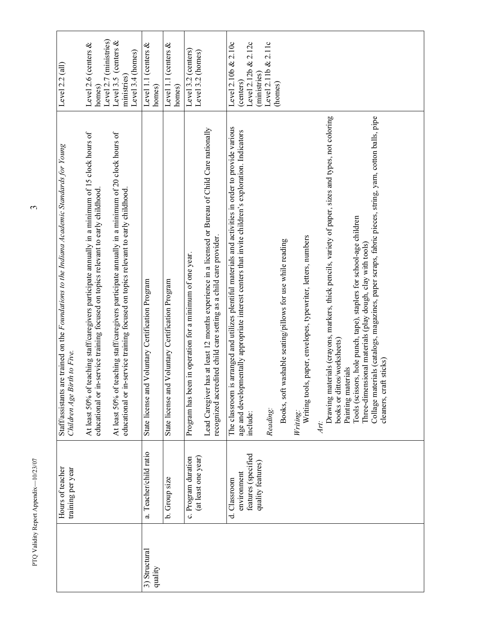|                          | Hours of teacher<br>training per year      | Staff/assistants are trained on the Foundations to the Indiana Academic Standards for Young<br>rth to Five.<br>Children Age Bir                                                                                                                                  | Level $2.2$ (all)                        |
|--------------------------|--------------------------------------------|------------------------------------------------------------------------------------------------------------------------------------------------------------------------------------------------------------------------------------------------------------------|------------------------------------------|
|                          |                                            | teaching staff/caregivers participate annually in a minimum of 15 clock hours of<br>educational or in-service training focused on topics relevant to early childhood.<br>At least 50% of 1                                                                       | Level 2.6 (centers $&$<br>homes)         |
|                          |                                            |                                                                                                                                                                                                                                                                  | Level 2.7 (ministries)                   |
|                          |                                            | eaching staff/caregivers participate annually in a minimum of 20 clock hours of<br>educational or in-service training focused on topics relevant to early childhood.<br>At least 50% of t                                                                        | Level 3.5 (centers $&$<br>ministries)    |
|                          |                                            |                                                                                                                                                                                                                                                                  | Level 3.4 (homes)                        |
| 3) Structural<br>quality | a. Teacher/child ratio                     | Voluntary Certification Program<br>State license and                                                                                                                                                                                                             | Level 1.1 (centers $&$<br>homes)         |
|                          | b. Group size                              | Voluntary Certification Program<br>State license and                                                                                                                                                                                                             | Level 1.1 (centers $\&$<br>homes)        |
|                          | (at least one year)<br>c. Program duration | Program has been in operation for a minimum of one year.                                                                                                                                                                                                         | Level 3.2 (centers)<br>Level 3.2 (homes) |
|                          |                                            | has at least 12 months experience in a licensed or Bureau of Child Care nationally<br>recognized accredited child care setting as a child care provider.<br>Lead Caregiver l                                                                                     |                                          |
|                          | environment<br>d. Classroom                | The classroom is arranged and utilizes plentiful materials and activities in order to provide various<br>age and developmentally appropriate interest centers that invite children's exploration. Indicators                                                     | Level 2.10b & 2.10c<br>(centers)         |
|                          | features (specified<br>quality features)   | include:                                                                                                                                                                                                                                                         | Level 2.12b & 2.12c<br>(ministries)      |
|                          |                                            | Reading:                                                                                                                                                                                                                                                         | Level $2.11b & 2.11c$                    |
|                          |                                            | Books, soft washable seating/pillows for use while reading                                                                                                                                                                                                       | (homes)                                  |
|                          |                                            | Writing tools, paper, envelopes, typewriter, letters, numbers<br>Writing:                                                                                                                                                                                        |                                          |
|                          |                                            | Drawing materials (crayons, markers, thick pencils, variety of paper, sizes and types, not coloring<br>books or dittos/worksheets)<br>Art:                                                                                                                       |                                          |
|                          |                                            | Collage materials (catalogs, magazines, paper scraps, fabric pieces, string, yarn, cotton balls, pipe<br>Tools (scissors, hole punch, tape), staplers for school-age children<br>Three-dimensional materials (play dough, clay with tools)<br>Painting materials |                                          |
|                          |                                            | cleaners, craft sticks)                                                                                                                                                                                                                                          |                                          |

PTQ Validity Report Appendix—10/23/07  $\,$ PTQ Validity Report Appendix-10/23/07

 $\mathfrak{S}$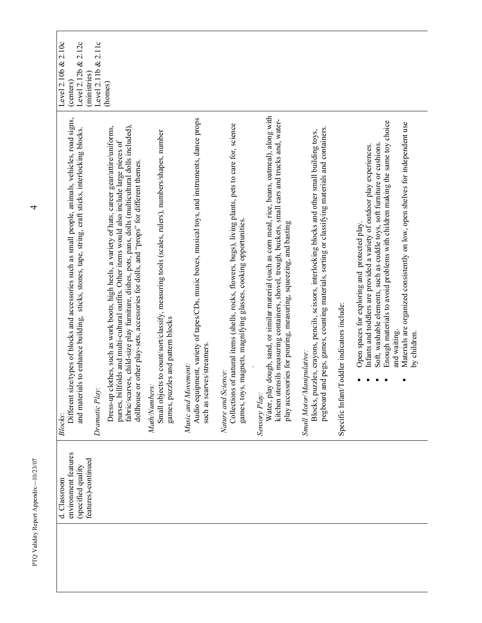| Level 2.10b & 2.10c<br>&2.12c<br>Level 2.12b<br>(ministries)<br>(centers)                                                                                                                                                  | Level $2.11b & 2.11c$<br>(homes)                                                                                                                                                                                                                                                                                                                                                                                      |                                                                                                                                                      |                                                                                                                                                     |                                                                                                                                                                                                  |                                                                                                                                                                                                                                                                                             |                                                                                                                                                                                                                                |                                             |                                                                                                                                                                                                                                                                                                                                                                                                        |
|----------------------------------------------------------------------------------------------------------------------------------------------------------------------------------------------------------------------------|-----------------------------------------------------------------------------------------------------------------------------------------------------------------------------------------------------------------------------------------------------------------------------------------------------------------------------------------------------------------------------------------------------------------------|------------------------------------------------------------------------------------------------------------------------------------------------------|-----------------------------------------------------------------------------------------------------------------------------------------------------|--------------------------------------------------------------------------------------------------------------------------------------------------------------------------------------------------|---------------------------------------------------------------------------------------------------------------------------------------------------------------------------------------------------------------------------------------------------------------------------------------------|--------------------------------------------------------------------------------------------------------------------------------------------------------------------------------------------------------------------------------|---------------------------------------------|--------------------------------------------------------------------------------------------------------------------------------------------------------------------------------------------------------------------------------------------------------------------------------------------------------------------------------------------------------------------------------------------------------|
| ize/types of blocks and accessories such as small people, animals, vehicles, road signs,<br>and materials to enhance building, sticks, stones, tape, string, craft sticks, interlocking blocks.<br>Different si<br>Blocks: | fabric/scarves, child-size play furniture, dishes, pots, pans, dolls (multicultural dolls included),<br>Dress-up clothes, such as work boots, high heels, a variety of hats, career gear/attire/uniforms,<br>purses, billfolds and multi-cultural outfits. Other items would also include large pieces of<br>dollhouse or other play-sets, accessories for dolls, and "props" for different themes.<br>Dramatic Play. | Small objects to count/sort/classify, measuring tools (scales, rulers), numbers/shapes, number<br>games, puzzles and pattern blocks<br>Math/Numbers: | Audio equipment, variety of tapes/CDs, music boxes, musical toys, and instruments, dance props<br>such as scarves/streamers.<br>Music and Movement: | Collections of natural items (shells, rocks, flowers, bugs), living plants, pets to care for, science<br>games, toys, magnets, magnifying glasses, cooking opportunities.<br>Nature and Science: | Water, play dough, sand, or similar material (such as corn meal, rice, beans, oatmeal), along with<br>kitchen utensils measuring containers, shovel, trough, buckets, small cars and trucks and, water-<br>play accessories for pouring, measuring, squeezing, and basting<br>Sensory Play: | pegboard and pegs, games, counting materials, sorting or classifying materials and containers.<br>Blocks, puzzles, crayons, pencils, scissors, interlocking blocks and other small building toys,<br>Small Motor/Manipulative: | Specific Infant/Toddler indicators include: | Enough materials to avoid problems with children making the same toy choice<br>Materials are organized consistently on low, open shelves for independent use<br>Soft, washable elements, such as cuddle toys, soft furniture or cushions.<br>Infants and toddlers are provided a variety of outdoor play experiences.<br>Open spaces for exploring and protected play.<br>and waiting.<br>by children. |
| environment features<br>features)-continued<br>(specified quality<br>d. Classroom                                                                                                                                          |                                                                                                                                                                                                                                                                                                                                                                                                                       |                                                                                                                                                      |                                                                                                                                                     |                                                                                                                                                                                                  |                                                                                                                                                                                                                                                                                             |                                                                                                                                                                                                                                |                                             |                                                                                                                                                                                                                                                                                                                                                                                                        |
|                                                                                                                                                                                                                            |                                                                                                                                                                                                                                                                                                                                                                                                                       |                                                                                                                                                      |                                                                                                                                                     |                                                                                                                                                                                                  |                                                                                                                                                                                                                                                                                             |                                                                                                                                                                                                                                |                                             |                                                                                                                                                                                                                                                                                                                                                                                                        |

 $\overline{\mathcal{A}}$ 

PTQ Validity Report Appendix—10/23/07 4 PTQ Validity Report Appendix-10/23/07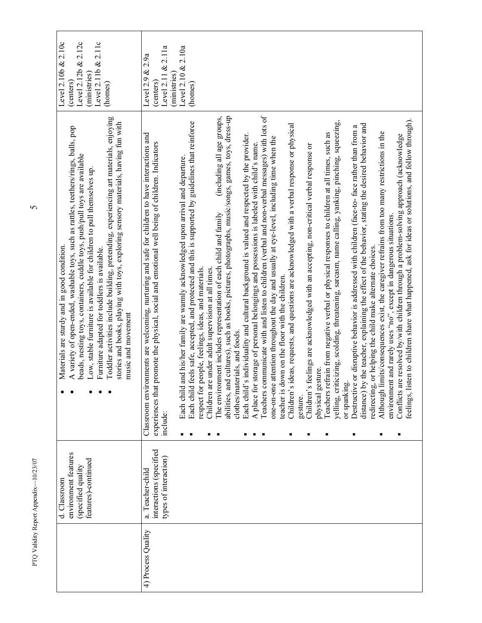| features)-continued<br>(specified quality                                                                                                                                                                                                                                                                                                                                                                                                                                                                                                                                                                                                                                                                                                                                                                                                                                                                                                                                                                                                                                                                                                                                                                                                                                                                                                                                                                                                                                                                                                                                                                                                                                                                                                                                                                                                                                                                                                                                                                                                                                                                                                                                                                                                                                                                                                                      |
|----------------------------------------------------------------------------------------------------------------------------------------------------------------------------------------------------------------------------------------------------------------------------------------------------------------------------------------------------------------------------------------------------------------------------------------------------------------------------------------------------------------------------------------------------------------------------------------------------------------------------------------------------------------------------------------------------------------------------------------------------------------------------------------------------------------------------------------------------------------------------------------------------------------------------------------------------------------------------------------------------------------------------------------------------------------------------------------------------------------------------------------------------------------------------------------------------------------------------------------------------------------------------------------------------------------------------------------------------------------------------------------------------------------------------------------------------------------------------------------------------------------------------------------------------------------------------------------------------------------------------------------------------------------------------------------------------------------------------------------------------------------------------------------------------------------------------------------------------------------------------------------------------------------------------------------------------------------------------------------------------------------------------------------------------------------------------------------------------------------------------------------------------------------------------------------------------------------------------------------------------------------------------------------------------------------------------------------------------------------|
| abilities, and cultures), such as books, pictures, photographs, music/songs, games, toys, dress-up<br>Teachers communicate with and listen to children (verbal and non-verbal messages) with lots of<br>isten to children share what happened, ask for ideas or solutions, and follow through).<br>yelling, criticizing, scolding, threatening, sarcasm, name calling, yanking, pinching, squeezing,<br>Each child feels safe, accepted, and protected and this is supported by guidelines that reinforce<br>s ideas, requests, and questions are acknowledged with a verbal response or physical<br>by the teacher, explaining the effect of the behavior, stating the desired behavior and<br>Destructive or disruptive behavior is addressed with children (face-to-face rather than from a<br>limits/consequences exist, the caregiver refrains from too many restrictions in the<br>Teachers refrain from negative verbal or physical responses to children at all times, such as<br>Classroom environments are welcoming, nurturing and safe for children to have interactions and<br>Each child's individuality and cultural background is valued and respected by the provider.<br>are resolved by/with children through a problem-solving approach (acknowledge<br>one-on-one attention throughout the day and usually at eye-level, including time when the<br>experiences that promote the physical, social and emotional well being of children. Indicators<br>A place for storage of personal belongings and possessions is labeled with child's name<br>Children's feelings are acknowledged with an accepting, non-critical verbal response or<br>Each child and his/her family are warmly acknowledged upon arrival and departure.<br>The environment includes representation of each child and family<br>environment and rarely uses "no", except in dangerous situations.<br>redirecting, or helping the child make alternate choices.<br>Children are under adult supervision at all times.<br>respect for people, feelings, ideas, and materials.<br>teacher is down on the floor with the children.<br>clothes/materials, and foods.<br>physical gesture.<br>or spanking.<br>Although<br>Children'<br>Conflicts<br>feelings,<br>distance)<br>gesture.<br>include:<br>interactions (specified<br>types of interaction)<br>a. Teacher-child |
|                                                                                                                                                                                                                                                                                                                                                                                                                                                                                                                                                                                                                                                                                                                                                                                                                                                                                                                                                                                                                                                                                                                                                                                                                                                                                                                                                                                                                                                                                                                                                                                                                                                                                                                                                                                                                                                                                                                                                                                                                                                                                                                                                                                                                                                                                                                                                                |
|                                                                                                                                                                                                                                                                                                                                                                                                                                                                                                                                                                                                                                                                                                                                                                                                                                                                                                                                                                                                                                                                                                                                                                                                                                                                                                                                                                                                                                                                                                                                                                                                                                                                                                                                                                                                                                                                                                                                                                                                                                                                                                                                                                                                                                                                                                                                                                |

 $\overline{6}$ 

Г

PTQ Validity Report Appendix—10/23/07  $5$ PTQ Validity Report Appendix-10/23/07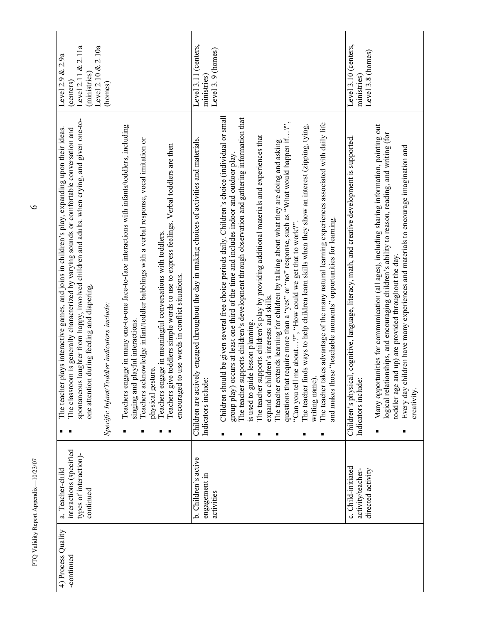| 4) Process Quality<br>-continued | interactions (specified<br>types of interaction)-<br>a. Teacher-child<br>continued | spontaneous laughter from happy, involved children and adults. when crying, and given one-to-<br>The classroom is generally characterized by varying sounds or comfortable conversation and<br>The teacher plays interactive games, and joins in children's play, expanding upon their ideas<br>one attention during feeding and diapering.  | Level 2.10 $& 2.10a$<br>&2.11a<br>Level 2.9 $& 2.9a$<br>(ministries)<br>Level 2.11<br>(centers) |
|----------------------------------|------------------------------------------------------------------------------------|----------------------------------------------------------------------------------------------------------------------------------------------------------------------------------------------------------------------------------------------------------------------------------------------------------------------------------------------|-------------------------------------------------------------------------------------------------|
|                                  |                                                                                    | Specific Infant/Toddler indicators include:                                                                                                                                                                                                                                                                                                  | (homes)                                                                                         |
|                                  |                                                                                    | Teachers engage in many one-to-one face-to-face interactions with infants/toddlers, including<br>Teachers acknowledge infant/toddler babblings with a verbal response, vocal imitation or<br>singing and playful interactions.<br>physical gesture.                                                                                          |                                                                                                 |
|                                  |                                                                                    | Teachers give toddlers simple words to use to express feelings. Verbal toddlers are then<br>Teachers engage in meaningful conversations with toddlers.<br>encouraged to use words in conflict situations.                                                                                                                                    |                                                                                                 |
|                                  | b. Children's active<br>engagement in<br>activities                                | Children are actively engaged throughout the day in making choices of activities and materials.<br><u>ώ</u><br>Indicators includ                                                                                                                                                                                                             | Level 3.11 (centers,<br>Level 3.9 (homes)<br>ministries)                                        |
|                                  |                                                                                    | Children should be given several free choice periods daily. Children's choice (individual or small<br>The teacher supports children's development through observation and gathering information that<br>occurs at least one third of the time and includes indoor and outdoor play.<br>is used to guide lesson planning.<br>group play)<br>٠ |                                                                                                 |
|                                  |                                                                                    | The teacher supports children's play by providing additional materials and experiences that<br>expand on children's interests and skills.                                                                                                                                                                                                    |                                                                                                 |
|                                  |                                                                                    | questions that require more than a "yes" or "no" response, such as "What would happen if?"<br>The teacher extends learning for children by talking about what they are doing and asking<br>"Can you tell me about?", "How could we get that to work?"                                                                                        |                                                                                                 |
|                                  |                                                                                    | The teacher finds ways to help children learn skills when they show an interest (zipping, tying,<br>writing name).<br>٠                                                                                                                                                                                                                      |                                                                                                 |
|                                  |                                                                                    | The teacher takes advantage of the many natural learning experiences associated with daily life<br>and makes those "teachable moments" opportunities for learning.<br>п                                                                                                                                                                      |                                                                                                 |
|                                  | c. Child-initiated<br>activity/teacher-<br>directed activity                       | Children's physical, cognitive, language, literacy, math, and creative development is supported.<br>نف<br>Indicators includ                                                                                                                                                                                                                  | Level 3.10 (centers,<br>Level 3.8 (homes)<br>ministries)                                        |
|                                  |                                                                                    | Many opportunities for communication (all ages), including sharing information, pointing out<br>logical relationships, and encouraging children's ability to reason, reading, and writing (for<br>toddler age and up) are provided throughout the day.                                                                                       |                                                                                                 |
|                                  |                                                                                    | children have many experiences and materials to encourage imagination and<br>Every day<br>creativity.                                                                                                                                                                                                                                        |                                                                                                 |

PTQ Validity Report Appendix—10/23/07 6 PTQ Validity Report Appendix-10/23/07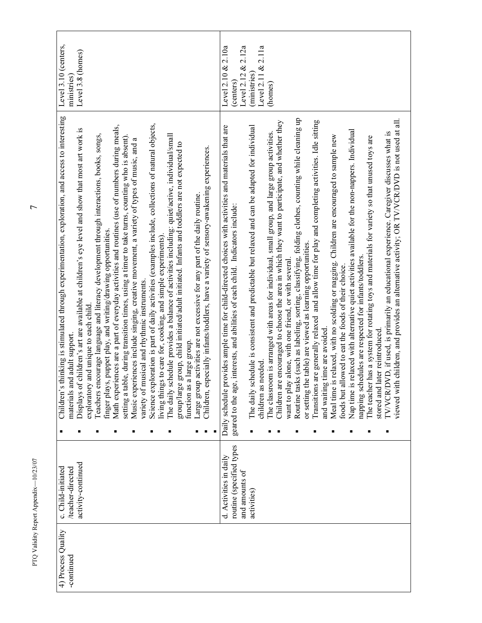| 4) Process Quality | c. Child-initiated       | thinking is stimulated through experimentation, exploration, and access to interesting<br>Children's | Level 3.10 (centers, |
|--------------------|--------------------------|------------------------------------------------------------------------------------------------------|----------------------|
| -continued         | /teacher-directed        | materials and adult support.                                                                         | ministries           |
|                    | activity-continued       | Displays of children's art are available at children's eye level and show that most art work is      | Level 3.8 (homes)    |
|                    |                          | exploratory and unique to each child.                                                                |                      |
|                    |                          | Teachers encourage language and literacy development through interactions, books, songs,             |                      |
|                    |                          | finger plays, puppet play, and writing/drawing opportunities.                                        |                      |
|                    |                          | Math experiences are a part of everyday activities and routines (use of numbers during meals,        |                      |
|                    |                          | setting a table, during transition times, using a timer to take turns, counting who is absent).      |                      |
|                    |                          | a<br>Music experiences include singing, creative movement, a variety of types of music, and          |                      |
|                    |                          | variety of musical and rhythmic instruments.                                                         |                      |
|                    |                          | Science exploration is part of daily activities (examples include, collections of natural objects,   |                      |
|                    |                          | living things to care for, cooking, and simple experiments).                                         |                      |
|                    |                          | The daily schedule provides a balance of activities including: quiet/active, individual/small        |                      |
|                    |                          | group/large group, child initiated/adult initiated. Infants and toddlers are not expected to         |                      |
|                    |                          | a large group.<br>function as                                                                        |                      |
|                    |                          | Large group activities are not excessive for any part of the daily routine.                          |                      |
|                    |                          | Children, especially infants/toddlers, have a variety of sensory-awakening experiences.              |                      |
|                    | d. Activities in daily   | Daily schedule provides ample time for child-directed choices with activities and materials that are | Level 2.10 $& 2.10a$ |
|                    | routine (specified types | geared to the age, interests, and abilities of each child. Indicators include:                       | (centers)            |
|                    | and amounts of           |                                                                                                      | Level 2.12 & 2.12a   |
|                    | activities)              | The daily schedule is consistent and predictable but relaxed and can be adapted for individual       | (ministries)         |
|                    |                          | children as needed.                                                                                  | Level 2.11 & 2.11a   |
|                    |                          | The classroom is arranged with areas for individual, small group, and large group activities         | (homes)              |
|                    |                          | Children are encouraged to choose the area in which they want to participate, and whether they       |                      |
|                    |                          | want to play alone, with one friend, or with several                                                 |                      |
|                    |                          | Routine tasks (such as labeling, sorting, classifying, folding clothes, counting while cleaning up   |                      |
|                    |                          | or setting the table) are viewed as learning opportunities.                                          |                      |
|                    |                          | Transitions are generally relaxed and allow time for play and completing activities. Idle sitting    |                      |
|                    |                          | and waiting time are avoided.                                                                        |                      |
|                    |                          | Children are encouraged to sample new<br>Meal time is relaxed, with no scolding or nagging.          |                      |
|                    |                          | foods but allowed to eat the foods of their choice.                                                  |                      |
|                    |                          |                                                                                                      |                      |
|                    |                          | Nap time is relaxed with alternative quiet activities available for the non-nappers. Individual      |                      |
|                    |                          | napping schedules are respected for infants/toddlers.                                                |                      |
|                    |                          | The teacher has a system for rotating toys and materials for variety so that unused toys are         |                      |
|                    |                          | later reintroduced<br>stored and                                                                     |                      |
|                    |                          | TV/VCR/DVD, if used, is primarily an educational experience. Caregiver discusses what is             |                      |
|                    |                          | viewed with children, and provides an alternative activity; OR TV/VCR/DVD is not used at all.        |                      |
|                    |                          |                                                                                                      |                      |
|                    |                          |                                                                                                      |                      |

PTQ Validity Report Appendix—10/23/07  $7\,$ PTQ Validity Report Appendix-10/23/07

 $\overline{r}$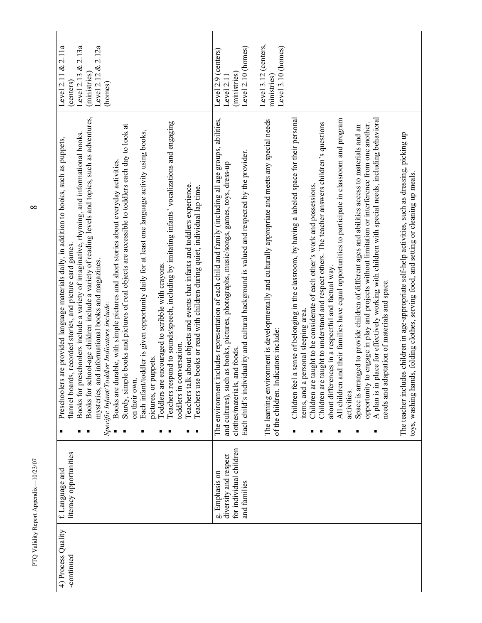| 4) Process Quality | f. Language and         | Preschoolers are provided language materials daily, in addition to books, such as puppets,                                                                                                  | Level 2.11 $& 2.11a$                |
|--------------------|-------------------------|---------------------------------------------------------------------------------------------------------------------------------------------------------------------------------------------|-------------------------------------|
| -continued         | literacy opportunities  | flannel boards, recorded stories, and picture card games.                                                                                                                                   | (centers)                           |
|                    |                         | preschoolers include a variety of imaginative, rhyming, and informational books.<br>Books for                                                                                               | 2.13a<br>ళ<br>Level 2.13            |
|                    |                         | Books for school-age children include a variety of reading levels and topics, such as adventures,<br>mysteries, and informational books and magazines.                                      | Level 2.12 & 2.12a<br>(ministries)  |
|                    |                         | Specific Infant/Toddler Indicators include:                                                                                                                                                 | (homes)                             |
|                    |                         | Books are durable, with simple pictures and short stories about everyday activities.                                                                                                        |                                     |
|                    |                         | Sturdy, simple books and pictures of real objects are accessible to toddlers each day to look at                                                                                            |                                     |
|                    |                         | on their own.                                                                                                                                                                               |                                     |
|                    |                         | Each infant/toddler is given opportunity daily for at least one language activity using books,                                                                                              |                                     |
|                    |                         | pictures, or puppets.                                                                                                                                                                       |                                     |
|                    |                         | e encouraged to scribble with crayons.<br>Toddlers ar                                                                                                                                       |                                     |
|                    |                         | Teachers respond to sounds/speech, including by imitating infants' vocalizations and engaging<br>toddlers in conversation.                                                                  |                                     |
|                    |                         |                                                                                                                                                                                             |                                     |
|                    |                         | Teachers talk about objects and events that infants and toddlers experience.<br>Teachers use books or read with children during quiet, individual lap time.                                 |                                     |
|                    | g. Emphasis on          | The environment includes representation of each child and family (including all age groups, abilities,                                                                                      | Level 2.9 (centers)                 |
|                    | diversity and respect   | and cultures), such as books, pictures, photographs, music/songs, games, toys, dress-up                                                                                                     | Level 2.11                          |
|                    | for individual children | clothes/materials, and foods.                                                                                                                                                               | (ministries)                        |
|                    | and families            | Each child's individuality and cultural background is valued and respected by the provider.                                                                                                 | Level 2.10 (homes)                  |
|                    |                         |                                                                                                                                                                                             |                                     |
|                    |                         | The learning environment is developmentally and culturally appropriate and meets any special needs                                                                                          | Level 3.12 (centers,<br>ministries) |
|                    |                         | ndicators include:<br>of the children.                                                                                                                                                      | Level 3.10 (homes)                  |
|                    |                         |                                                                                                                                                                                             |                                     |
|                    |                         | Children feel a sense of belonging in the classroom, by having a labeled space for their personal<br>items, and a personal sleeping area.                                                   |                                     |
|                    |                         | Children are taught to be considerate of each other's work and possessions.                                                                                                                 |                                     |
|                    |                         | Children are taught to understand and respect others. The teacher answers children's questions                                                                                              |                                     |
|                    |                         | about differences in a respectful and factual way.                                                                                                                                          |                                     |
|                    |                         | All children and their families have equal opportunities to participate in classroom and program                                                                                            |                                     |
|                    |                         | activities.                                                                                                                                                                                 |                                     |
|                    |                         | Space is arranged to provide children of different ages and abilities access to materials and an                                                                                            |                                     |
|                    |                         | opportunity to engage in play and projects without limitation or interference from one another.                                                                                             |                                     |
|                    |                         | A plan is in place for effectively working with children with special needs, including behavioral<br>needs and adaptation of materials and space.                                           |                                     |
|                    |                         |                                                                                                                                                                                             |                                     |
|                    |                         | The teacher includes children in age-appropriate self-help activities, such as dressing, picking up<br>toys, washing hands, folding clothes, serving food, and setting or cleaning up meals |                                     |

 $\infty$ 

PTQ Validity Report Appendix—10/23/07  $8\,$ PTQ Validity Report Appendix-10/23/07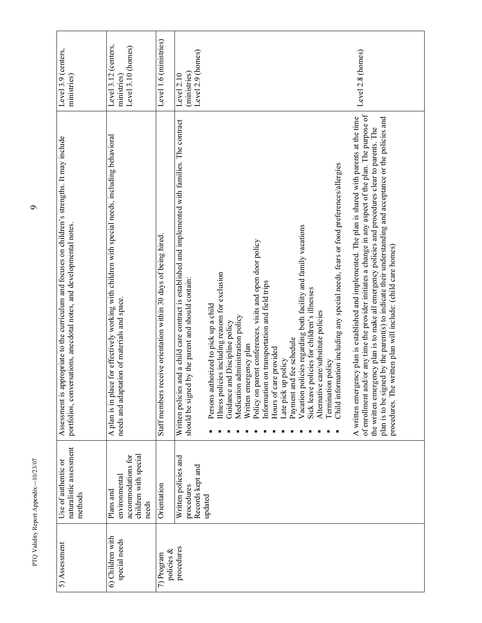| Level 3.9 (centers,<br>ministries)                                                                                                                                      | Level 3.12 (centers,<br>Level 3.10 (homes)<br>ministries)                                                                                         | Level 1.6 (ministries)                                          | Level 2.9 (homes)<br>(ministries)<br>Level 2.10                                                                                                                | Level 2.8 (homes)                                                                                                                                                                                                                                                                                                                                                                                                                                                                                                                                                                                                                                                                                                                                                                                                                                                                                                                                                                                                                                                                                                                                               |
|-------------------------------------------------------------------------------------------------------------------------------------------------------------------------|---------------------------------------------------------------------------------------------------------------------------------------------------|-----------------------------------------------------------------|----------------------------------------------------------------------------------------------------------------------------------------------------------------|-----------------------------------------------------------------------------------------------------------------------------------------------------------------------------------------------------------------------------------------------------------------------------------------------------------------------------------------------------------------------------------------------------------------------------------------------------------------------------------------------------------------------------------------------------------------------------------------------------------------------------------------------------------------------------------------------------------------------------------------------------------------------------------------------------------------------------------------------------------------------------------------------------------------------------------------------------------------------------------------------------------------------------------------------------------------------------------------------------------------------------------------------------------------|
| Assessment is appropriate to the curriculum and focuses on children's strengths. It may include<br>portfolios, conversations, anecdotal notes, and developmental notes. | A plan is in place for effectively working with children with special needs, including behavioral<br>needs and adaptation of materials and space. | Staff members receive orientation within 30 days of being hired | and a child care contract is established and implemented with families. The contract<br>should be signed by the parent and should contain:<br>Written policies | of enrollment and/or any time the provider initiates a change in any aspect of the plan. The purpose of<br>A written emergency plan is established and implemented. The plan is shared with parents at the time<br>plan is to be signed by the parent(s) to indicate their understanding and acceptance or the policies and<br>the written emergency plan is to make all emergency policies and procedures clear to parents. The<br>Child information including any special needs, fears or food preferences/allergies<br>Vacation policies regarding both facility and family vacations<br>Policy on parent conferences, visits and open door policy<br>procedures. The written plan will include: (child care homes)<br>Illness policies including reasons for exclusion<br>Information on transportation and field trips<br>Sick leave policies for children's illnesses<br>Persons authorized to pick up a child<br>Alternative care/substitute policies<br>Medication administration policy<br>Guidance and Discipline policy<br>Payment and fee schedule<br>Written emergency plan<br>Hours of care provided<br>Late pick up policy<br>Termination policy |
| naturalistic assessment<br>Use of authentic or<br>methods                                                                                                               | children with special<br>accommodations for<br>environmental<br>Plans and<br>needs                                                                | Orientation                                                     | Written policies and<br>Records kept and<br>procedures                                                                                                         | updated                                                                                                                                                                                                                                                                                                                                                                                                                                                                                                                                                                                                                                                                                                                                                                                                                                                                                                                                                                                                                                                                                                                                                         |
| 5) Assessment                                                                                                                                                           | 6) Children with<br>special needs                                                                                                                 | policies &<br>7) Program                                        | procedures                                                                                                                                                     |                                                                                                                                                                                                                                                                                                                                                                                                                                                                                                                                                                                                                                                                                                                                                                                                                                                                                                                                                                                                                                                                                                                                                                 |

 $\bullet$ 

PTQ Validity Report Appendix—10/23/07  $\,$ PTQ Validity Report Appendix-10/23/07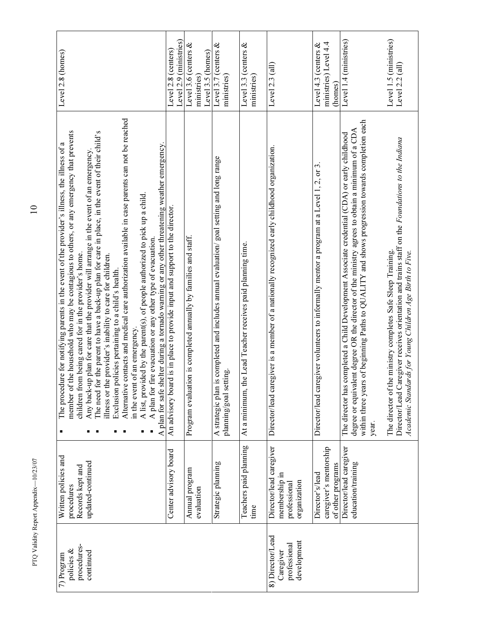| procedures- | Written policies and<br>procedures                                       | the household who may be contagious to others, or any emergency that prevents<br>The procedure for notifying parents in the event of the provider's illness, the illness of a<br>member of                                                                                                                    | Level 2.8 (homes)                             |
|-------------|--------------------------------------------------------------------------|---------------------------------------------------------------------------------------------------------------------------------------------------------------------------------------------------------------------------------------------------------------------------------------------------------------|-----------------------------------------------|
|             | updated-continued<br>Records kept and                                    | Any back-up plan for care that the provider will arrange in the event of an emergency<br>children from being cared for in the provider's home.                                                                                                                                                                |                                               |
|             |                                                                          | The need for the parent to have a back-up plan for care in place, in the event of their child's<br>illness or the provider's inability to care for children.<br>Exclusion policies pertaining to a child's health.                                                                                            |                                               |
|             |                                                                          | contacts and medical care authorization available in case parents can not be reached<br>Alternative                                                                                                                                                                                                           |                                               |
|             |                                                                          | A list, provided by the parent(s), of people authorized to pick up a child<br>of an emergency.<br>in the event                                                                                                                                                                                                |                                               |
|             |                                                                          | A plan for fire evacuation or any other type of evacuation.                                                                                                                                                                                                                                                   |                                               |
|             |                                                                          | A plan for safe shelter during a tornado warning or any other threatening weather emergency.                                                                                                                                                                                                                  |                                               |
|             | Center advisory board                                                    | An advisory board is in place to provide input and support to the director.                                                                                                                                                                                                                                   | Level 2.9 (ministries)<br>Level 2.8 (centers) |
|             | Annual program<br>evaluation                                             | on is completed annually by families and staff.<br>Program evaluati                                                                                                                                                                                                                                           | Level 3.6 (centers $&$<br>ministries)         |
|             |                                                                          |                                                                                                                                                                                                                                                                                                               | Level 3.5 (homes)                             |
|             | Strategic planning                                                       | is completed and includes annual evaluation/ goal setting and long range<br>planning/goal setting.<br>A strategic plan                                                                                                                                                                                        | Level 3.7 (centers &<br>ministries)           |
|             | Teachers paid planning<br>time                                           | he Lead Teacher receives paid planning time.<br>At a minimum, tl                                                                                                                                                                                                                                              | Level 3.3 (centers $&$<br>ministries)         |
|             | Director/lead caregiver<br>membership in<br>organization<br>professional | Director/lead caregiver is a member of a nationally recognized early childhood organization.                                                                                                                                                                                                                  | Level $2.3$ (all)                             |
|             | Director's/lead                                                          | Director/lead caregiver volunteers to informally mentor a program at a Level 1, 2, or 3.                                                                                                                                                                                                                      | Level 4.3 (centers $&$                        |
|             | caregiver's mentorship<br>of other programs                              |                                                                                                                                                                                                                                                                                                               | ministries) Level 4.4<br>(homes)              |
|             | Director/lead caregiver<br>education/training                            | within three years of beginning Paths to QUALITY and shows progression towards completion each<br>degree or equivalent degree OR the director of the ministry agrees to obtain a minimum of a CDA<br>completed a Child Development Associate credential (CDA) or early childhood<br>The director has<br>year. | Level 1.4 (ministries)                        |
|             |                                                                          | Director/Lead Caregiver receives orientation and trains staff on the Foundations to the Indiana<br>The director of the ministry completes Safe Sleep Training.<br>Academic Standards for Young Children Age Birth to Five.                                                                                    | Level 1.5 (ministries)<br>Level 2.2 (all)     |

 $\begin{array}{c} 10 \end{array}$ 

PTQ Validity Report Appendix—10/23/07 10 PTQ Validity Report Appendix-10/23/07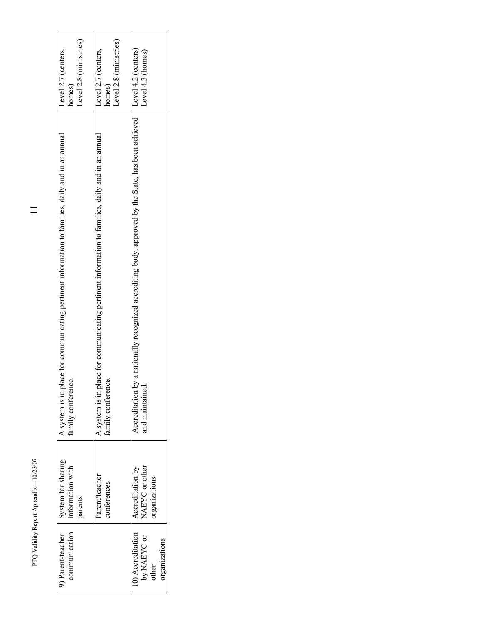| Level 2.8 (ministries)<br>Level 2.7 (centers.<br>homes)                                                                | Level $2.8$ (ministries)<br>Level 2.7 (centers.<br>homes)                                                              | Level 4.2 (centers)<br>Level 4.3 (homes)                                                                               |
|------------------------------------------------------------------------------------------------------------------------|------------------------------------------------------------------------------------------------------------------------|------------------------------------------------------------------------------------------------------------------------|
| A system is in place for communicating pertinent information to families, daily and in an annual<br>family conference. | A system is in place for communicating pertinent information to families, daily and in an annual<br>family conference. | Accreditation by a nationally recognized accrediting body, approved by the State, has been achieved<br>and maintained. |
| System for sharing<br>information with<br>parents                                                                      | Parent/teacher<br>conferences                                                                                          | NAEYC or other<br>Accreditation by<br>organizations                                                                    |
| communication<br><sup>3</sup> ) Parent-teacher                                                                         |                                                                                                                        | 10) Accreditation<br>by NAEYC or<br>organizations<br>other                                                             |

PTQ Validity Report Appendix-10/23/07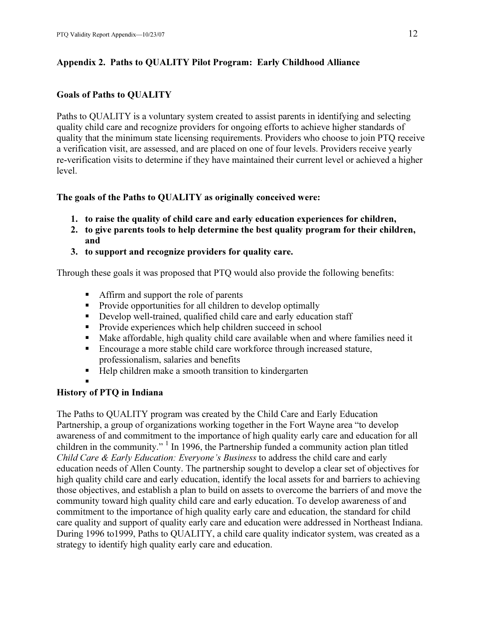## Appendix 2. Paths to QUALITY Pilot Program: Early Childhood Alliance

## Goals of Paths to QUALITY

Paths to QUALITY is a voluntary system created to assist parents in identifying and selecting quality child care and recognize providers for ongoing efforts to achieve higher standards of quality that the minimum state licensing requirements. Providers who choose to join PTQ receive a verification visit, are assessed, and are placed on one of four levels. Providers receive yearly re-verification visits to determine if they have maintained their current level or achieved a higher level.

The goals of the Paths to QUALITY as originally conceived were:

- 1. to raise the quality of child care and early education experiences for children,
- 2. to give parents tools to help determine the best quality program for their children, and
- 3. to support and recognize providers for quality care.

Through these goals it was proposed that PTQ would also provide the following benefits:

- Affirm and support the role of parents
- Provide opportunities for all children to develop optimally
- Develop well-trained, qualified child care and early education staff
- Provide experiences which help children succeed in school
- Make affordable, high quality child care available when and where families need it
- Encourage a more stable child care workforce through increased stature, professionalism, salaries and benefits
- Help children make a smooth transition to kindergarten

## History of PTQ in Indiana

The Paths to QUALITY program was created by the Child Care and Early Education Partnership, a group of organizations working together in the Fort Wayne area "to develop awareness of and commitment to the importance of high quality early care and education for all children in the community."  $\frac{1}{1}$  In 1996, the Partnership funded a community action plan titled Child Care & Early Education: Everyone's Business to address the child care and early education needs of Allen County. The partnership sought to develop a clear set of objectives for high quality child care and early education, identify the local assets for and barriers to achieving those objectives, and establish a plan to build on assets to overcome the barriers of and move the community toward high quality child care and early education. To develop awareness of and commitment to the importance of high quality early care and education, the standard for child care quality and support of quality early care and education were addressed in Northeast Indiana. During 1996 to1999, Paths to QUALITY, a child care quality indicator system, was created as a strategy to identify high quality early care and education.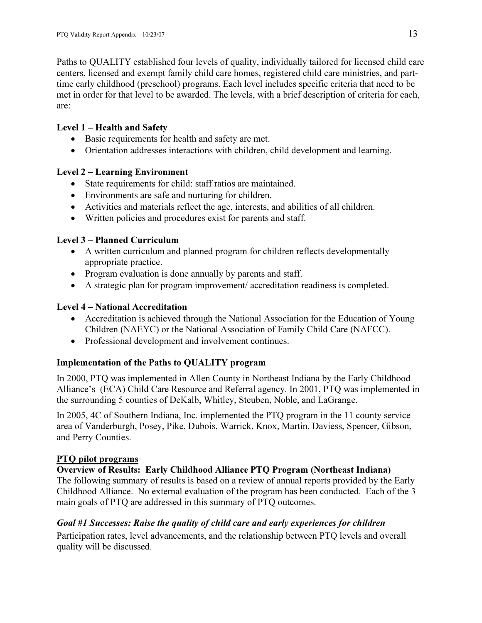Paths to QUALITY established four levels of quality, individually tailored for licensed child care centers, licensed and exempt family child care homes, registered child care ministries, and parttime early childhood (preschool) programs. Each level includes specific criteria that need to be met in order for that level to be awarded. The levels, with a brief description of criteria for each, are:

## Level 1 – Health and Safety

- Basic requirements for health and safety are met.
- Orientation addresses interactions with children, child development and learning.

## Level 2 – Learning Environment

- State requirements for child: staff ratios are maintained.
- Environments are safe and nurturing for children.
- Activities and materials reflect the age, interests, and abilities of all children.
- Written policies and procedures exist for parents and staff.

# Level 3 – Planned Curriculum

- A written curriculum and planned program for children reflects developmentally appropriate practice.
- Program evaluation is done annually by parents and staff.
- A strategic plan for program improvement/ accreditation readiness is completed.

# Level 4 – National Accreditation

- Accreditation is achieved through the National Association for the Education of Young Children (NAEYC) or the National Association of Family Child Care (NAFCC).
- Professional development and involvement continues.

# Implementation of the Paths to QUALITY program

In 2000, PTQ was implemented in Allen County in Northeast Indiana by the Early Childhood Alliance's (ECA) Child Care Resource and Referral agency. In 2001, PTQ was implemented in the surrounding 5 counties of DeKalb, Whitley, Steuben, Noble, and LaGrange.

In 2005, 4C of Southern Indiana, Inc. implemented the PTQ program in the 11 county service area of Vanderburgh, Posey, Pike, Dubois, Warrick, Knox, Martin, Daviess, Spencer, Gibson, and Perry Counties.

## PTQ pilot programs

## Overview of Results: Early Childhood Alliance PTQ Program (Northeast Indiana)

The following summary of results is based on a review of annual reports provided by the Early Childhood Alliance. No external evaluation of the program has been conducted. Each of the 3 main goals of PTQ are addressed in this summary of PTQ outcomes.

## Goal #1 Successes: Raise the quality of child care and early experiences for children

Participation rates, level advancements, and the relationship between PTQ levels and overall quality will be discussed.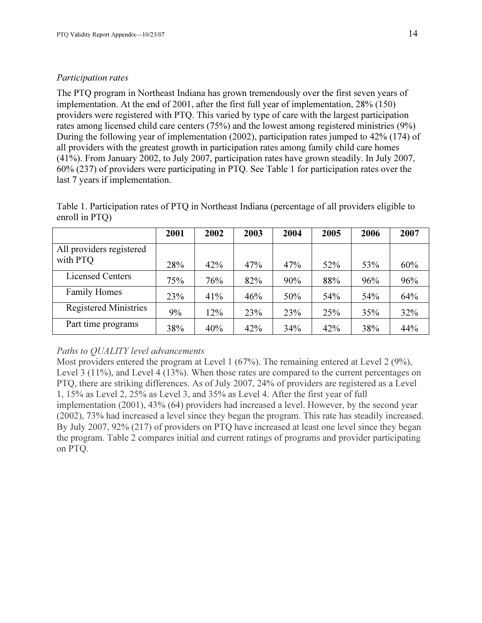### Participation rates

The PTQ program in Northeast Indiana has grown tremendously over the first seven years of implementation. At the end of 2001, after the first full year of implementation, 28% (150) providers were registered with PTQ. This varied by type of care with the largest participation rates among licensed child care centers (75%) and the lowest among registered ministries (9%) During the following year of implementation (2002), participation rates jumped to 42% (174) of all providers with the greatest growth in participation rates among family child care homes (41%). From January 2002, to July 2007, participation rates have grown steadily. In July 2007, 60% (237) of providers were participating in PTQ. See Table 1 for participation rates over the last 7 years if implementation.

| Table 1. Participation rates of PTQ in Northeast Indiana (percentage of all providers eligible to |  |
|---------------------------------------------------------------------------------------------------|--|
| enroll in $PTQ$ )                                                                                 |  |

|                              | 2001 | 2002 | 2003 | 2004 | 2005 | 2006 | 2007 |
|------------------------------|------|------|------|------|------|------|------|
| All providers registered     |      |      |      |      |      |      |      |
| with PTQ                     | 28%  | 42%  | 47%  | 47%  | 52%  | 53%  | 60%  |
| <b>Licensed Centers</b>      | 75%  | 76%  | 82%  | 90%  | 88%  | 96%  | 96%  |
| <b>Family Homes</b>          | 23%  | 41%  | 46%  | 50%  | 54%  | 54%  | 64%  |
| <b>Registered Ministries</b> | 9%   | 12%  | 23%  | 23%  | 25%  | 35%  | 32%  |
| Part time programs           | 38%  | 40%  | 42%  | 34%  | 42%  | 38%  | 44%  |

### Paths to QUALITY level advancements

Most providers entered the program at Level 1 (67%). The remaining entered at Level 2 (9%), Level 3 (11%), and Level 4 (13%). When those rates are compared to the current percentages on PTQ, there are striking differences. As of July 2007, 24% of providers are registered as a Level 1, 15% as Level 2, 25% as Level 3, and 35% as Level 4. After the first year of full implementation (2001), 43% (64) providers had increased a level. However, by the second year (2002), 73% had increased a level since they began the program. This rate has steadily increased. By July 2007, 92% (217) of providers on PTQ have increased at least one level since they began the program. Table 2 compares initial and current ratings of programs and provider participating on PTQ.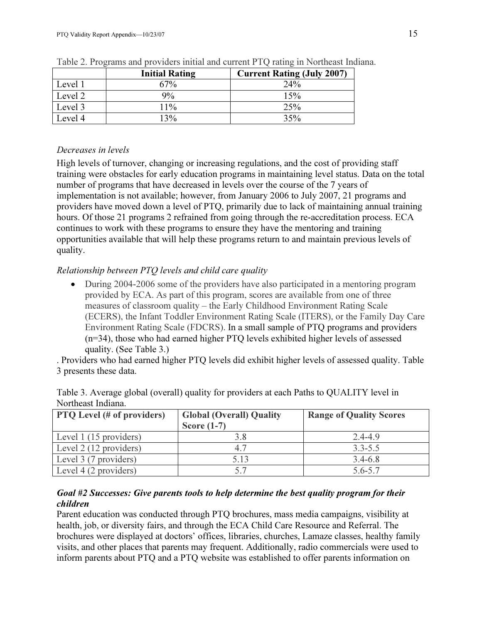|         | <b>Initial Rating</b> | <b>Current Rating (July 2007)</b> |
|---------|-----------------------|-----------------------------------|
| Level 1 | 67%                   | 24%                               |
| Level 2 | $9\%$                 | 15%                               |
| Level 3 | 11%                   | 25%                               |
| Level 4 | 13%                   | 35%                               |

Table 2. Programs and providers initial and current PTQ rating in Northeast Indiana.

# Decreases in levels

High levels of turnover, changing or increasing regulations, and the cost of providing staff training were obstacles for early education programs in maintaining level status. Data on the total number of programs that have decreased in levels over the course of the 7 years of implementation is not available; however, from January 2006 to July 2007, 21 programs and providers have moved down a level of PTQ, primarily due to lack of maintaining annual training hours. Of those 21 programs 2 refrained from going through the re-accreditation process. ECA continues to work with these programs to ensure they have the mentoring and training opportunities available that will help these programs return to and maintain previous levels of quality.

# Relationship between PTQ levels and child care quality

• During 2004-2006 some of the providers have also participated in a mentoring program provided by ECA. As part of this program, scores are available from one of three measures of classroom quality – the Early Childhood Environment Rating Scale (ECERS), the Infant Toddler Environment Rating Scale (ITERS), or the Family Day Care Environment Rating Scale (FDCRS). In a small sample of PTQ programs and providers (n=34), those who had earned higher PTQ levels exhibited higher levels of assessed quality. (See Table 3.)

. Providers who had earned higher PTQ levels did exhibit higher levels of assessed quality. Table 3 presents these data.

| 1,01010000001110101101            |                                                  |                                |
|-----------------------------------|--------------------------------------------------|--------------------------------|
| <b>PTQ</b> Level (# of providers) | <b>Global (Overall) Quality</b><br>Score $(1-7)$ | <b>Range of Quality Scores</b> |
| Level 1 (15 providers)            |                                                  | 2.4-4.9                        |
| Level 2 (12 providers)            | 4.7                                              | $3.3 - 5.5$                    |
| Level 3 (7 providers)             | 5.13                                             | $3.4 - 6.8$                    |
| Level 4 (2 providers)             |                                                  | 5.6-5.7                        |

Table 3. Average global (overall) quality for providers at each Paths to QUALITY level in Northeast Indiana.

## Goal #2 Successes: Give parents tools to help determine the best quality program for their children

Parent education was conducted through PTQ brochures, mass media campaigns, visibility at health, job, or diversity fairs, and through the ECA Child Care Resource and Referral. The brochures were displayed at doctors' offices, libraries, churches, Lamaze classes, healthy family visits, and other places that parents may frequent. Additionally, radio commercials were used to inform parents about PTQ and a PTQ website was established to offer parents information on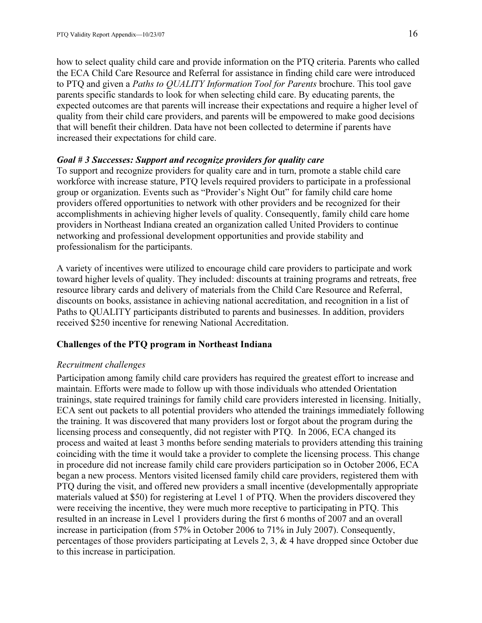how to select quality child care and provide information on the PTQ criteria. Parents who called the ECA Child Care Resource and Referral for assistance in finding child care were introduced to PTQ and given a Paths to QUALITY Information Tool for Parents brochure. This tool gave parents specific standards to look for when selecting child care. By educating parents, the expected outcomes are that parents will increase their expectations and require a higher level of quality from their child care providers, and parents will be empowered to make good decisions that will benefit their children. Data have not been collected to determine if parents have increased their expectations for child care.

#### Goal # 3 Successes: Support and recognize providers for quality care

To support and recognize providers for quality care and in turn, promote a stable child care workforce with increase stature, PTQ levels required providers to participate in a professional group or organization. Events such as "Provider's Night Out" for family child care home providers offered opportunities to network with other providers and be recognized for their accomplishments in achieving higher levels of quality. Consequently, family child care home providers in Northeast Indiana created an organization called United Providers to continue networking and professional development opportunities and provide stability and professionalism for the participants.

A variety of incentives were utilized to encourage child care providers to participate and work toward higher levels of quality. They included: discounts at training programs and retreats, free resource library cards and delivery of materials from the Child Care Resource and Referral, discounts on books, assistance in achieving national accreditation, and recognition in a list of Paths to QUALITY participants distributed to parents and businesses. In addition, providers received \$250 incentive for renewing National Accreditation.

#### Challenges of the PTQ program in Northeast Indiana

#### Recruitment challenges

Participation among family child care providers has required the greatest effort to increase and maintain. Efforts were made to follow up with those individuals who attended Orientation trainings, state required trainings for family child care providers interested in licensing. Initially, ECA sent out packets to all potential providers who attended the trainings immediately following the training. It was discovered that many providers lost or forgot about the program during the licensing process and consequently, did not register with PTQ. In 2006, ECA changed its process and waited at least 3 months before sending materials to providers attending this training coinciding with the time it would take a provider to complete the licensing process. This change in procedure did not increase family child care providers participation so in October 2006, ECA began a new process. Mentors visited licensed family child care providers, registered them with PTQ during the visit, and offered new providers a small incentive (developmentally appropriate materials valued at \$50) for registering at Level 1 of PTQ. When the providers discovered they were receiving the incentive, they were much more receptive to participating in PTQ. This resulted in an increase in Level 1 providers during the first 6 months of 2007 and an overall increase in participation (from 57% in October 2006 to 71% in July 2007). Consequently, percentages of those providers participating at Levels 2, 3, & 4 have dropped since October due to this increase in participation.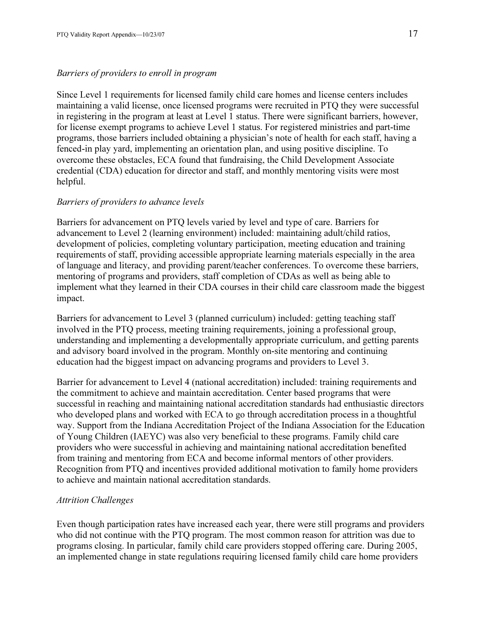#### Barriers of providers to enroll in program

Since Level 1 requirements for licensed family child care homes and license centers includes maintaining a valid license, once licensed programs were recruited in PTQ they were successful in registering in the program at least at Level 1 status. There were significant barriers, however, for license exempt programs to achieve Level 1 status. For registered ministries and part-time programs, those barriers included obtaining a physician's note of health for each staff, having a fenced-in play yard, implementing an orientation plan, and using positive discipline. To overcome these obstacles, ECA found that fundraising, the Child Development Associate credential (CDA) education for director and staff, and monthly mentoring visits were most helpful.

#### Barriers of providers to advance levels

Barriers for advancement on PTQ levels varied by level and type of care. Barriers for advancement to Level 2 (learning environment) included: maintaining adult/child ratios, development of policies, completing voluntary participation, meeting education and training requirements of staff, providing accessible appropriate learning materials especially in the area of language and literacy, and providing parent/teacher conferences. To overcome these barriers, mentoring of programs and providers, staff completion of CDAs as well as being able to implement what they learned in their CDA courses in their child care classroom made the biggest impact.

Barriers for advancement to Level 3 (planned curriculum) included: getting teaching staff involved in the PTQ process, meeting training requirements, joining a professional group, understanding and implementing a developmentally appropriate curriculum, and getting parents and advisory board involved in the program. Monthly on-site mentoring and continuing education had the biggest impact on advancing programs and providers to Level 3.

Barrier for advancement to Level 4 (national accreditation) included: training requirements and the commitment to achieve and maintain accreditation. Center based programs that were successful in reaching and maintaining national accreditation standards had enthusiastic directors who developed plans and worked with ECA to go through accreditation process in a thoughtful way. Support from the Indiana Accreditation Project of the Indiana Association for the Education of Young Children (IAEYC) was also very beneficial to these programs. Family child care providers who were successful in achieving and maintaining national accreditation benefited from training and mentoring from ECA and become informal mentors of other providers. Recognition from PTQ and incentives provided additional motivation to family home providers to achieve and maintain national accreditation standards.

#### Attrition Challenges

Even though participation rates have increased each year, there were still programs and providers who did not continue with the PTQ program. The most common reason for attrition was due to programs closing. In particular, family child care providers stopped offering care. During 2005, an implemented change in state regulations requiring licensed family child care home providers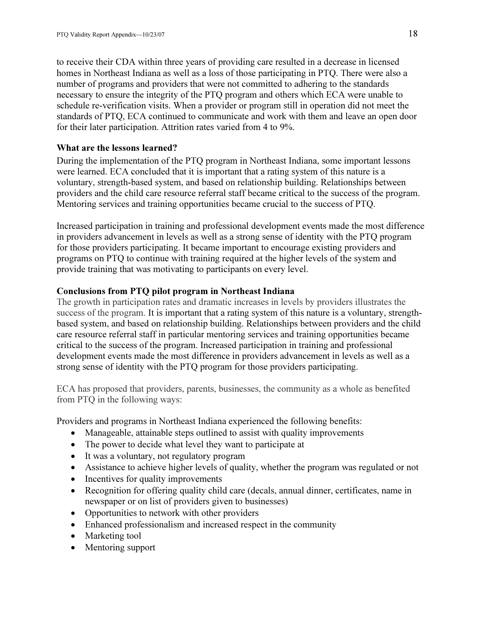to receive their CDA within three years of providing care resulted in a decrease in licensed homes in Northeast Indiana as well as a loss of those participating in PTQ. There were also a number of programs and providers that were not committed to adhering to the standards necessary to ensure the integrity of the PTQ program and others which ECA were unable to schedule re-verification visits. When a provider or program still in operation did not meet the standards of PTQ, ECA continued to communicate and work with them and leave an open door for their later participation. Attrition rates varied from 4 to 9%.

#### What are the lessons learned?

During the implementation of the PTQ program in Northeast Indiana, some important lessons were learned. ECA concluded that it is important that a rating system of this nature is a voluntary, strength-based system, and based on relationship building. Relationships between providers and the child care resource referral staff became critical to the success of the program. Mentoring services and training opportunities became crucial to the success of PTQ.

Increased participation in training and professional development events made the most difference in providers advancement in levels as well as a strong sense of identity with the PTQ program for those providers participating. It became important to encourage existing providers and programs on PTQ to continue with training required at the higher levels of the system and provide training that was motivating to participants on every level.

#### Conclusions from PTQ pilot program in Northeast Indiana

The growth in participation rates and dramatic increases in levels by providers illustrates the success of the program. It is important that a rating system of this nature is a voluntary, strengthbased system, and based on relationship building. Relationships between providers and the child care resource referral staff in particular mentoring services and training opportunities became critical to the success of the program. Increased participation in training and professional development events made the most difference in providers advancement in levels as well as a strong sense of identity with the PTQ program for those providers participating.

ECA has proposed that providers, parents, businesses, the community as a whole as benefited from PTQ in the following ways:

Providers and programs in Northeast Indiana experienced the following benefits:

- Manageable, attainable steps outlined to assist with quality improvements
- The power to decide what level they want to participate at
- It was a voluntary, not regulatory program
- Assistance to achieve higher levels of quality, whether the program was regulated or not
- Incentives for quality improvements
- Recognition for offering quality child care (decals, annual dinner, certificates, name in newspaper or on list of providers given to businesses)
- Opportunities to network with other providers
- Enhanced professionalism and increased respect in the community
- Marketing tool
- Mentoring support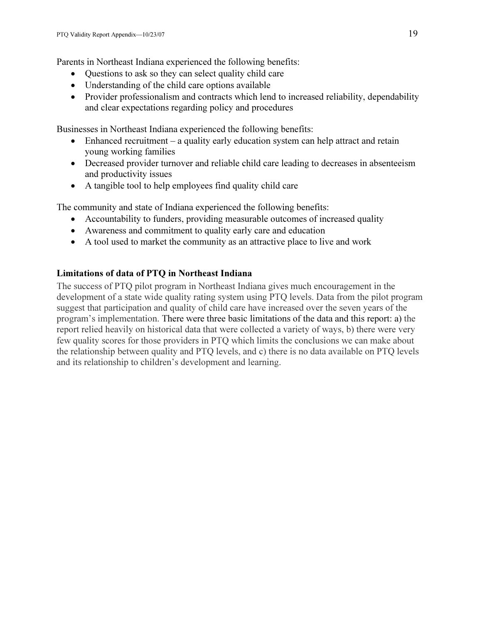Parents in Northeast Indiana experienced the following benefits:

- Questions to ask so they can select quality child care
- Understanding of the child care options available
- Provider professionalism and contracts which lend to increased reliability, dependability and clear expectations regarding policy and procedures

Businesses in Northeast Indiana experienced the following benefits:

- Enhanced recruitment a quality early education system can help attract and retain young working families
- Decreased provider turnover and reliable child care leading to decreases in absenteeism and productivity issues
- A tangible tool to help employees find quality child care

The community and state of Indiana experienced the following benefits:

- Accountability to funders, providing measurable outcomes of increased quality
- Awareness and commitment to quality early care and education
- A tool used to market the community as an attractive place to live and work

## Limitations of data of PTQ in Northeast Indiana

The success of PTQ pilot program in Northeast Indiana gives much encouragement in the development of a state wide quality rating system using PTQ levels. Data from the pilot program suggest that participation and quality of child care have increased over the seven years of the program's implementation. There were three basic limitations of the data and this report: a) the report relied heavily on historical data that were collected a variety of ways, b) there were very few quality scores for those providers in PTQ which limits the conclusions we can make about the relationship between quality and PTQ levels, and c) there is no data available on PTQ levels and its relationship to children's development and learning.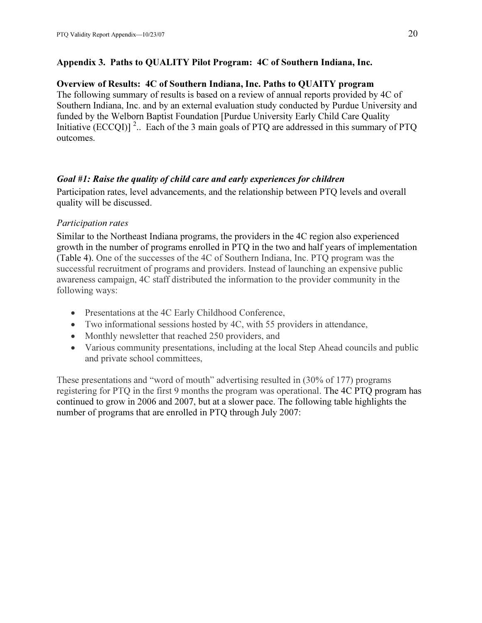### Appendix 3. Paths to QUALITY Pilot Program: 4C of Southern Indiana, Inc.

### Overview of Results: 4C of Southern Indiana, Inc. Paths to QUAITY program

The following summary of results is based on a review of annual reports provided by 4C of Southern Indiana, Inc. and by an external evaluation study conducted by Purdue University and funded by the Welborn Baptist Foundation [Purdue University Early Child Care Quality Initiative (ECCQI)]<sup>2</sup>... Each of the 3 main goals of PTQ are addressed in this summary of PTQ outcomes.

### Goal #1: Raise the quality of child care and early experiences for children

Participation rates, level advancements, and the relationship between PTQ levels and overall quality will be discussed.

### Participation rates

Similar to the Northeast Indiana programs, the providers in the 4C region also experienced growth in the number of programs enrolled in PTQ in the two and half years of implementation (Table 4). One of the successes of the 4C of Southern Indiana, Inc. PTQ program was the successful recruitment of programs and providers. Instead of launching an expensive public awareness campaign, 4C staff distributed the information to the provider community in the following ways:

- Presentations at the 4C Early Childhood Conference,
- Two informational sessions hosted by 4C, with 55 providers in attendance,
- Monthly newsletter that reached  $250$  providers, and
- Various community presentations, including at the local Step Ahead councils and public and private school committees,

These presentations and "word of mouth" advertising resulted in (30% of 177) programs registering for PTQ in the first 9 months the program was operational. The 4C PTQ program has continued to grow in 2006 and 2007, but at a slower pace. The following table highlights the number of programs that are enrolled in PTQ through July 2007: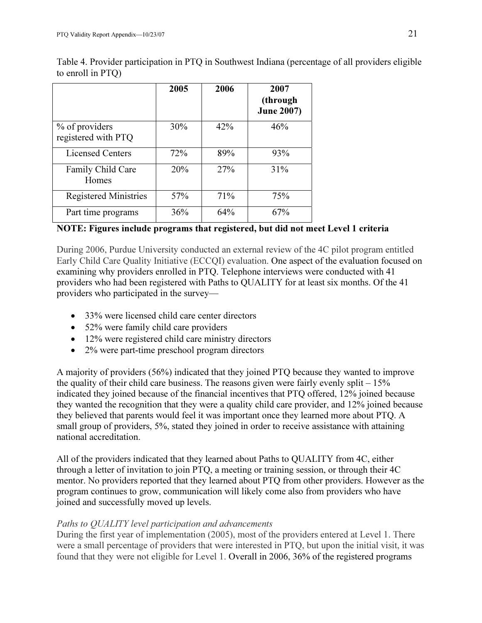|                                       | 2005 | 2006 | 2007<br>(through<br><b>June 2007)</b> |
|---------------------------------------|------|------|---------------------------------------|
| % of providers<br>registered with PTQ | 30%  | 42%  | 46%                                   |
| <b>Licensed Centers</b>               | 72%  | 89%  | 93%                                   |
| Family Child Care<br>Homes            | 20%  | 27%  | 31%                                   |
| <b>Registered Ministries</b>          | 57%  | 71%  | 75%                                   |
| Part time programs                    | 36%  | 64%  | 67%                                   |

Table 4. Provider participation in PTQ in Southwest Indiana (percentage of all providers eligible to enroll in PTQ)

## NOTE: Figures include programs that registered, but did not meet Level 1 criteria

During 2006, Purdue University conducted an external review of the 4C pilot program entitled Early Child Care Quality Initiative (ECCQI) evaluation. One aspect of the evaluation focused on examining why providers enrolled in PTQ. Telephone interviews were conducted with 41 providers who had been registered with Paths to QUALITY for at least six months. Of the 41 providers who participated in the survey—

- 33% were licensed child care center directors
- 52% were family child care providers
- 12% were registered child care ministry directors
- 2% were part-time preschool program directors

A majority of providers (56%) indicated that they joined PTQ because they wanted to improve the quality of their child care business. The reasons given were fairly evenly split – 15% indicated they joined because of the financial incentives that PTQ offered, 12% joined because they wanted the recognition that they were a quality child care provider, and 12% joined because they believed that parents would feel it was important once they learned more about PTQ. A small group of providers, 5%, stated they joined in order to receive assistance with attaining national accreditation.

All of the providers indicated that they learned about Paths to QUALITY from 4C, either through a letter of invitation to join PTQ, a meeting or training session, or through their 4C mentor. No providers reported that they learned about PTQ from other providers. However as the program continues to grow, communication will likely come also from providers who have joined and successfully moved up levels.

## Paths to QUALITY level participation and advancements

During the first year of implementation (2005), most of the providers entered at Level 1. There were a small percentage of providers that were interested in PTQ, but upon the initial visit, it was found that they were not eligible for Level 1. Overall in 2006, 36% of the registered programs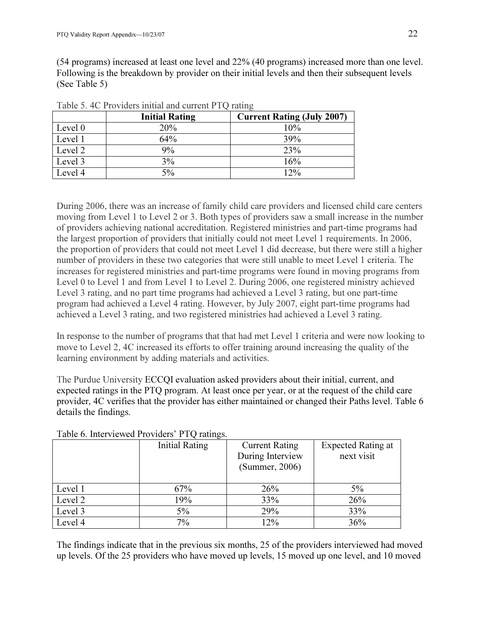(54 programs) increased at least one level and 22% (40 programs) increased more than one level. Following is the breakdown by provider on their initial levels and then their subsequent levels (See Table 5)

|         | <b>Initial Rating</b><br><b>Current Rating (July 2007)</b> |        |
|---------|------------------------------------------------------------|--------|
| Level 0 | 20%                                                        | 10%    |
|         |                                                            |        |
| Level 1 | 64%                                                        | 39%    |
| Level 2 | 9%                                                         | 23%    |
| Level 3 | 3%                                                         | 16%    |
| Level 4 | 5%                                                         | $12\%$ |

Table 5. 4C Providers initial and current PTQ rating

During 2006, there was an increase of family child care providers and licensed child care centers moving from Level 1 to Level 2 or 3. Both types of providers saw a small increase in the number of providers achieving national accreditation. Registered ministries and part-time programs had the largest proportion of providers that initially could not meet Level 1 requirements. In 2006, the proportion of providers that could not meet Level 1 did decrease, but there were still a higher number of providers in these two categories that were still unable to meet Level 1 criteria. The increases for registered ministries and part-time programs were found in moving programs from Level 0 to Level 1 and from Level 1 to Level 2. During 2006, one registered ministry achieved Level 3 rating, and no part time programs had achieved a Level 3 rating, but one part-time program had achieved a Level 4 rating. However, by July 2007, eight part-time programs had achieved a Level 3 rating, and two registered ministries had achieved a Level 3 rating.

In response to the number of programs that that had met Level 1 criteria and were now looking to move to Level 2, 4C increased its efforts to offer training around increasing the quality of the learning environment by adding materials and activities.

The Purdue University ECCQI evaluation asked providers about their initial, current, and expected ratings in the PTQ program. At least once per year, or at the request of the child care provider, 4C verifies that the provider has either maintained or changed their Paths level. Table 6 details the findings.

|         | ັ<br>Initial Rating | <b>Current Rating</b><br>During Interview<br>(Summer, 2006) | Expected Rating at<br>next visit |
|---------|---------------------|-------------------------------------------------------------|----------------------------------|
| Level 1 | 67%                 | 26%                                                         | 5%                               |
| Level 2 | 19%                 | 33%                                                         | 26%                              |
| Level 3 | $5\%$               | 29%                                                         | 33%                              |
| Level 4 | 7%                  | 12%                                                         | 36%                              |

Table 6. Interviewed Providers' PTQ ratings.

The findings indicate that in the previous six months, 25 of the providers interviewed had moved up levels. Of the 25 providers who have moved up levels, 15 moved up one level, and 10 moved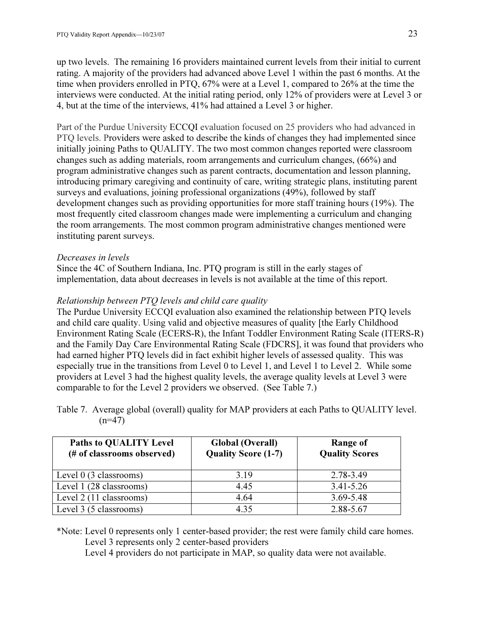up two levels. The remaining 16 providers maintained current levels from their initial to current rating. A majority of the providers had advanced above Level 1 within the past 6 months. At the time when providers enrolled in PTQ, 67% were at a Level 1, compared to 26% at the time the interviews were conducted. At the initial rating period, only 12% of providers were at Level 3 or 4, but at the time of the interviews, 41% had attained a Level 3 or higher.

Part of the Purdue University ECCQI evaluation focused on 25 providers who had advanced in PTQ levels. Providers were asked to describe the kinds of changes they had implemented since initially joining Paths to QUALITY. The two most common changes reported were classroom changes such as adding materials, room arrangements and curriculum changes, (66%) and program administrative changes such as parent contracts, documentation and lesson planning, introducing primary caregiving and continuity of care, writing strategic plans, instituting parent surveys and evaluations, joining professional organizations (49%), followed by staff development changes such as providing opportunities for more staff training hours (19%). The most frequently cited classroom changes made were implementing a curriculum and changing the room arrangements. The most common program administrative changes mentioned were instituting parent surveys.

#### Decreases in levels

Since the 4C of Southern Indiana, Inc. PTQ program is still in the early stages of implementation, data about decreases in levels is not available at the time of this report.

## Relationship between PTQ levels and child care quality

The Purdue University ECCQI evaluation also examined the relationship between PTQ levels and child care quality. Using valid and objective measures of quality [the Early Childhood Environment Rating Scale (ECERS-R), the Infant Toddler Environment Rating Scale (ITERS-R) and the Family Day Care Environmental Rating Scale (FDCRS], it was found that providers who had earned higher PTQ levels did in fact exhibit higher levels of assessed quality. This was especially true in the transitions from Level 0 to Level 1, and Level 1 to Level 2. While some providers at Level 3 had the highest quality levels, the average quality levels at Level 3 were comparable to for the Level 2 providers we observed. (See Table 7.)

Table 7. Average global (overall) quality for MAP providers at each Paths to QUALITY level.  $(n=47)$ 

| <b>Paths to QUALITY Level</b><br>(# of classrooms observed) | <b>Global (Overall)</b><br><b>Quality Score (1-7)</b> | Range of<br><b>Quality Scores</b> |
|-------------------------------------------------------------|-------------------------------------------------------|-----------------------------------|
| Level $0$ (3 classrooms)                                    | 3.19                                                  | 2.78-3.49                         |
| Level 1 (28 classrooms)                                     | 4.45                                                  | $3.41 - 5.26$                     |
| Level 2 (11 classrooms)                                     | 4.64                                                  | 3.69-5.48                         |
| Level 3 (5 classrooms)                                      | 4.35                                                  | 2.88-5.67                         |

\*Note: Level 0 represents only 1 center-based provider; the rest were family child care homes. Level 3 represents only 2 center-based providers

Level 4 providers do not participate in MAP, so quality data were not available.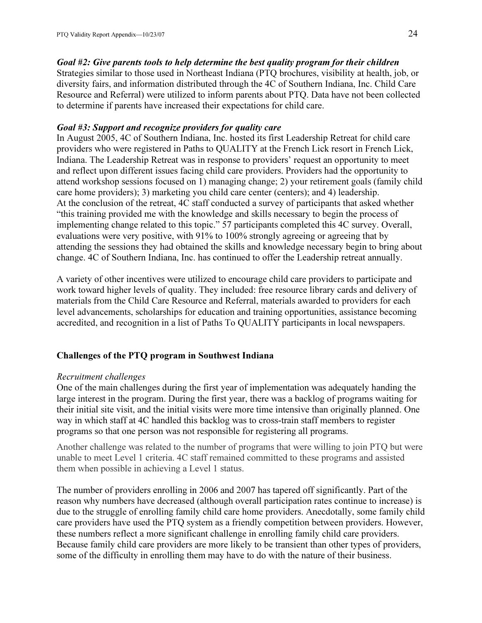Goal #2: Give parents tools to help determine the best quality program for their children Strategies similar to those used in Northeast Indiana (PTQ brochures, visibility at health, job, or diversity fairs, and information distributed through the 4C of Southern Indiana, Inc. Child Care Resource and Referral) were utilized to inform parents about PTQ. Data have not been collected to determine if parents have increased their expectations for child care.

#### Goal #3: Support and recognize providers for quality care

In August 2005, 4C of Southern Indiana, Inc. hosted its first Leadership Retreat for child care providers who were registered in Paths to QUALITY at the French Lick resort in French Lick, Indiana. The Leadership Retreat was in response to providers' request an opportunity to meet and reflect upon different issues facing child care providers. Providers had the opportunity to attend workshop sessions focused on 1) managing change; 2) your retirement goals (family child care home providers); 3) marketing you child care center (centers); and 4) leadership. At the conclusion of the retreat, 4C staff conducted a survey of participants that asked whether "this training provided me with the knowledge and skills necessary to begin the process of implementing change related to this topic." 57 participants completed this 4C survey. Overall, evaluations were very positive, with 91% to 100% strongly agreeing or agreeing that by attending the sessions they had obtained the skills and knowledge necessary begin to bring about change. 4C of Southern Indiana, Inc. has continued to offer the Leadership retreat annually.

A variety of other incentives were utilized to encourage child care providers to participate and work toward higher levels of quality. They included: free resource library cards and delivery of materials from the Child Care Resource and Referral, materials awarded to providers for each level advancements, scholarships for education and training opportunities, assistance becoming accredited, and recognition in a list of Paths To QUALITY participants in local newspapers.

#### Challenges of the PTQ program in Southwest Indiana

#### Recruitment challenges

One of the main challenges during the first year of implementation was adequately handing the large interest in the program. During the first year, there was a backlog of programs waiting for their initial site visit, and the initial visits were more time intensive than originally planned. One way in which staff at 4C handled this backlog was to cross-train staff members to register programs so that one person was not responsible for registering all programs.

Another challenge was related to the number of programs that were willing to join PTQ but were unable to meet Level 1 criteria. 4C staff remained committed to these programs and assisted them when possible in achieving a Level 1 status.

The number of providers enrolling in 2006 and 2007 has tapered off significantly. Part of the reason why numbers have decreased (although overall participation rates continue to increase) is due to the struggle of enrolling family child care home providers. Anecdotally, some family child care providers have used the PTQ system as a friendly competition between providers. However, these numbers reflect a more significant challenge in enrolling family child care providers. Because family child care providers are more likely to be transient than other types of providers, some of the difficulty in enrolling them may have to do with the nature of their business.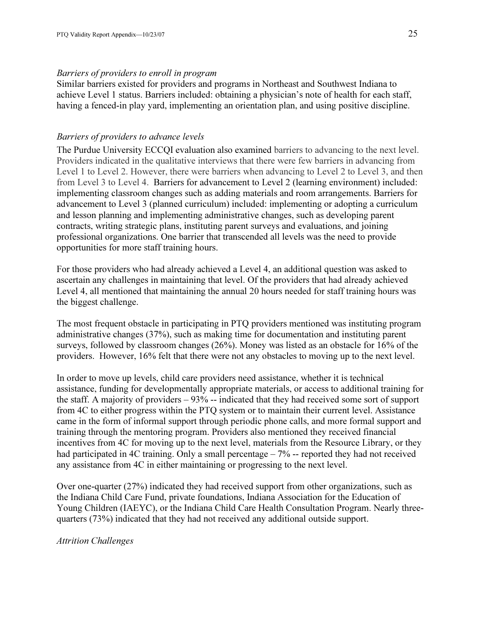#### Barriers of providers to enroll in program

Similar barriers existed for providers and programs in Northeast and Southwest Indiana to achieve Level 1 status. Barriers included: obtaining a physician's note of health for each staff, having a fenced-in play yard, implementing an orientation plan, and using positive discipline.

### Barriers of providers to advance levels

The Purdue University ECCQI evaluation also examined barriers to advancing to the next level. Providers indicated in the qualitative interviews that there were few barriers in advancing from Level 1 to Level 2. However, there were barriers when advancing to Level 2 to Level 3, and then from Level 3 to Level 4. Barriers for advancement to Level 2 (learning environment) included: implementing classroom changes such as adding materials and room arrangements. Barriers for advancement to Level 3 (planned curriculum) included: implementing or adopting a curriculum and lesson planning and implementing administrative changes, such as developing parent contracts, writing strategic plans, instituting parent surveys and evaluations, and joining professional organizations. One barrier that transcended all levels was the need to provide opportunities for more staff training hours.

For those providers who had already achieved a Level 4, an additional question was asked to ascertain any challenges in maintaining that level. Of the providers that had already achieved Level 4, all mentioned that maintaining the annual 20 hours needed for staff training hours was the biggest challenge.

The most frequent obstacle in participating in PTQ providers mentioned was instituting program administrative changes (37%), such as making time for documentation and instituting parent surveys, followed by classroom changes (26%). Money was listed as an obstacle for 16% of the providers. However, 16% felt that there were not any obstacles to moving up to the next level.

In order to move up levels, child care providers need assistance, whether it is technical assistance, funding for developmentally appropriate materials, or access to additional training for the staff. A majority of providers – 93% -- indicated that they had received some sort of support from 4C to either progress within the PTQ system or to maintain their current level. Assistance came in the form of informal support through periodic phone calls, and more formal support and training through the mentoring program. Providers also mentioned they received financial incentives from 4C for moving up to the next level, materials from the Resource Library, or they had participated in 4C training. Only a small percentage – 7% -- reported they had not received any assistance from 4C in either maintaining or progressing to the next level.

Over one-quarter (27%) indicated they had received support from other organizations, such as the Indiana Child Care Fund, private foundations, Indiana Association for the Education of Young Children (IAEYC), or the Indiana Child Care Health Consultation Program. Nearly threequarters (73%) indicated that they had not received any additional outside support.

Attrition Challenges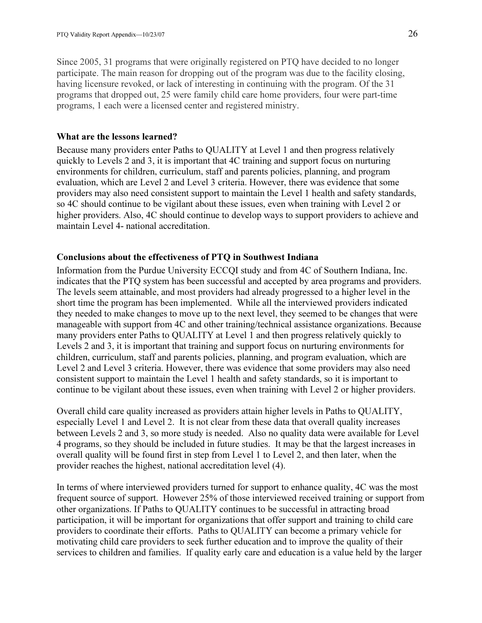Since 2005, 31 programs that were originally registered on PTQ have decided to no longer participate. The main reason for dropping out of the program was due to the facility closing, having licensure revoked, or lack of interesting in continuing with the program. Of the 31 programs that dropped out, 25 were family child care home providers, four were part-time programs, 1 each were a licensed center and registered ministry.

#### What are the lessons learned?

Because many providers enter Paths to QUALITY at Level 1 and then progress relatively quickly to Levels 2 and 3, it is important that 4C training and support focus on nurturing environments for children, curriculum, staff and parents policies, planning, and program evaluation, which are Level 2 and Level 3 criteria. However, there was evidence that some providers may also need consistent support to maintain the Level 1 health and safety standards, so 4C should continue to be vigilant about these issues, even when training with Level 2 or higher providers. Also, 4C should continue to develop ways to support providers to achieve and maintain Level 4- national accreditation.

### Conclusions about the effectiveness of PTQ in Southwest Indiana

Information from the Purdue University ECCQI study and from 4C of Southern Indiana, Inc. indicates that the PTQ system has been successful and accepted by area programs and providers. The levels seem attainable, and most providers had already progressed to a higher level in the short time the program has been implemented. While all the interviewed providers indicated they needed to make changes to move up to the next level, they seemed to be changes that were manageable with support from 4C and other training/technical assistance organizations. Because many providers enter Paths to QUALITY at Level 1 and then progress relatively quickly to Levels 2 and 3, it is important that training and support focus on nurturing environments for children, curriculum, staff and parents policies, planning, and program evaluation, which are Level 2 and Level 3 criteria. However, there was evidence that some providers may also need consistent support to maintain the Level 1 health and safety standards, so it is important to continue to be vigilant about these issues, even when training with Level 2 or higher providers.

Overall child care quality increased as providers attain higher levels in Paths to QUALITY, especially Level 1 and Level 2. It is not clear from these data that overall quality increases between Levels 2 and 3, so more study is needed. Also no quality data were available for Level 4 programs, so they should be included in future studies. It may be that the largest increases in overall quality will be found first in step from Level 1 to Level 2, and then later, when the provider reaches the highest, national accreditation level (4).

In terms of where interviewed providers turned for support to enhance quality, 4C was the most frequent source of support. However 25% of those interviewed received training or support from other organizations. If Paths to QUALITY continues to be successful in attracting broad participation, it will be important for organizations that offer support and training to child care providers to coordinate their efforts. Paths to QUALITY can become a primary vehicle for motivating child care providers to seek further education and to improve the quality of their services to children and families. If quality early care and education is a value held by the larger